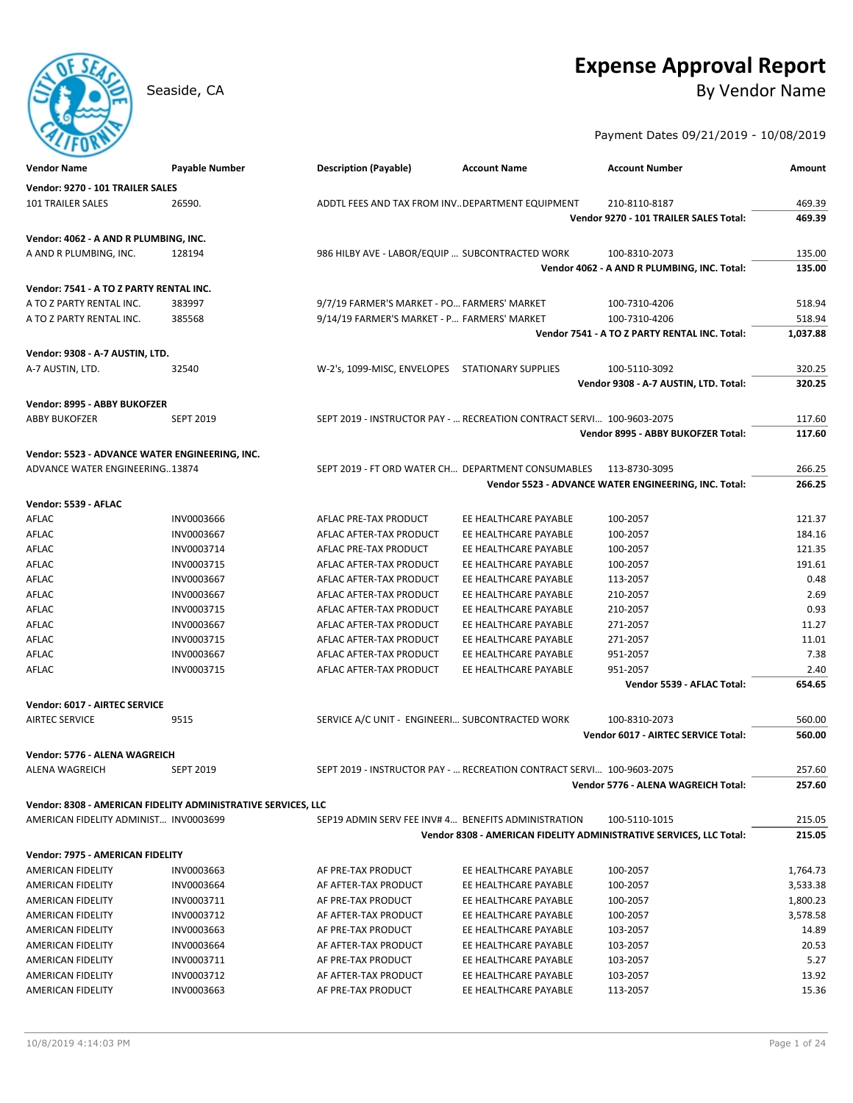# **Expense Approval Report**

## Seaside, CA By Vendor Name

Payment Dates 09/21/2019 - 10/08/2019

| <b>Vendor Name</b>                             | <b>Payable Number</b>                                         | <b>Description (Payable)</b>                        | <b>Account Name</b>                                                   | <b>Account Number</b>                                               | Amount   |
|------------------------------------------------|---------------------------------------------------------------|-----------------------------------------------------|-----------------------------------------------------------------------|---------------------------------------------------------------------|----------|
| Vendor: 9270 - 101 TRAILER SALES               |                                                               |                                                     |                                                                       |                                                                     |          |
| 101 TRAILER SALES                              | 26590.                                                        | ADDTL FEES AND TAX FROM INV. DEPARTMENT EQUIPMENT   |                                                                       | 210-8110-8187                                                       | 469.39   |
|                                                |                                                               |                                                     |                                                                       | Vendor 9270 - 101 TRAILER SALES Total:                              | 469.39   |
| Vendor: 4062 - A AND R PLUMBING, INC.          |                                                               |                                                     |                                                                       |                                                                     |          |
| A AND R PLUMBING, INC.                         | 128194                                                        | 986 HILBY AVE - LABOR/EQUIP  SUBCONTRACTED WORK     |                                                                       | 100-8310-2073                                                       | 135.00   |
|                                                |                                                               |                                                     |                                                                       | Vendor 4062 - A AND R PLUMBING, INC. Total:                         | 135.00   |
|                                                |                                                               |                                                     |                                                                       |                                                                     |          |
| Vendor: 7541 - A TO Z PARTY RENTAL INC.        |                                                               |                                                     |                                                                       |                                                                     |          |
| A TO Z PARTY RENTAL INC.                       | 383997                                                        | 9/7/19 FARMER'S MARKET - PO FARMERS' MARKET         |                                                                       | 100-7310-4206                                                       | 518.94   |
| A TO Z PARTY RENTAL INC.                       | 385568                                                        | 9/14/19 FARMER'S MARKET - P FARMERS' MARKET         |                                                                       | 100-7310-4206                                                       | 518.94   |
|                                                |                                                               |                                                     |                                                                       | Vendor 7541 - A TO Z PARTY RENTAL INC. Total:                       | 1,037.88 |
| Vendor: 9308 - A-7 AUSTIN, LTD.                |                                                               |                                                     |                                                                       |                                                                     |          |
| A-7 AUSTIN, LTD.                               | 32540                                                         | W-2's, 1099-MISC, ENVELOPES                         | STATIONARY SUPPLIES                                                   | 100-5110-3092                                                       | 320.25   |
|                                                |                                                               |                                                     |                                                                       | Vendor 9308 - A-7 AUSTIN, LTD. Total:                               | 320.25   |
| Vendor: 8995 - ABBY BUKOFZER                   |                                                               |                                                     |                                                                       |                                                                     |          |
| <b>ABBY BUKOFZER</b>                           | <b>SEPT 2019</b>                                              |                                                     | SEPT 2019 - INSTRUCTOR PAY -  RECREATION CONTRACT SERVI 100-9603-2075 |                                                                     | 117.60   |
|                                                |                                                               |                                                     |                                                                       | Vendor 8995 - ABBY BUKOFZER Total:                                  | 117.60   |
| Vendor: 5523 - ADVANCE WATER ENGINEERING, INC. |                                                               |                                                     |                                                                       |                                                                     |          |
| ADVANCE WATER ENGINEERING13874                 |                                                               | SEPT 2019 - FT ORD WATER CH DEPARTMENT CONSUMABLES  |                                                                       | 113-8730-3095                                                       | 266.25   |
|                                                |                                                               |                                                     |                                                                       | Vendor 5523 - ADVANCE WATER ENGINEERING, INC. Total:                | 266.25   |
|                                                |                                                               |                                                     |                                                                       |                                                                     |          |
| Vendor: 5539 - AFLAC<br>AFLAC                  | INV0003666                                                    | AFLAC PRE-TAX PRODUCT                               | EE HEALTHCARE PAYABLE                                                 | 100-2057                                                            | 121.37   |
| AFLAC                                          | INV0003667                                                    | AFLAC AFTER-TAX PRODUCT                             | EE HEALTHCARE PAYABLE                                                 | 100-2057                                                            | 184.16   |
| <b>AFLAC</b>                                   | INV0003714                                                    | AFLAC PRE-TAX PRODUCT                               | EE HEALTHCARE PAYABLE                                                 | 100-2057                                                            | 121.35   |
| AFLAC                                          | INV0003715                                                    | AFLAC AFTER-TAX PRODUCT                             | EE HEALTHCARE PAYABLE                                                 | 100-2057                                                            | 191.61   |
| AFLAC                                          | INV0003667                                                    | AFLAC AFTER-TAX PRODUCT                             | EE HEALTHCARE PAYABLE                                                 | 113-2057                                                            | 0.48     |
| AFLAC                                          | INV0003667                                                    | AFLAC AFTER-TAX PRODUCT                             | EE HEALTHCARE PAYABLE                                                 | 210-2057                                                            | 2.69     |
| AFLAC                                          | INV0003715                                                    | AFLAC AFTER-TAX PRODUCT                             | EE HEALTHCARE PAYABLE                                                 | 210-2057                                                            | 0.93     |
| AFLAC                                          | INV0003667                                                    | AFLAC AFTER-TAX PRODUCT                             | EE HEALTHCARE PAYABLE                                                 | 271-2057                                                            | 11.27    |
| AFLAC                                          | INV0003715                                                    | AFLAC AFTER-TAX PRODUCT                             | EE HEALTHCARE PAYABLE                                                 | 271-2057                                                            | 11.01    |
| AFLAC                                          | INV0003667                                                    | AFLAC AFTER-TAX PRODUCT                             | EE HEALTHCARE PAYABLE                                                 | 951-2057                                                            | 7.38     |
| AFLAC                                          | INV0003715                                                    | AFLAC AFTER-TAX PRODUCT                             | EE HEALTHCARE PAYABLE                                                 | 951-2057                                                            | 2.40     |
|                                                |                                                               |                                                     |                                                                       | Vendor 5539 - AFLAC Total:                                          | 654.65   |
| Vendor: 6017 - AIRTEC SERVICE                  |                                                               |                                                     |                                                                       |                                                                     |          |
| <b>AIRTEC SERVICE</b>                          | 9515                                                          | SERVICE A/C UNIT - ENGINEERI SUBCONTRACTED WORK     |                                                                       | 100-8310-2073                                                       | 560.00   |
|                                                |                                                               |                                                     |                                                                       | Vendor 6017 - AIRTEC SERVICE Total:                                 | 560.00   |
|                                                |                                                               |                                                     |                                                                       |                                                                     |          |
| Vendor: 5776 - ALENA WAGREICH                  |                                                               |                                                     |                                                                       |                                                                     |          |
| <b>ALENA WAGREICH</b>                          | <b>SEPT 2019</b>                                              |                                                     | SEPT 2019 - INSTRUCTOR PAY -  RECREATION CONTRACT SERVI 100-9603-2075 |                                                                     | 257.60   |
|                                                |                                                               |                                                     |                                                                       | Vendor 5776 - ALENA WAGREICH Total:                                 | 257.60   |
|                                                | Vendor: 8308 - AMERICAN FIDELITY ADMINISTRATIVE SERVICES, LLC |                                                     |                                                                       |                                                                     |          |
| AMERICAN FIDELITY ADMINIST INV0003699          |                                                               | SEP19 ADMIN SERV FEE INV# 4 BENEFITS ADMINISTRATION |                                                                       | 100-5110-1015                                                       | 215.05   |
|                                                |                                                               |                                                     |                                                                       | Vendor 8308 - AMERICAN FIDELITY ADMINISTRATIVE SERVICES, LLC Total: | 215.05   |
| Vendor: 7975 - AMERICAN FIDELITY               |                                                               |                                                     |                                                                       |                                                                     |          |
| AMERICAN FIDELITY                              | INV0003663                                                    | AF PRE-TAX PRODUCT                                  | EE HEALTHCARE PAYABLE                                                 | 100-2057                                                            | 1,764.73 |
| AMERICAN FIDELITY                              | INV0003664                                                    | AF AFTER-TAX PRODUCT                                | EE HEALTHCARE PAYABLE                                                 | 100-2057                                                            | 3,533.38 |
| AMERICAN FIDELITY                              | INV0003711                                                    | AF PRE-TAX PRODUCT                                  | EE HEALTHCARE PAYABLE                                                 | 100-2057                                                            | 1,800.23 |
| AMERICAN FIDELITY                              | INV0003712                                                    | AF AFTER-TAX PRODUCT                                | EE HEALTHCARE PAYABLE                                                 | 100-2057                                                            | 3,578.58 |
| AMERICAN FIDELITY                              | INV0003663                                                    | AF PRE-TAX PRODUCT                                  | EE HEALTHCARE PAYABLE                                                 | 103-2057                                                            | 14.89    |
| AMERICAN FIDELITY                              | INV0003664                                                    | AF AFTER-TAX PRODUCT                                | EE HEALTHCARE PAYABLE                                                 | 103-2057                                                            | 20.53    |
| AMERICAN FIDELITY                              | INV0003711                                                    | AF PRE-TAX PRODUCT                                  | EE HEALTHCARE PAYABLE                                                 | 103-2057                                                            | 5.27     |
| AMERICAN FIDELITY                              | INV0003712                                                    | AF AFTER-TAX PRODUCT                                | EE HEALTHCARE PAYABLE                                                 | 103-2057                                                            | 13.92    |
| AMERICAN FIDELITY                              | INV0003663                                                    | AF PRE-TAX PRODUCT                                  | EE HEALTHCARE PAYABLE                                                 | 113-2057                                                            | 15.36    |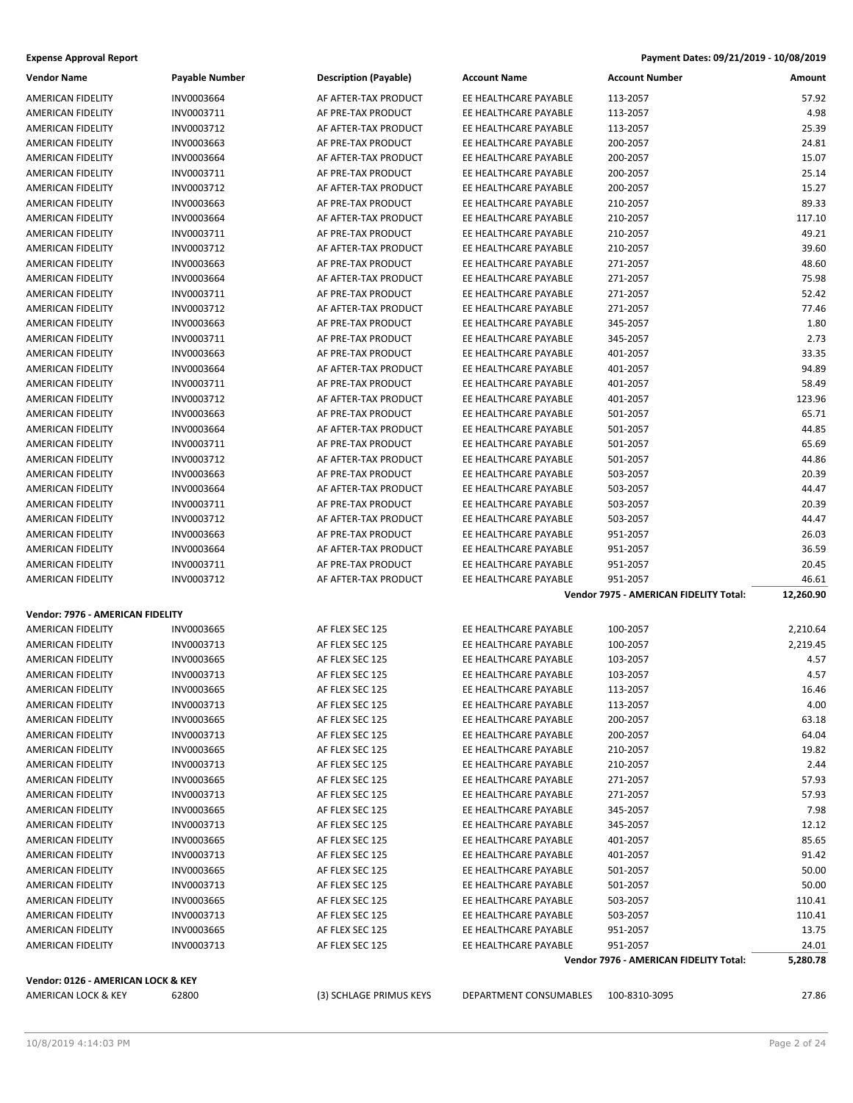| Vendor Name                      | <b>Payable Number</b> | <b>Description (Payable)</b> | <b>Account Name</b>   | <b>Account Number</b>                  | Amount    |
|----------------------------------|-----------------------|------------------------------|-----------------------|----------------------------------------|-----------|
| AMERICAN FIDELITY                | INV0003664            | AF AFTER-TAX PRODUCT         | EE HEALTHCARE PAYABLE | 113-2057                               | 57.92     |
| AMERICAN FIDELITY                | INV0003711            | AF PRE-TAX PRODUCT           | EE HEALTHCARE PAYABLE | 113-2057                               | 4.98      |
| AMERICAN FIDELITY                | INV0003712            | AF AFTER-TAX PRODUCT         | EE HEALTHCARE PAYABLE | 113-2057                               | 25.39     |
| <b>AMERICAN FIDELITY</b>         | INV0003663            | AF PRE-TAX PRODUCT           | EE HEALTHCARE PAYABLE | 200-2057                               | 24.81     |
| AMERICAN FIDELITY                | INV0003664            | AF AFTER-TAX PRODUCT         | EE HEALTHCARE PAYABLE | 200-2057                               | 15.07     |
| <b>AMERICAN FIDELITY</b>         | INV0003711            | AF PRE-TAX PRODUCT           | EE HEALTHCARE PAYABLE | 200-2057                               | 25.14     |
| AMERICAN FIDELITY                | INV0003712            | AF AFTER-TAX PRODUCT         | EE HEALTHCARE PAYABLE | 200-2057                               | 15.27     |
| <b>AMERICAN FIDELITY</b>         | INV0003663            | AF PRE-TAX PRODUCT           | EE HEALTHCARE PAYABLE | 210-2057                               | 89.33     |
| AMERICAN FIDELITY                | INV0003664            | AF AFTER-TAX PRODUCT         | EE HEALTHCARE PAYABLE | 210-2057                               | 117.10    |
| <b>AMERICAN FIDELITY</b>         | INV0003711            | AF PRE-TAX PRODUCT           | EE HEALTHCARE PAYABLE | 210-2057                               | 49.21     |
| <b>AMERICAN FIDELITY</b>         | INV0003712            | AF AFTER-TAX PRODUCT         | EE HEALTHCARE PAYABLE | 210-2057                               | 39.60     |
| AMERICAN FIDELITY                | INV0003663            | AF PRE-TAX PRODUCT           | EE HEALTHCARE PAYABLE | 271-2057                               | 48.60     |
| AMERICAN FIDELITY                | INV0003664            | AF AFTER-TAX PRODUCT         | EE HEALTHCARE PAYABLE | 271-2057                               | 75.98     |
| AMERICAN FIDELITY                | INV0003711            | AF PRE-TAX PRODUCT           | EE HEALTHCARE PAYABLE | 271-2057                               | 52.42     |
| AMERICAN FIDELITY                | INV0003712            | AF AFTER-TAX PRODUCT         | EE HEALTHCARE PAYABLE | 271-2057                               | 77.46     |
| AMERICAN FIDELITY                | INV0003663            | AF PRE-TAX PRODUCT           | EE HEALTHCARE PAYABLE | 345-2057                               | 1.80      |
| AMERICAN FIDELITY                | INV0003711            | AF PRE-TAX PRODUCT           | EE HEALTHCARE PAYABLE | 345-2057                               | 2.73      |
| <b>AMERICAN FIDELITY</b>         | INV0003663            | AF PRE-TAX PRODUCT           | EE HEALTHCARE PAYABLE | 401-2057                               | 33.35     |
| <b>AMERICAN FIDELITY</b>         | INV0003664            | AF AFTER-TAX PRODUCT         | EE HEALTHCARE PAYABLE | 401-2057                               | 94.89     |
| AMERICAN FIDELITY                | INV0003711            | AF PRE-TAX PRODUCT           | EE HEALTHCARE PAYABLE | 401-2057                               | 58.49     |
| <b>AMERICAN FIDELITY</b>         | INV0003712            | AF AFTER-TAX PRODUCT         | EE HEALTHCARE PAYABLE | 401-2057                               | 123.96    |
| AMERICAN FIDELITY                | INV0003663            | AF PRE-TAX PRODUCT           | EE HEALTHCARE PAYABLE | 501-2057                               | 65.71     |
| <b>AMERICAN FIDELITY</b>         | INV0003664            | AF AFTER-TAX PRODUCT         | EE HEALTHCARE PAYABLE | 501-2057                               | 44.85     |
| <b>AMERICAN FIDELITY</b>         | INV0003711            | AF PRE-TAX PRODUCT           | EE HEALTHCARE PAYABLE | 501-2057                               | 65.69     |
| AMERICAN FIDELITY                | INV0003712            | AF AFTER-TAX PRODUCT         | EE HEALTHCARE PAYABLE | 501-2057                               | 44.86     |
| AMERICAN FIDELITY                | INV0003663            | AF PRE-TAX PRODUCT           | EE HEALTHCARE PAYABLE | 503-2057                               | 20.39     |
| AMERICAN FIDELITY                | INV0003664            | AF AFTER-TAX PRODUCT         | EE HEALTHCARE PAYABLE | 503-2057                               | 44.47     |
| <b>AMERICAN FIDELITY</b>         | INV0003711            | AF PRE-TAX PRODUCT           | EE HEALTHCARE PAYABLE | 503-2057                               | 20.39     |
| AMERICAN FIDELITY                | INV0003712            | AF AFTER-TAX PRODUCT         | EE HEALTHCARE PAYABLE | 503-2057                               | 44.47     |
| AMERICAN FIDELITY                | INV0003663            | AF PRE-TAX PRODUCT           | EE HEALTHCARE PAYABLE | 951-2057                               | 26.03     |
| AMERICAN FIDELITY                | INV0003664            | AF AFTER-TAX PRODUCT         | EE HEALTHCARE PAYABLE | 951-2057                               | 36.59     |
| AMERICAN FIDELITY                | INV0003711            | AF PRE-TAX PRODUCT           | EE HEALTHCARE PAYABLE | 951-2057                               | 20.45     |
| AMERICAN FIDELITY                | INV0003712            | AF AFTER-TAX PRODUCT         | EE HEALTHCARE PAYABLE | 951-2057                               | 46.61     |
|                                  |                       |                              |                       | Vendor 7975 - AMERICAN FIDELITY Total: | 12,260.90 |
| Vendor: 7976 - AMERICAN FIDELITY |                       |                              |                       |                                        |           |
| AMERICAN FIDELITY                | INV0003665            | AF FLEX SEC 125              | EE HEALTHCARE PAYABLE | 100-2057                               | 2,210.64  |
| AMERICAN FIDELITY                | INV0003713            | AF FLEX SEC 125              | EE HEALTHCARE PAYABLE | 100-2057                               | 2,219.45  |
| <b>AMERICAN FIDELITY</b>         | INV0003665            | AF FLEX SEC 125              | EE HEALTHCARE PAYABLE | 103-2057                               | 4.57      |
| AMERICAN FIDELITY                | INV0003713            | AF FLEX SEC 125              | EE HEALTHCARE PAYABLE | 103-2057                               | 4.57      |
| <b>AMERICAN FIDELITY</b>         | INV0003665            | AF FLEX SEC 125              | EE HEALTHCARE PAYABLE | 113-2057                               | 16.46     |
| AMERICAN FIDELITY                | INV0003713            | AF FLEX SEC 125              | EE HEALTHCARE PAYABLE | 113-2057                               | 4.00      |
| AMERICAN FIDELITY                | INV0003665            | AF FLEX SEC 125              | EE HEALTHCARE PAYABLE | 200-2057                               | 63.18     |
| <b>AMERICAN FIDELITY</b>         | INV0003713            | AF FLEX SEC 125              | EE HEALTHCARE PAYABLE | 200-2057                               | 64.04     |
| AMERICAN FIDELITY                | INV0003665            | AF FLEX SEC 125              | EE HEALTHCARE PAYABLE | 210-2057                               | 19.82     |
| AMERICAN FIDELITY                | INV0003713            | AF FLEX SEC 125              | EE HEALTHCARE PAYABLE | 210-2057                               | 2.44      |
| AMERICAN FIDELITY                | INV0003665            | AF FLEX SEC 125              | EE HEALTHCARE PAYABLE | 271-2057                               | 57.93     |
| AMERICAN FIDELITY                | INV0003713            | AF FLEX SEC 125              | EE HEALTHCARE PAYABLE | 271-2057                               | 57.93     |
| <b>AMERICAN FIDELITY</b>         | INV0003665            | AF FLFX SFC 125              | EE HEALTHCARE PAYABLE | 345-2057                               | 7.98      |

AMERICAN FIDELITY INV0003713 AF FLEX SEC 125 EE HEALTHCARE PAYABLE 345-2057 12.12 AMERICAN FIDELITY MV0003665 AF FLEX SEC 125 EE HEALTHCARE PAYABLE 401-2057 35.65 AMERICAN FIDELITY MV0003713 AF FLEX SEC 125 EE HEALTHCARE PAYABLE 401-2057 91.42 AMERICAN FIDELITY MV0003665 AF FLEX SEC 125 EE HEALTHCARE PAYABLE 501-2057 50.00 AMERICAN FIDELITY MV0003713 AF FLEX SEC 125 EE HEALTHCARE PAYABLE 501-2057 50.00 AMERICAN FIDELITY MV0003665 AF FLEX SEC 125 EE HEALTHCARE PAYABLE 503-2057 110.41 AMERICAN FIDELITY MV0003713 AF FLEX SEC 125 EE HEALTHCARE PAYABLE 503-2057 110.41 AMERICAN FIDELITY MV0003665 AF FLEX SEC 125 EE HEALTHCARE PAYABLE 951-2057 13.75 AMERICAN FIDELITY MV0003713 AF FLEX SEC 125 EE HEALTHCARE PAYABLE 951-2057 24.01

AMERICAN LOCK & KEY 62800 62800 (3) SCHLAGE PRIMUS KEYS DEPARTMENT CONSUMABLES 100-8310-3095 27.86

**Vendor: 0126 - AMERICAN LOCK & KEY**

**Vendor 7976 - AMERICAN FIDELITY Total: 5,280.78**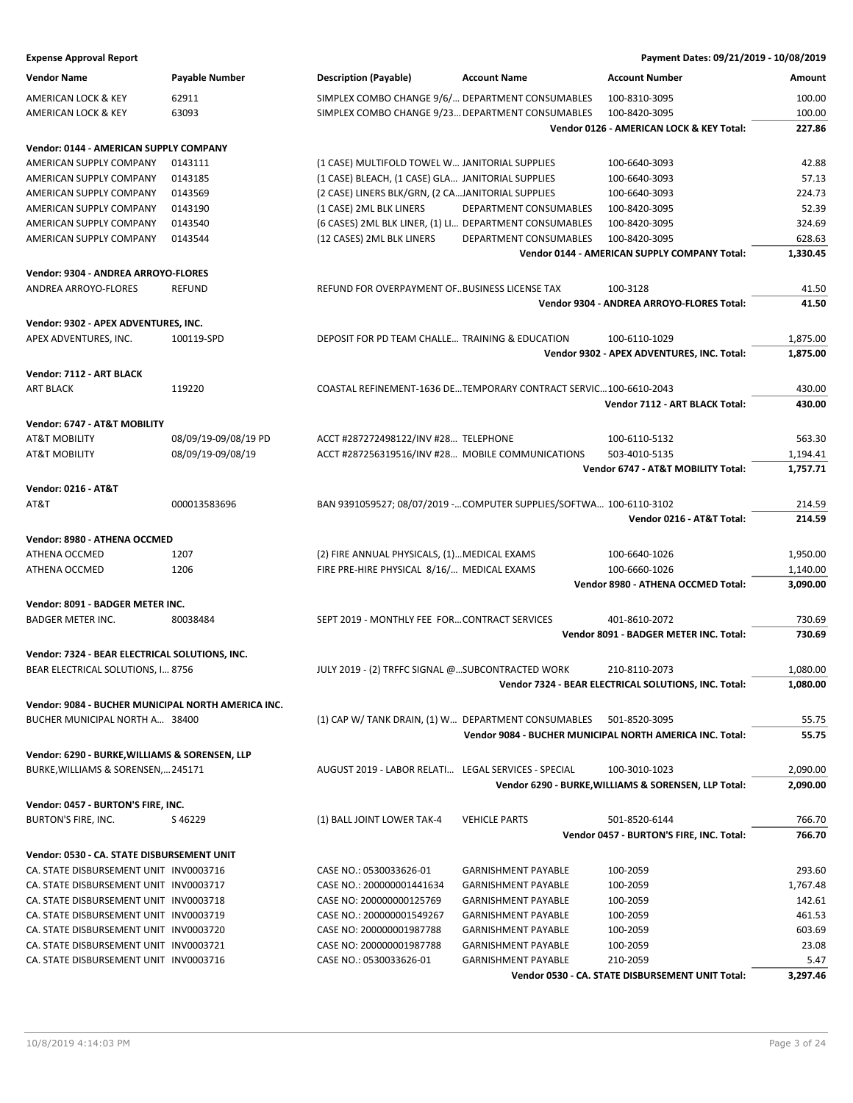| <b>Expense Approval Report</b>                              |                       |                                                                     |                            | Payment Dates: 09/21/2019 - 10/08/2019                   |          |
|-------------------------------------------------------------|-----------------------|---------------------------------------------------------------------|----------------------------|----------------------------------------------------------|----------|
| Vendor Name                                                 | <b>Payable Number</b> | <b>Description (Payable)</b>                                        | <b>Account Name</b>        | <b>Account Number</b>                                    | Amount   |
| AMERICAN LOCK & KEY                                         | 62911                 | SIMPLEX COMBO CHANGE 9/6/ DEPARTMENT CONSUMABLES                    |                            | 100-8310-3095                                            | 100.00   |
| AMERICAN LOCK & KEY                                         | 63093                 | SIMPLEX COMBO CHANGE 9/23 DEPARTMENT CONSUMABLES                    |                            | 100-8420-3095                                            | 100.00   |
|                                                             |                       |                                                                     |                            | Vendor 0126 - AMERICAN LOCK & KEY Total:                 | 227.86   |
| Vendor: 0144 - AMERICAN SUPPLY COMPANY                      |                       |                                                                     |                            |                                                          |          |
| AMERICAN SUPPLY COMPANY                                     | 0143111               | (1 CASE) MULTIFOLD TOWEL W JANITORIAL SUPPLIES                      |                            | 100-6640-3093                                            | 42.88    |
| AMERICAN SUPPLY COMPANY                                     | 0143185               | (1 CASE) BLEACH, (1 CASE) GLA JANITORIAL SUPPLIES                   |                            | 100-6640-3093                                            | 57.13    |
| AMERICAN SUPPLY COMPANY                                     | 0143569               | (2 CASE) LINERS BLK/GRN, (2 CAJANITORIAL SUPPLIES                   |                            | 100-6640-3093                                            | 224.73   |
| AMERICAN SUPPLY COMPANY                                     | 0143190               | (1 CASE) 2ML BLK LINERS                                             | DEPARTMENT CONSUMABLES     | 100-8420-3095                                            | 52.39    |
| AMERICAN SUPPLY COMPANY                                     | 0143540               | (6 CASES) 2ML BLK LINER, (1) LI DEPARTMENT CONSUMABLES              |                            | 100-8420-3095                                            | 324.69   |
| AMERICAN SUPPLY COMPANY                                     | 0143544               | (12 CASES) 2ML BLK LINERS                                           | DEPARTMENT CONSUMABLES     | 100-8420-3095                                            | 628.63   |
|                                                             |                       |                                                                     |                            | Vendor 0144 - AMERICAN SUPPLY COMPANY Total:             | 1,330.45 |
|                                                             |                       |                                                                     |                            |                                                          |          |
| Vendor: 9304 - ANDREA ARROYO-FLORES<br>ANDREA ARROYO-FLORES | <b>REFUND</b>         | REFUND FOR OVERPAYMENT OF. BUSINESS LICENSE TAX                     |                            | 100-3128                                                 | 41.50    |
|                                                             |                       |                                                                     |                            | Vendor 9304 - ANDREA ARROYO-FLORES Total:                | 41.50    |
|                                                             |                       |                                                                     |                            |                                                          |          |
| Vendor: 9302 - APEX ADVENTURES, INC.                        |                       |                                                                     |                            |                                                          |          |
| APEX ADVENTURES, INC.                                       | 100119-SPD            | DEPOSIT FOR PD TEAM CHALLE TRAINING & EDUCATION                     |                            | 100-6110-1029                                            | 1,875.00 |
|                                                             |                       |                                                                     |                            | Vendor 9302 - APEX ADVENTURES, INC. Total:               | 1,875.00 |
| Vendor: 7112 - ART BLACK                                    |                       |                                                                     |                            |                                                          |          |
| <b>ART BLACK</b>                                            | 119220                | COASTAL REFINEMENT-1636 DETEMPORARY CONTRACT SERVIC100-6610-2043    |                            |                                                          | 430.00   |
|                                                             |                       |                                                                     |                            | Vendor 7112 - ART BLACK Total:                           | 430.00   |
| Vendor: 6747 - AT&T MOBILITY                                |                       |                                                                     |                            |                                                          |          |
| AT&T MOBILITY                                               | 08/09/19-09/08/19 PD  | ACCT #287272498122/INV #28 TELEPHONE                                |                            | 100-6110-5132                                            | 563.30   |
| AT&T MOBILITY                                               | 08/09/19-09/08/19     | ACCT #287256319516/INV #28 MOBILE COMMUNICATIONS                    |                            | 503-4010-5135                                            | 1,194.41 |
|                                                             |                       |                                                                     |                            | Vendor 6747 - AT&T MOBILITY Total:                       | 1,757.71 |
| <b>Vendor: 0216 - AT&amp;T</b>                              |                       |                                                                     |                            |                                                          |          |
| AT&T                                                        | 000013583696          | BAN 9391059527; 08/07/2019 - COMPUTER SUPPLIES/SOFTWA 100-6110-3102 |                            |                                                          | 214.59   |
|                                                             |                       |                                                                     |                            | Vendor 0216 - AT&T Total:                                | 214.59   |
| Vendor: 8980 - ATHENA OCCMED                                |                       |                                                                     |                            |                                                          |          |
|                                                             |                       | (2) FIRE ANNUAL PHYSICALS, (1) MEDICAL EXAMS                        |                            |                                                          |          |
| ATHENA OCCMED                                               | 1207                  |                                                                     |                            | 100-6640-1026                                            | 1,950.00 |
| ATHENA OCCMED                                               | 1206                  | FIRE PRE-HIRE PHYSICAL 8/16/ MEDICAL EXAMS                          |                            | 100-6660-1026                                            | 1,140.00 |
|                                                             |                       |                                                                     |                            | Vendor 8980 - ATHENA OCCMED Total:                       | 3,090.00 |
| Vendor: 8091 - BADGER METER INC.                            |                       |                                                                     |                            |                                                          |          |
| <b>BADGER METER INC.</b>                                    | 80038484              | SEPT 2019 - MONTHLY FEE FORCONTRACT SERVICES                        |                            | 401-8610-2072                                            | 730.69   |
|                                                             |                       |                                                                     |                            | Vendor 8091 - BADGER METER INC. Total:                   | 730.69   |
| Vendor: 7324 - BEAR ELECTRICAL SOLUTIONS, INC.              |                       |                                                                     |                            |                                                          |          |
| BEAR ELECTRICAL SOLUTIONS, I 8756                           |                       | JULY 2019 - (2) TRFFC SIGNAL @SUBCONTRACTED WORK                    |                            | 210-8110-2073                                            | 1,080.00 |
|                                                             |                       |                                                                     |                            | Vendor 7324 - BEAR ELECTRICAL SOLUTIONS, INC. Total:     | 1,080.00 |
| Vendor: 9084 - BUCHER MUNICIPAL NORTH AMERICA INC.          |                       |                                                                     |                            |                                                          |          |
| BUCHER MUNICIPAL NORTH A 38400                              |                       | (1) CAP W/ TANK DRAIN, (1) W DEPARTMENT CONSUMABLES                 |                            | 501-8520-3095                                            | 55.75    |
|                                                             |                       |                                                                     |                            | Vendor 9084 - BUCHER MUNICIPAL NORTH AMERICA INC. Total: | 55.75    |
| Vendor: 6290 - BURKE, WILLIAMS & SORENSEN, LLP              |                       |                                                                     |                            |                                                          |          |
| BURKE, WILLIAMS & SORENSEN, 245171                          |                       | AUGUST 2019 - LABOR RELATI LEGAL SERVICES - SPECIAL                 |                            | 100-3010-1023                                            | 2,090.00 |
|                                                             |                       |                                                                     |                            | Vendor 6290 - BURKE, WILLIAMS & SORENSEN, LLP Total:     | 2,090.00 |
|                                                             |                       |                                                                     |                            |                                                          |          |
| Vendor: 0457 - BURTON'S FIRE, INC.                          |                       |                                                                     |                            |                                                          |          |
| BURTON'S FIRE, INC.                                         | S46229                | (1) BALL JOINT LOWER TAK-4                                          | <b>VEHICLE PARTS</b>       | 501-8520-6144                                            | 766.70   |
|                                                             |                       |                                                                     |                            | Vendor 0457 - BURTON'S FIRE, INC. Total:                 | 766.70   |
| Vendor: 0530 - CA. STATE DISBURSEMENT UNIT                  |                       |                                                                     |                            |                                                          |          |
| CA. STATE DISBURSEMENT UNIT INV0003716                      |                       | CASE NO.: 0530033626-01                                             | <b>GARNISHMENT PAYABLE</b> | 100-2059                                                 | 293.60   |
| CA. STATE DISBURSEMENT UNIT INV0003717                      |                       | CASE NO.: 200000001441634                                           | <b>GARNISHMENT PAYABLE</b> | 100-2059                                                 | 1,767.48 |
| CA. STATE DISBURSEMENT UNIT INV0003718                      |                       | CASE NO: 200000000125769                                            | <b>GARNISHMENT PAYABLE</b> | 100-2059                                                 | 142.61   |
| CA. STATE DISBURSEMENT UNIT INV0003719                      |                       | CASE NO.: 200000001549267                                           | <b>GARNISHMENT PAYABLE</b> | 100-2059                                                 | 461.53   |
| CA. STATE DISBURSEMENT UNIT INV0003720                      |                       | CASE NO: 200000001987788                                            | <b>GARNISHMENT PAYABLE</b> | 100-2059                                                 | 603.69   |
| CA. STATE DISBURSEMENT UNIT INV0003721                      |                       | CASE NO: 200000001987788                                            | <b>GARNISHMENT PAYABLE</b> | 100-2059                                                 | 23.08    |

CA. STATE DISBURSEMENT UNIT INV0003716 CASE NO.: 0530033626-01 GARNISHMENT PAYABLE 210-2059 5.47

**Vendor 0530 - CA. STATE DISBURSEMENT UNIT Total: 3,297.46**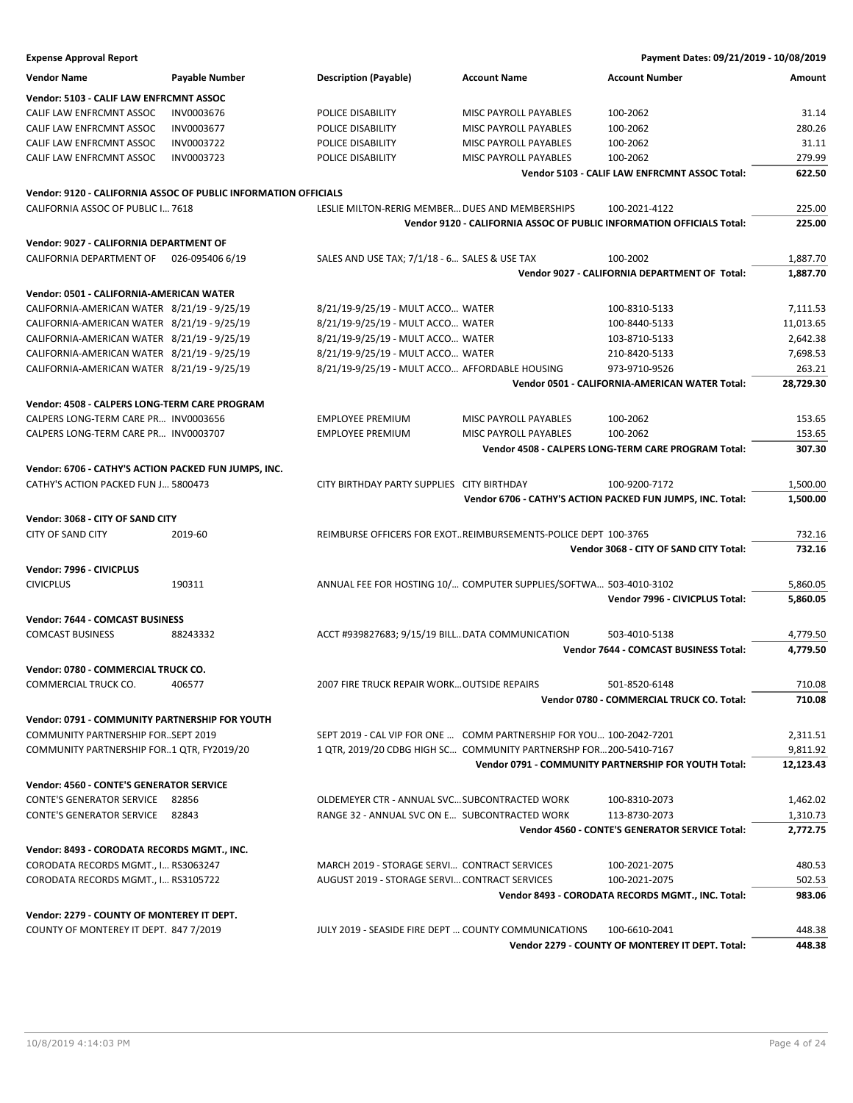**Expense Approval Report Payment Dates: 09/21/2019 - 10/08/2019 Vendor Name Payable Number Description (Payable) Account Name Account Number Amount Vendor: 5103 - CALIF LAW ENFRCMNT ASSOC** CALIF LAW ENFRCMNT ASSOC INV0003676 POLICE DISABILITY MISC PAYROLL PAYABLES 100-2062 31.14 CALIF LAW ENFRCMNT ASSOC INV0003677 POLICE DISABILITY MISC PAYROLL PAYABLES 100-2062 280.26 CALIF LAW ENFRCMNT ASSOC INV0003722 POLICE DISABILITY MISC PAYROLL PAYABLES 100-2062 31.11 CALIF LAW ENFRCMNT ASSOC INVOOD3723 POLICE DISABILITY MISC PAYROLL PAYABLES 100-2062 **Vendor 5103 - CALIF LAW ENFRCMNT ASSOC Total: 622.50 Vendor: 9120 - CALIFORNIA ASSOC OF PUBLIC INFORMATION OFFICIALS** CALIFORNIA ASSOC OF PUBLIC I… 7618 LESLIE MILTON-RERIG MEMBER…DUES AND MEMBERSHIPS 100-2021-4122 225.00 **Vendor 9120 - CALIFORNIA ASSOC OF PUBLIC INFORMATION OFFICIALS Total: 225.00 Vendor: 9027 - CALIFORNIA DEPARTMENT OF** CALIFORNIA DEPARTMENT OF 026-095406 6/19 SALES AND USE TAX; 7/1/18 - 6… SALES & USE TAX 100-2002 1,887.70 **Vendor 9027 - CALIFORNIA DEPARTMENT OF Total: 1,887.70 Vendor: 0501 - CALIFORNIA-AMERICAN WATER** CALIFORNIA-AMERICAN WATER 8/21/19 - 9/25/19 8/21/19-9/25/19 - MULT ACCO... WATER 100-8310-5133 7,111.53 CALIFORNIA-AMERICAN WATER 8/21/19 - 9/25/19 8/21/19-9/25/19 - MULT ACCO... WATER 100-8440-5133 11,013.65 CALIFORNIA-AMERICAN WATER 8/21/19 - 9/25/19 8/21/19-9/25/19 - MULT ACCO... WATER 103-8710-5133 2,642.38 2,642.38 CALIFORNIA-AMERICAN WATER 8/21/19 - 9/25/19 8/21/19-9/25/19 - MULT ACCO... WATER 210-8420-5133 7,698.53 CALIFORNIA-AMERICAN WATER 8/21/19 - 9/25/19 8/21/19-9/25/19 - MULT ACCO… AFFORDABLE HOUSING 973-9710-9526 263.21 **Vendor 0501 - CALIFORNIA-AMERICAN WATER Total: 28,729.30 Vendor: 4508 - CALPERS LONG-TERM CARE PROGRAM** CALPERS LONG-TERM CARE PR… INV0003656 EMPLOYEE PREMIUM MISC PAYROLL PAYABLES 100-2062 153.65 CALPERS LONG-TERM CARE PR… INV0003707 EMPLOYEE PREMIUM MISC PAYROLL PAYABLES 100-2062 153.65 **Vendor 4508 - CALPERS LONG-TERM CARE PROGRAM Total: 307.30 Vendor: 6706 - CATHY'S ACTION PACKED FUN JUMPS, INC.** CATHY'S ACTION PACKED FUN J… 5800473 CITY BIRTHDAY PARTY SUPPLIES CITY BIRTHDAY 100-9200-7172 1,500.00 **Vendor 6706 - CATHY'S ACTION PACKED FUN JUMPS, INC. Total: 1,500.00 Vendor: 3068 - CITY OF SAND CITY** CITY OF SAND CITY 2019-60 REIMBURSE OFFICERS FOR EXOT…REIMBURSEMENTS-POLICE DEPT 100-3765 732.16 **Vendor 3068 - CITY OF SAND CITY Total: 732.16 Vendor: 7996 - CIVICPLUS** CIVICPLUS 190311 ANNUAL FEE FOR HOSTING 10/… COMPUTER SUPPLIES/SOFTWA… 503-4010-3102 5,860.05 **Vendor 7996 - CIVICPLUS Total: 5,860.05 Vendor: 7644 - COMCAST BUSINESS** COMCAST BUSINESS 88243332 ACCT #939827683; 9/15/19 BILL…DATA COMMUNICATION 503-4010-5138 4,779.50 **Vendor 7644 - COMCAST BUSINESS Total: 4,779.50 Vendor: 0780 - COMMERCIAL TRUCK CO.** COMMERCIAL TRUCK CO. 406577 2007 FIRE TRUCK REPAIR WORK…OUTSIDE REPAIRS 501-8520-6148 710.08 **Vendor 0780 - COMMERCIAL TRUCK CO. Total: 710.08 Vendor: 0791 - COMMUNITY PARTNERSHIP FOR YOUTH** COMMUNITY PARTNERSHIP FOR…SEPT 2019 SEPT 2019 - CAL VIP FOR ONE … COMM PARTNERSHIP FOR YOU… 100-2042-7201 2,311.51 COMMUNITY PARTNERSHIP FOR..1 QTR, FY2019/20 1 QTR, 2019/20 CDBG HIGH SC... COMMUNITY PARTNERSHP FOR...200-5410-7167 9,811.92 **Vendor 0791 - COMMUNITY PARTNERSHIP FOR YOUTH Total: 12,123.43 Vendor: 4560 - CONTE'S GENERATOR SERVICE** CONTE'S GENERATOR SERVICE 82856 OLDEMEYER CTR - ANNUAL SVC…SUBCONTRACTED WORK 100-8310-2073 1,462.02 CONTE'S GENERATOR SERVICE 82843 RANGE 32 - ANNUAL SVC ON E… SUBCONTRACTED WORK 113-8730-2073 1,310.73 **Vendor 4560 - CONTE'S GENERATOR SERVICE Total: 2,772.75 Vendor: 8493 - CORODATA RECORDS MGMT., INC.** CORODATA RECORDS MGMT., I… RS3063247 MARCH 2019 - STORAGE SERVI… CONTRACT SERVICES 100-2021-2075 480.53 CORODATA RECORDS MGMT., I… RS3105722 AUGUST 2019 - STORAGE SERVI…CONTRACT SERVICES 100-2021-2075 502.53 **Vendor 8493 - CORODATA RECORDS MGMT., INC. Total: 983.06 Vendor: 2279 - COUNTY OF MONTEREY IT DEPT.** COUNTY OF MONTEREY IT DEPT. 847 7/2019 JULY 2019 - SEASIDE FIRE DEPT … COUNTY COMMUNICATIONS 100-6610-2041 448.38

**Vendor 2279 - COUNTY OF MONTEREY IT DEPT. Total: 448.38**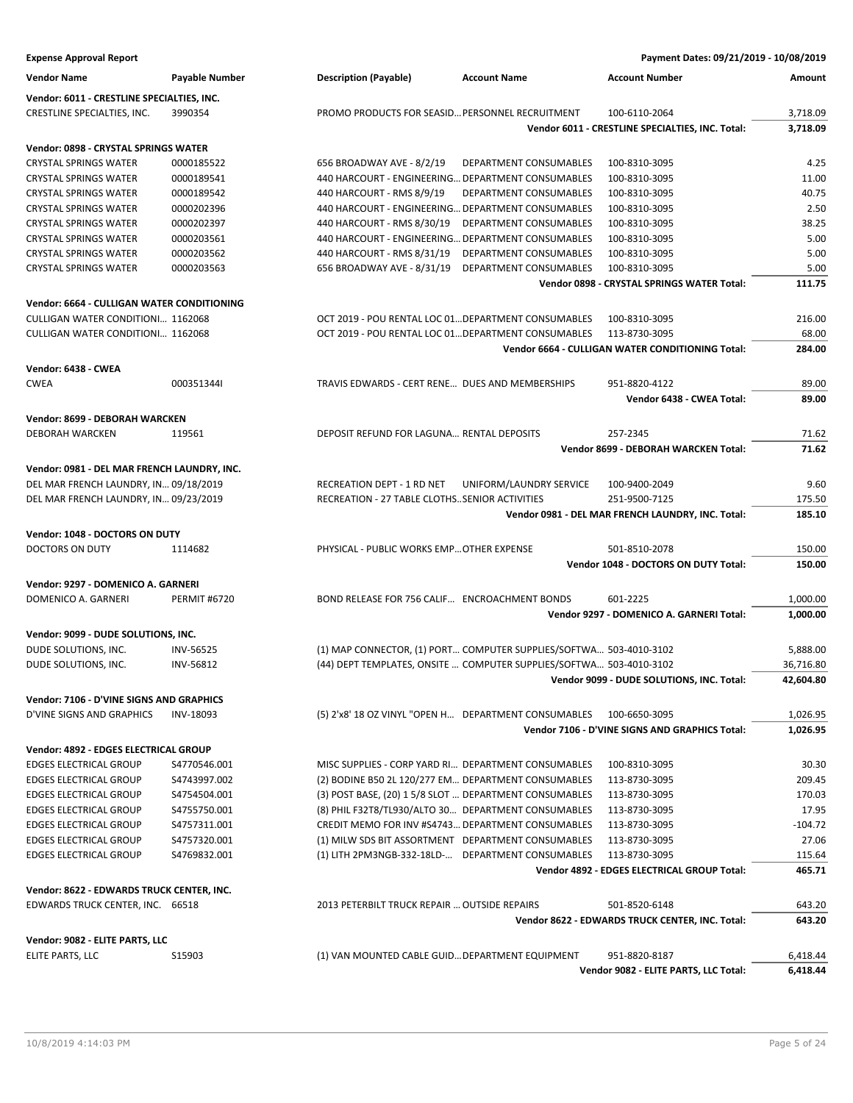| <b>Expense Approval Report</b>              |                       |                                                                     | Payment Dates: 09/21/2019 - 10/08/2019            |           |
|---------------------------------------------|-----------------------|---------------------------------------------------------------------|---------------------------------------------------|-----------|
| <b>Vendor Name</b>                          | <b>Payable Number</b> | <b>Description (Payable)</b><br><b>Account Name</b>                 | <b>Account Number</b>                             | Amount    |
| Vendor: 6011 - CRESTLINE SPECIALTIES, INC.  |                       |                                                                     |                                                   |           |
| CRESTLINE SPECIALTIES, INC.                 | 3990354               | PROMO PRODUCTS FOR SEASID PERSONNEL RECRUITMENT                     | 100-6110-2064                                     | 3,718.09  |
|                                             |                       |                                                                     | Vendor 6011 - CRESTLINE SPECIALTIES, INC. Total:  | 3,718.09  |
| Vendor: 0898 - CRYSTAL SPRINGS WATER        |                       |                                                                     |                                                   |           |
| <b>CRYSTAL SPRINGS WATER</b>                | 0000185522            | 656 BROADWAY AVE - 8/2/19<br>DEPARTMENT CONSUMABLES                 | 100-8310-3095                                     | 4.25      |
| <b>CRYSTAL SPRINGS WATER</b>                | 0000189541            | 440 HARCOURT - ENGINEERING DEPARTMENT CONSUMABLES                   | 100-8310-3095                                     | 11.00     |
| <b>CRYSTAL SPRINGS WATER</b>                | 0000189542            | 440 HARCOURT - RMS 8/9/19<br>DEPARTMENT CONSUMABLES                 | 100-8310-3095                                     | 40.75     |
| <b>CRYSTAL SPRINGS WATER</b>                | 0000202396            | 440 HARCOURT - ENGINEERING DEPARTMENT CONSUMABLES                   | 100-8310-3095                                     | 2.50      |
| <b>CRYSTAL SPRINGS WATER</b>                | 0000202397            | 440 HARCOURT - RMS 8/30/19<br>DEPARTMENT CONSUMABLES                | 100-8310-3095                                     | 38.25     |
| <b>CRYSTAL SPRINGS WATER</b>                | 0000203561            | 440 HARCOURT - ENGINEERING DEPARTMENT CONSUMABLES                   | 100-8310-3095                                     | 5.00      |
| <b>CRYSTAL SPRINGS WATER</b>                | 0000203562            | 440 HARCOURT - RMS 8/31/19<br>DEPARTMENT CONSUMABLES                | 100-8310-3095                                     | 5.00      |
| <b>CRYSTAL SPRINGS WATER</b>                | 0000203563            | 656 BROADWAY AVE - 8/31/19<br>DEPARTMENT CONSUMABLES                | 100-8310-3095                                     | 5.00      |
|                                             |                       |                                                                     | Vendor 0898 - CRYSTAL SPRINGS WATER Total:        | 111.75    |
| Vendor: 6664 - CULLIGAN WATER CONDITIONING  |                       |                                                                     |                                                   |           |
| CULLIGAN WATER CONDITIONI 1162068           |                       | OCT 2019 - POU RENTAL LOC 01 DEPARTMENT CONSUMABLES                 | 100-8310-3095                                     | 216.00    |
| CULLIGAN WATER CONDITIONI 1162068           |                       | OCT 2019 - POU RENTAL LOC 01 DEPARTMENT CONSUMABLES                 | 113-8730-3095                                     | 68.00     |
|                                             |                       |                                                                     | Vendor 6664 - CULLIGAN WATER CONDITIONING Total:  | 284.00    |
|                                             |                       |                                                                     |                                                   |           |
| Vendor: 6438 - CWEA                         |                       |                                                                     |                                                   |           |
| <b>CWEA</b>                                 | 0003513441            | TRAVIS EDWARDS - CERT RENE DUES AND MEMBERSHIPS                     | 951-8820-4122                                     | 89.00     |
|                                             |                       |                                                                     | Vendor 6438 - CWEA Total:                         | 89.00     |
| Vendor: 8699 - DEBORAH WARCKEN              |                       |                                                                     |                                                   |           |
| <b>DEBORAH WARCKEN</b>                      | 119561                | DEPOSIT REFUND FOR LAGUNA RENTAL DEPOSITS                           | 257-2345                                          | 71.62     |
|                                             |                       |                                                                     | Vendor 8699 - DEBORAH WARCKEN Total:              | 71.62     |
| Vendor: 0981 - DEL MAR FRENCH LAUNDRY, INC. |                       |                                                                     |                                                   |           |
| DEL MAR FRENCH LAUNDRY, IN 09/18/2019       |                       | RECREATION DEPT - 1 RD NET<br>UNIFORM/LAUNDRY SERVICE               | 100-9400-2049                                     | 9.60      |
| DEL MAR FRENCH LAUNDRY, IN 09/23/2019       |                       | RECREATION - 27 TABLE CLOTHSSENIOR ACTIVITIES                       | 251-9500-7125                                     | 175.50    |
|                                             |                       |                                                                     | Vendor 0981 - DEL MAR FRENCH LAUNDRY, INC. Total: | 185.10    |
| Vendor: 1048 - DOCTORS ON DUTY              |                       |                                                                     |                                                   |           |
| DOCTORS ON DUTY                             | 1114682               | PHYSICAL - PUBLIC WORKS EMP OTHER EXPENSE                           | 501-8510-2078                                     | 150.00    |
|                                             |                       |                                                                     | Vendor 1048 - DOCTORS ON DUTY Total:              | 150.00    |
|                                             |                       |                                                                     |                                                   |           |
| Vendor: 9297 - DOMENICO A. GARNERI          |                       |                                                                     |                                                   |           |
| DOMENICO A. GARNERI                         | <b>PERMIT #6720</b>   | BOND RELEASE FOR 756 CALIF ENCROACHMENT BONDS                       | 601-2225                                          | 1,000.00  |
|                                             |                       |                                                                     | Vendor 9297 - DOMENICO A. GARNERI Total:          | 1,000.00  |
| Vendor: 9099 - DUDE SOLUTIONS, INC.         |                       |                                                                     |                                                   |           |
| DUDE SOLUTIONS, INC.                        | <b>INV-56525</b>      | (1) MAP CONNECTOR, (1) PORT COMPUTER SUPPLIES/SOFTWA 503-4010-3102  |                                                   | 5,888.00  |
| DUDE SOLUTIONS, INC.                        | INV-56812             | (44) DEPT TEMPLATES, ONSITE  COMPUTER SUPPLIES/SOFTWA 503-4010-3102 |                                                   | 36,716.80 |
|                                             |                       |                                                                     | Vendor 9099 - DUDE SOLUTIONS, INC. Total:         | 42,604.80 |
| Vendor: 7106 - D'VINE SIGNS AND GRAPHICS    |                       |                                                                     |                                                   |           |
| D'VINE SIGNS AND GRAPHICS                   | INV-18093             | (5) 2'x8' 18 OZ VINYL "OPEN H DEPARTMENT CONSUMABLES                | 100-6650-3095                                     | 1,026.95  |
|                                             |                       |                                                                     | Vendor 7106 - D'VINE SIGNS AND GRAPHICS Total:    | 1,026.95  |
|                                             |                       |                                                                     |                                                   |           |
| Vendor: 4892 - EDGES ELECTRICAL GROUP       |                       |                                                                     |                                                   |           |
| <b>EDGES ELECTRICAL GROUP</b>               | S4770546.001          | MISC SUPPLIES - CORP YARD RI DEPARTMENT CONSUMABLES                 | 100-8310-3095                                     | 30.30     |
| <b>EDGES ELECTRICAL GROUP</b>               | S4743997.002          | (2) BODINE B50 2L 120/277 EM DEPARTMENT CONSUMABLES                 | 113-8730-3095                                     | 209.45    |
| <b>EDGES ELECTRICAL GROUP</b>               | S4754504.001          | (3) POST BASE, (20) 1 5/8 SLOT  DEPARTMENT CONSUMABLES              | 113-8730-3095                                     | 170.03    |
| <b>EDGES ELECTRICAL GROUP</b>               | S4755750.001          | (8) PHIL F32T8/TL930/ALTO 30 DEPARTMENT CONSUMABLES                 | 113-8730-3095                                     | 17.95     |
| <b>EDGES ELECTRICAL GROUP</b>               | S4757311.001          | CREDIT MEMO FOR INV #S4743 DEPARTMENT CONSUMABLES                   | 113-8730-3095                                     | $-104.72$ |
| <b>EDGES ELECTRICAL GROUP</b>               | S4757320.001          | (1) MILW SDS BIT ASSORTMENT DEPARTMENT CONSUMABLES                  | 113-8730-3095                                     | 27.06     |
| <b>EDGES ELECTRICAL GROUP</b>               | S4769832.001          | (1) LITH 2PM3NGB-332-18LD- DEPARTMENT CONSUMABLES                   | 113-8730-3095                                     | 115.64    |
|                                             |                       |                                                                     | Vendor 4892 - EDGES ELECTRICAL GROUP Total:       | 465.71    |
| Vendor: 8622 - EDWARDS TRUCK CENTER, INC.   |                       |                                                                     |                                                   |           |
| EDWARDS TRUCK CENTER, INC. 66518            |                       | 2013 PETERBILT TRUCK REPAIR  OUTSIDE REPAIRS                        | 501-8520-6148                                     | 643.20    |
|                                             |                       |                                                                     | Vendor 8622 - EDWARDS TRUCK CENTER, INC. Total:   | 643.20    |
| Vendor: 9082 - ELITE PARTS, LLC             |                       |                                                                     |                                                   |           |
| ELITE PARTS, LLC                            | S15903                | (1) VAN MOUNTED CABLE GUID DEPARTMENT EQUIPMENT                     | 951-8820-8187                                     | 6,418.44  |
|                                             |                       |                                                                     | Vendor 9082 - ELITE PARTS, LLC Total:             | 6,418.44  |
|                                             |                       |                                                                     |                                                   |           |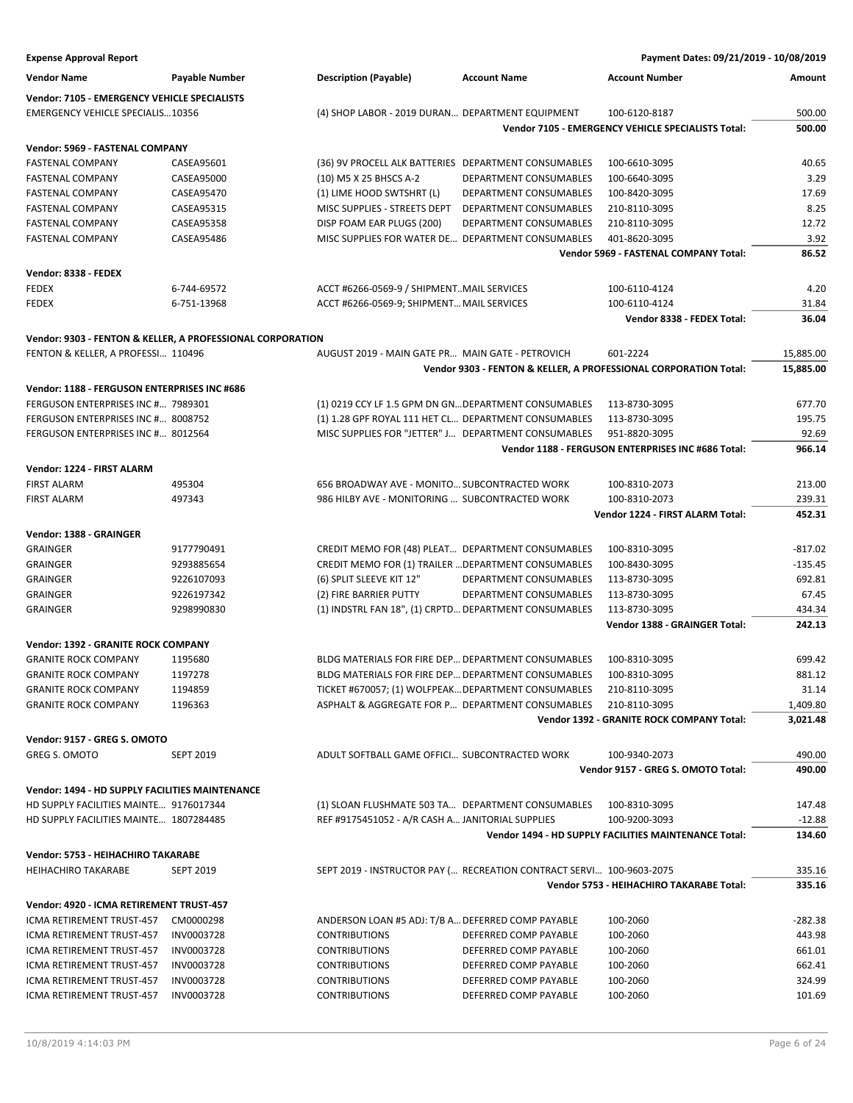| <b>Expense Approval Report</b>                                            |                       |                                                                                                          |                                                                      | Payment Dates: 09/21/2019 - 10/08/2019                           |                      |
|---------------------------------------------------------------------------|-----------------------|----------------------------------------------------------------------------------------------------------|----------------------------------------------------------------------|------------------------------------------------------------------|----------------------|
| <b>Vendor Name</b>                                                        | <b>Payable Number</b> | <b>Description (Payable)</b>                                                                             | <b>Account Name</b>                                                  | <b>Account Number</b>                                            | Amount               |
| Vendor: 7105 - EMERGENCY VEHICLE SPECIALISTS                              |                       |                                                                                                          |                                                                      |                                                                  |                      |
| <b>EMERGENCY VEHICLE SPECIALIS10356</b>                                   |                       | (4) SHOP LABOR - 2019 DURAN DEPARTMENT EQUIPMENT                                                         |                                                                      | 100-6120-8187                                                    | 500.00               |
|                                                                           |                       |                                                                                                          |                                                                      | Vendor 7105 - EMERGENCY VEHICLE SPECIALISTS Total:               | 500.00               |
| Vendor: 5969 - FASTENAL COMPANY                                           |                       |                                                                                                          |                                                                      |                                                                  |                      |
| <b>FASTENAL COMPANY</b>                                                   | CASEA95601            | (36) 9V PROCELL ALK BATTERIES DEPARTMENT CONSUMABLES                                                     |                                                                      | 100-6610-3095                                                    | 40.65                |
| <b>FASTENAL COMPANY</b>                                                   | CASEA95000            | (10) M5 X 25 BHSCS A-2                                                                                   | DEPARTMENT CONSUMABLES                                               | 100-6640-3095                                                    | 3.29                 |
| <b>FASTENAL COMPANY</b>                                                   | CASEA95470            | (1) LIME HOOD SWTSHRT (L)                                                                                | <b>DEPARTMENT CONSUMABLES</b>                                        | 100-8420-3095                                                    | 17.69                |
| <b>FASTENAL COMPANY</b>                                                   | CASEA95315            | MISC SUPPLIES - STREETS DEPT                                                                             | DEPARTMENT CONSUMABLES                                               | 210-8110-3095                                                    | 8.25                 |
| <b>FASTENAL COMPANY</b>                                                   | CASEA95358            | DISP FOAM EAR PLUGS (200)                                                                                | DEPARTMENT CONSUMABLES                                               | 210-8110-3095                                                    | 12.72                |
| <b>FASTENAL COMPANY</b>                                                   | CASEA95486            | MISC SUPPLIES FOR WATER DE DEPARTMENT CONSUMABLES                                                        |                                                                      | 401-8620-3095                                                    | 3.92                 |
|                                                                           |                       |                                                                                                          |                                                                      | Vendor 5969 - FASTENAL COMPANY Total:                            | 86.52                |
| Vendor: 8338 - FEDEX                                                      |                       |                                                                                                          |                                                                      |                                                                  |                      |
| <b>FEDEX</b>                                                              | 6-744-69572           | ACCT #6266-0569-9 / SHIPMENTMAIL SERVICES                                                                |                                                                      | 100-6110-4124                                                    | 4.20                 |
| <b>FEDEX</b>                                                              | 6-751-13968           | ACCT #6266-0569-9; SHIPMENT MAIL SERVICES                                                                |                                                                      | 100-6110-4124                                                    | 31.84                |
|                                                                           |                       |                                                                                                          |                                                                      | Vendor 8338 - FEDEX Total:                                       | 36.04                |
| Vendor: 9303 - FENTON & KELLER, A PROFESSIONAL CORPORATION                |                       |                                                                                                          |                                                                      |                                                                  |                      |
| FENTON & KELLER, A PROFESSI 110496                                        |                       | AUGUST 2019 - MAIN GATE PR MAIN GATE - PETROVICH                                                         |                                                                      | 601-2224                                                         | 15,885.00            |
|                                                                           |                       |                                                                                                          |                                                                      | Vendor 9303 - FENTON & KELLER, A PROFESSIONAL CORPORATION Total: | 15,885.00            |
| Vendor: 1188 - FERGUSON ENTERPRISES INC #686                              |                       |                                                                                                          |                                                                      |                                                                  |                      |
| FERGUSON ENTERPRISES INC # 7989301                                        |                       | (1) 0219 CCY LF 1.5 GPM DN GN DEPARTMENT CONSUMABLES                                                     |                                                                      | 113-8730-3095                                                    | 677.70               |
| FERGUSON ENTERPRISES INC # 8008752                                        |                       | (1) 1.28 GPF ROYAL 111 HET CL DEPARTMENT CONSUMABLES                                                     |                                                                      | 113-8730-3095                                                    | 195.75               |
| FERGUSON ENTERPRISES INC # 8012564                                        |                       | MISC SUPPLIES FOR "JETTER" J DEPARTMENT CONSUMABLES                                                      |                                                                      | 951-8820-3095                                                    | 92.69                |
|                                                                           |                       |                                                                                                          |                                                                      | Vendor 1188 - FERGUSON ENTERPRISES INC #686 Total:               | 966.14               |
| Vendor: 1224 - FIRST ALARM                                                |                       |                                                                                                          |                                                                      |                                                                  |                      |
| <b>FIRST ALARM</b>                                                        | 495304                | 656 BROADWAY AVE - MONITO SUBCONTRACTED WORK                                                             |                                                                      | 100-8310-2073                                                    | 213.00               |
| <b>FIRST ALARM</b>                                                        | 497343                | 986 HILBY AVE - MONITORING  SUBCONTRACTED WORK                                                           |                                                                      | 100-8310-2073                                                    | 239.31               |
|                                                                           |                       |                                                                                                          |                                                                      | Vendor 1224 - FIRST ALARM Total:                                 | 452.31               |
| Vendor: 1388 - GRAINGER                                                   |                       |                                                                                                          |                                                                      |                                                                  |                      |
| <b>GRAINGER</b>                                                           | 9177790491            | CREDIT MEMO FOR (48) PLEAT DEPARTMENT CONSUMABLES                                                        |                                                                      | 100-8310-3095                                                    | $-817.02$            |
| <b>GRAINGER</b>                                                           | 9293885654            | CREDIT MEMO FOR (1) TRAILER  DEPARTMENT CONSUMABLES                                                      |                                                                      | 100-8430-3095                                                    | $-135.45$            |
| <b>GRAINGER</b>                                                           | 9226107093            | (6) SPLIT SLEEVE KIT 12"                                                                                 | DEPARTMENT CONSUMABLES                                               | 113-8730-3095                                                    | 692.81               |
| <b>GRAINGER</b>                                                           | 9226197342            | (2) FIRE BARRIER PUTTY                                                                                   | DEPARTMENT CONSUMABLES                                               | 113-8730-3095                                                    | 67.45                |
| <b>GRAINGER</b>                                                           | 9298990830            | (1) INDSTRL FAN 18", (1) CRPTD DEPARTMENT CONSUMABLES                                                    |                                                                      | 113-8730-3095                                                    | 434.34               |
|                                                                           |                       |                                                                                                          |                                                                      | Vendor 1388 - GRAINGER Total:                                    | 242.13               |
|                                                                           |                       |                                                                                                          |                                                                      |                                                                  |                      |
| <b>Vendor: 1392 - GRANITE ROCK COMPANY</b><br><b>GRANITE ROCK COMPANY</b> | 1195680               |                                                                                                          |                                                                      |                                                                  |                      |
| <b>GRANITE ROCK COMPANY</b>                                               | 1197278               | BLDG MATERIALS FOR FIRE DEP DEPARTMENT CONSUMABLES<br>BLDG MATERIALS FOR FIRE DEP DEPARTMENT CONSUMABLES |                                                                      | 100-8310-3095<br>100-8310-3095                                   | 699.42               |
|                                                                           |                       |                                                                                                          |                                                                      |                                                                  | 881.12               |
| <b>GRANITE ROCK COMPANY</b>                                               | 1194859               | TICKET #670057; (1) WOLFPEAK DEPARTMENT CONSUMABLES                                                      |                                                                      | 210-8110-3095                                                    | 31.14                |
| <b>GRANITE ROCK COMPANY</b>                                               | 1196363               | ASPHALT & AGGREGATE FOR P DEPARTMENT CONSUMABLES                                                         |                                                                      | 210-8110-3095                                                    | 1,409.80<br>3,021.48 |
|                                                                           |                       |                                                                                                          |                                                                      | Vendor 1392 - GRANITE ROCK COMPANY Total:                        |                      |
| Vendor: 9157 - GREG S. OMOTO                                              |                       |                                                                                                          |                                                                      |                                                                  |                      |
| <b>GREG S. OMOTO</b>                                                      | <b>SEPT 2019</b>      | ADULT SOFTBALL GAME OFFICI SUBCONTRACTED WORK                                                            |                                                                      | 100-9340-2073<br>Vendor 9157 - GREG S. OMOTO Total:              | 490.00<br>490.00     |
|                                                                           |                       |                                                                                                          |                                                                      |                                                                  |                      |
| Vendor: 1494 - HD SUPPLY FACILITIES MAINTENANCE                           |                       |                                                                                                          |                                                                      |                                                                  |                      |
| HD SUPPLY FACILITIES MAINTE 9176017344                                    |                       | (1) SLOAN FLUSHMATE 503 TA DEPARTMENT CONSUMABLES                                                        |                                                                      | 100-8310-3095                                                    | 147.48               |
| HD SUPPLY FACILITIES MAINTE 1807284485                                    |                       | REF #9175451052 - A/R CASH A JANITORIAL SUPPLIES                                                         |                                                                      | 100-9200-3093                                                    | $-12.88$             |
|                                                                           |                       |                                                                                                          |                                                                      | Vendor 1494 - HD SUPPLY FACILITIES MAINTENANCE Total:            | 134.60               |
| Vendor: 5753 - HEIHACHIRO TAKARABE                                        |                       |                                                                                                          |                                                                      |                                                                  |                      |
| <b>HEIHACHIRO TAKARABE</b>                                                | <b>SEPT 2019</b>      |                                                                                                          | SEPT 2019 - INSTRUCTOR PAY ( RECREATION CONTRACT SERVI 100-9603-2075 |                                                                  | 335.16               |
|                                                                           |                       |                                                                                                          |                                                                      | Vendor 5753 - HEIHACHIRO TAKARABE Total:                         | 335.16               |
| Vendor: 4920 - ICMA RETIREMENT TRUST-457                                  |                       |                                                                                                          |                                                                      |                                                                  |                      |
| ICMA RETIREMENT TRUST-457                                                 | CM0000298             | ANDERSON LOAN #5 ADJ: T/B A DEFERRED COMP PAYABLE                                                        |                                                                      | 100-2060                                                         | $-282.38$            |
| ICMA RETIREMENT TRUST-457                                                 | INV0003728            | <b>CONTRIBUTIONS</b>                                                                                     | DEFERRED COMP PAYABLE                                                | 100-2060                                                         | 443.98               |
| ICMA RETIREMENT TRUST-457                                                 | INV0003728            | <b>CONTRIBUTIONS</b>                                                                                     | DEFERRED COMP PAYABLE                                                | 100-2060                                                         | 661.01               |
| ICMA RETIREMENT TRUST-457                                                 | INV0003728            | <b>CONTRIBUTIONS</b>                                                                                     | DEFERRED COMP PAYABLE                                                | 100-2060                                                         | 662.41               |
| ICMA RETIREMENT TRUST-457                                                 | INV0003728            | <b>CONTRIBUTIONS</b>                                                                                     | DEFERRED COMP PAYABLE                                                | 100-2060                                                         | 324.99               |
| ICMA RETIREMENT TRUST-457                                                 | INV0003728            | <b>CONTRIBUTIONS</b>                                                                                     | DEFERRED COMP PAYABLE                                                | 100-2060                                                         | 101.69               |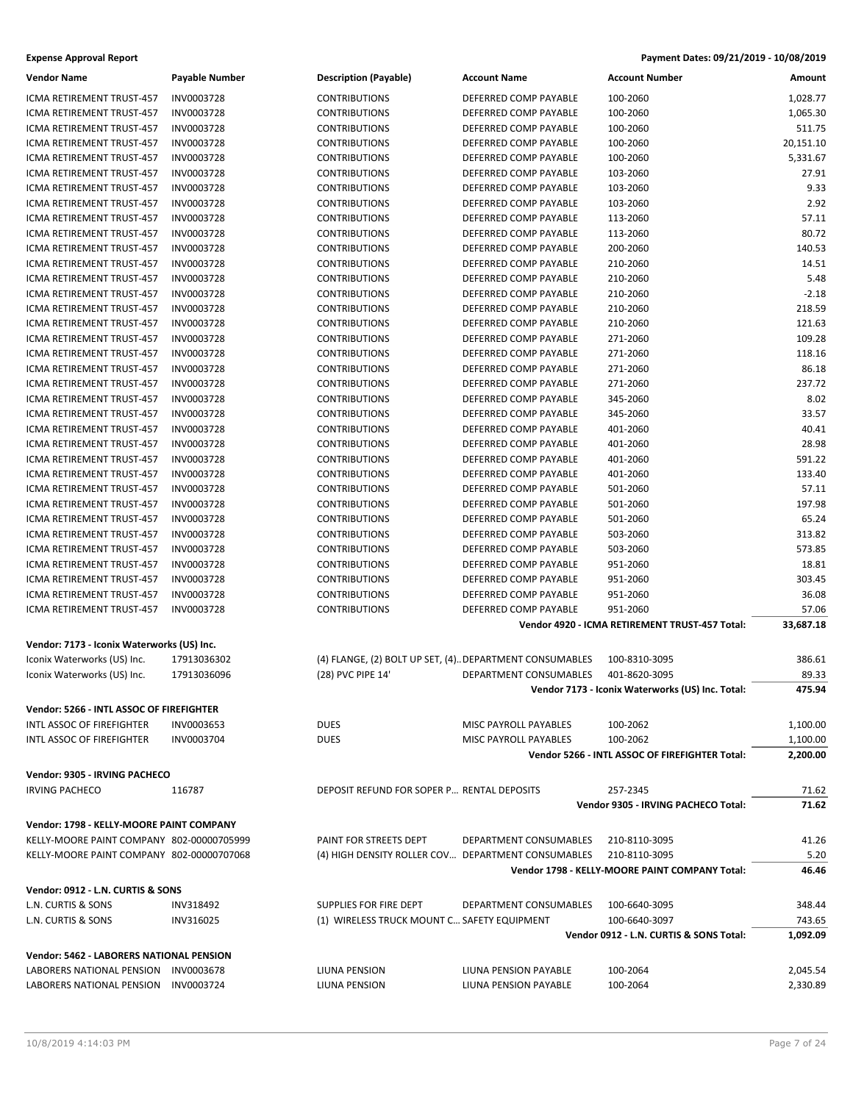| <b>Vendor Name</b>                         | <b>Payable Number</b> | <b>Description (Payable)</b>                             | <b>Account Name</b>          | <b>Account Number</b>                            | Amount    |
|--------------------------------------------|-----------------------|----------------------------------------------------------|------------------------------|--------------------------------------------------|-----------|
| ICMA RETIREMENT TRUST-457                  | INV0003728            | <b>CONTRIBUTIONS</b>                                     | DEFERRED COMP PAYABLE        | 100-2060                                         | 1,028.77  |
| ICMA RETIREMENT TRUST-457                  | INV0003728            | <b>CONTRIBUTIONS</b>                                     | DEFERRED COMP PAYABLE        | 100-2060                                         | 1,065.30  |
| ICMA RETIREMENT TRUST-457                  | INV0003728            | <b>CONTRIBUTIONS</b>                                     | DEFERRED COMP PAYABLE        | 100-2060                                         | 511.75    |
| ICMA RETIREMENT TRUST-457                  | INV0003728            | <b>CONTRIBUTIONS</b>                                     | DEFERRED COMP PAYABLE        | 100-2060                                         | 20,151.10 |
| ICMA RETIREMENT TRUST-457                  | INV0003728            | <b>CONTRIBUTIONS</b>                                     | DEFERRED COMP PAYABLE        | 100-2060                                         | 5,331.67  |
| ICMA RETIREMENT TRUST-457                  | INV0003728            | <b>CONTRIBUTIONS</b>                                     | DEFERRED COMP PAYABLE        | 103-2060                                         | 27.91     |
| ICMA RETIREMENT TRUST-457                  | INV0003728            | <b>CONTRIBUTIONS</b>                                     | DEFERRED COMP PAYABLE        | 103-2060                                         | 9.33      |
| ICMA RETIREMENT TRUST-457                  | INV0003728            | <b>CONTRIBUTIONS</b>                                     | DEFERRED COMP PAYABLE        | 103-2060                                         | 2.92      |
| ICMA RETIREMENT TRUST-457                  | INV0003728            | <b>CONTRIBUTIONS</b>                                     | DEFERRED COMP PAYABLE        | 113-2060                                         | 57.11     |
| <b>ICMA RETIREMENT TRUST-457</b>           | INV0003728            | <b>CONTRIBUTIONS</b>                                     | DEFERRED COMP PAYABLE        | 113-2060                                         | 80.72     |
| ICMA RETIREMENT TRUST-457                  | INV0003728            | <b>CONTRIBUTIONS</b>                                     | DEFERRED COMP PAYABLE        | 200-2060                                         | 140.53    |
| <b>ICMA RETIREMENT TRUST-457</b>           | INV0003728            | <b>CONTRIBUTIONS</b>                                     | DEFERRED COMP PAYABLE        | 210-2060                                         | 14.51     |
| ICMA RETIREMENT TRUST-457                  | INV0003728            | <b>CONTRIBUTIONS</b>                                     | DEFERRED COMP PAYABLE        | 210-2060                                         | 5.48      |
| ICMA RETIREMENT TRUST-457                  | INV0003728            | <b>CONTRIBUTIONS</b>                                     | DEFERRED COMP PAYABLE        | 210-2060                                         | $-2.18$   |
| ICMA RETIREMENT TRUST-457                  | INV0003728            | <b>CONTRIBUTIONS</b>                                     | DEFERRED COMP PAYABLE        | 210-2060                                         | 218.59    |
| ICMA RETIREMENT TRUST-457                  | INV0003728            | <b>CONTRIBUTIONS</b>                                     | DEFERRED COMP PAYABLE        | 210-2060                                         | 121.63    |
| ICMA RETIREMENT TRUST-457                  | INV0003728            | <b>CONTRIBUTIONS</b>                                     | DEFERRED COMP PAYABLE        | 271-2060                                         | 109.28    |
| ICMA RETIREMENT TRUST-457                  | INV0003728            | <b>CONTRIBUTIONS</b>                                     | DEFERRED COMP PAYABLE        | 271-2060                                         | 118.16    |
| ICMA RETIREMENT TRUST-457                  | INV0003728            | <b>CONTRIBUTIONS</b>                                     | DEFERRED COMP PAYABLE        | 271-2060                                         | 86.18     |
| ICMA RETIREMENT TRUST-457                  | INV0003728            | <b>CONTRIBUTIONS</b>                                     | DEFERRED COMP PAYABLE        | 271-2060                                         | 237.72    |
| ICMA RETIREMENT TRUST-457                  | INV0003728            | <b>CONTRIBUTIONS</b>                                     | DEFERRED COMP PAYABLE        | 345-2060                                         | 8.02      |
| ICMA RETIREMENT TRUST-457                  | INV0003728            | <b>CONTRIBUTIONS</b>                                     | DEFERRED COMP PAYABLE        | 345-2060                                         | 33.57     |
| <b>ICMA RETIREMENT TRUST-457</b>           | INV0003728            | <b>CONTRIBUTIONS</b>                                     | DEFERRED COMP PAYABLE        | 401-2060                                         | 40.41     |
| ICMA RETIREMENT TRUST-457                  | INV0003728            | <b>CONTRIBUTIONS</b>                                     | DEFERRED COMP PAYABLE        | 401-2060                                         | 28.98     |
| ICMA RETIREMENT TRUST-457                  | INV0003728            | <b>CONTRIBUTIONS</b>                                     | DEFERRED COMP PAYABLE        | 401-2060                                         | 591.22    |
| ICMA RETIREMENT TRUST-457                  | INV0003728            | <b>CONTRIBUTIONS</b>                                     | DEFERRED COMP PAYABLE        | 401-2060                                         | 133.40    |
| ICMA RETIREMENT TRUST-457                  | INV0003728            | <b>CONTRIBUTIONS</b>                                     | DEFERRED COMP PAYABLE        | 501-2060                                         | 57.11     |
| ICMA RETIREMENT TRUST-457                  | INV0003728            | <b>CONTRIBUTIONS</b>                                     | DEFERRED COMP PAYABLE        | 501-2060                                         | 197.98    |
| ICMA RETIREMENT TRUST-457                  | INV0003728            | <b>CONTRIBUTIONS</b>                                     | DEFERRED COMP PAYABLE        | 501-2060                                         | 65.24     |
| ICMA RETIREMENT TRUST-457                  | INV0003728            | <b>CONTRIBUTIONS</b>                                     | DEFERRED COMP PAYABLE        | 503-2060                                         | 313.82    |
| ICMA RETIREMENT TRUST-457                  | INV0003728            | <b>CONTRIBUTIONS</b>                                     | DEFERRED COMP PAYABLE        | 503-2060                                         | 573.85    |
| ICMA RETIREMENT TRUST-457                  | INV0003728            | <b>CONTRIBUTIONS</b>                                     | DEFERRED COMP PAYABLE        | 951-2060                                         | 18.81     |
| ICMA RETIREMENT TRUST-457                  | INV0003728            | <b>CONTRIBUTIONS</b>                                     | DEFERRED COMP PAYABLE        | 951-2060                                         | 303.45    |
| ICMA RETIREMENT TRUST-457                  | INV0003728            | <b>CONTRIBUTIONS</b>                                     | DEFERRED COMP PAYABLE        | 951-2060                                         | 36.08     |
| ICMA RETIREMENT TRUST-457                  | INV0003728            | <b>CONTRIBUTIONS</b>                                     | DEFERRED COMP PAYABLE        | 951-2060                                         | 57.06     |
|                                            |                       |                                                          |                              | Vendor 4920 - ICMA RETIREMENT TRUST-457 Total:   | 33,687.18 |
|                                            |                       |                                                          |                              |                                                  |           |
| Vendor: 7173 - Iconix Waterworks (US) Inc. |                       |                                                          |                              |                                                  |           |
| Iconix Waterworks (US) Inc.                | 17913036302           | (4) FLANGE, (2) BOLT UP SET, (4). DEPARTMENT CONSUMABLES |                              | 100-8310-3095                                    | 386.61    |
| Iconix Waterworks (US) Inc.                | 17913036096           | (28) PVC PIPE 14'                                        | DEPARTMENT CONSUMABLES       | 401-8620-3095                                    | 89.33     |
|                                            |                       |                                                          |                              | Vendor 7173 - Iconix Waterworks (US) Inc. Total: | 475.94    |
| Vendor: 5266 - INTL ASSOC OF FIREFIGHTER   |                       |                                                          |                              |                                                  |           |
| <b>INTL ASSOC OF FIREFIGHTER</b>           | INV0003653            | <b>DUES</b>                                              | MISC PAYROLL PAYABLES        | 100-2062                                         | 1,100.00  |
| INTL ASSOC OF FIREFIGHTER                  | INV0003704            | <b>DUES</b>                                              | <b>MISC PAYROLL PAYABLES</b> | 100-2062                                         | 1,100.00  |
|                                            |                       |                                                          |                              | Vendor 5266 - INTL ASSOC OF FIREFIGHTER Total:   | 2,200.00  |
| Vendor: 9305 - IRVING PACHECO              |                       |                                                          |                              |                                                  |           |
| <b>IRVING PACHECO</b>                      | 116787                | DEPOSIT REFUND FOR SOPER P RENTAL DEPOSITS               |                              | 257-2345                                         | 71.62     |
|                                            |                       |                                                          |                              | Vendor 9305 - IRVING PACHECO Total:              | 71.62     |
|                                            |                       |                                                          |                              |                                                  |           |
| Vendor: 1798 - KELLY-MOORE PAINT COMPANY   |                       |                                                          |                              |                                                  |           |
| KELLY-MOORE PAINT COMPANY 802-00000705999  |                       | PAINT FOR STREETS DEPT                                   | DEPARTMENT CONSUMABLES       | 210-8110-3095                                    | 41.26     |
| KELLY-MOORE PAINT COMPANY 802-00000707068  |                       | (4) HIGH DENSITY ROLLER COV DEPARTMENT CONSUMABLES       |                              | 210-8110-3095                                    | 5.20      |
|                                            |                       |                                                          |                              | Vendor 1798 - KELLY-MOORE PAINT COMPANY Total:   | 46.46     |
| Vendor: 0912 - L.N. CURTIS & SONS          |                       |                                                          |                              |                                                  |           |
| L.N. CURTIS & SONS                         | <b>INV318492</b>      | <b>SUPPLIES FOR FIRE DEPT</b>                            | DEPARTMENT CONSUMABLES       | 100-6640-3095                                    | 348.44    |
| L.N. CURTIS & SONS                         | INV316025             | (1) WIRELESS TRUCK MOUNT C SAFETY EQUIPMENT              |                              | 100-6640-3097                                    | 743.65    |
|                                            |                       |                                                          |                              | Vendor 0912 - L.N. CURTIS & SONS Total:          | 1,092.09  |
| Vendor: 5462 - LABORERS NATIONAL PENSION   |                       |                                                          |                              |                                                  |           |
| LABORERS NATIONAL PENSION                  | INV0003678            | LIUNA PENSION                                            | LIUNA PENSION PAYABLE        | 100-2064                                         | 2,045.54  |
| LABORERS NATIONAL PENSION                  | INV0003724            | LIUNA PENSION                                            | LIUNA PENSION PAYABLE        | 100-2064                                         | 2,330.89  |
|                                            |                       |                                                          |                              |                                                  |           |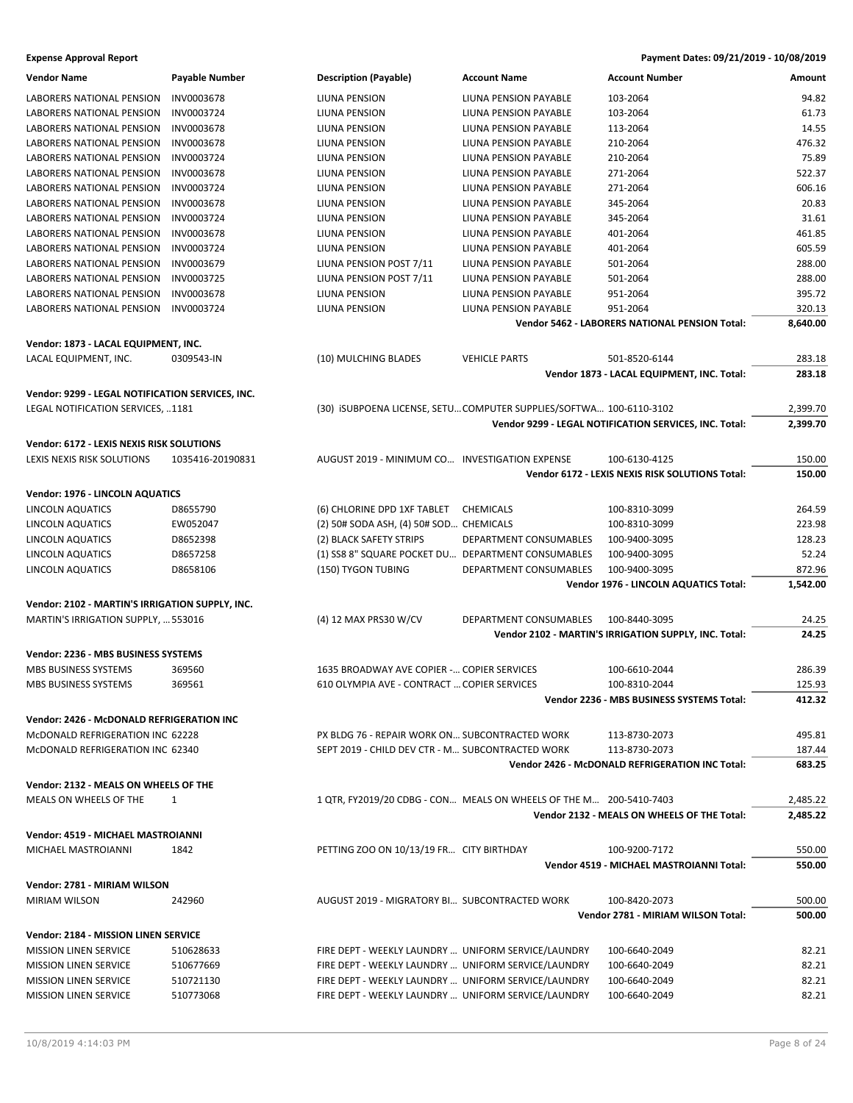| <b>Vendor Name</b>                               | <b>Payable Number</b> | <b>Description (Payable)</b>                        | <b>Account Name</b>                                                | <b>Account Number</b>                                  | Amount   |
|--------------------------------------------------|-----------------------|-----------------------------------------------------|--------------------------------------------------------------------|--------------------------------------------------------|----------|
| LABORERS NATIONAL PENSION                        | INV0003678            | LIUNA PENSION                                       | LIUNA PENSION PAYABLE                                              | 103-2064                                               | 94.82    |
| LABORERS NATIONAL PENSION                        | INV0003724            | LIUNA PENSION                                       | LIUNA PENSION PAYABLE                                              | 103-2064                                               | 61.73    |
| LABORERS NATIONAL PENSION                        | INV0003678            | LIUNA PENSION                                       | LIUNA PENSION PAYABLE                                              | 113-2064                                               | 14.55    |
| <b>LABORERS NATIONAL PENSION</b>                 | INV0003678            | LIUNA PENSION                                       | LIUNA PENSION PAYABLE                                              | 210-2064                                               | 476.32   |
| <b>LABORERS NATIONAL PENSION</b>                 | INV0003724            | LIUNA PENSION                                       | LIUNA PENSION PAYABLE                                              | 210-2064                                               | 75.89    |
| LABORERS NATIONAL PENSION                        | INV0003678            | LIUNA PENSION                                       | LIUNA PENSION PAYABLE                                              | 271-2064                                               | 522.37   |
| LABORERS NATIONAL PENSION                        | INV0003724            | LIUNA PENSION                                       | LIUNA PENSION PAYABLE                                              | 271-2064                                               | 606.16   |
| LABORERS NATIONAL PENSION                        | INV0003678            | LIUNA PENSION                                       | LIUNA PENSION PAYABLE                                              | 345-2064                                               | 20.83    |
| LABORERS NATIONAL PENSION                        | INV0003724            | LIUNA PENSION                                       | <b>LIUNA PENSION PAYABLE</b>                                       | 345-2064                                               | 31.61    |
| <b>LABORERS NATIONAL PENSION</b>                 | INV0003678            | LIUNA PENSION                                       | LIUNA PENSION PAYABLE                                              | 401-2064                                               | 461.85   |
| LABORERS NATIONAL PENSION                        | INV0003724            | LIUNA PENSION                                       | LIUNA PENSION PAYABLE                                              | 401-2064                                               | 605.59   |
| LABORERS NATIONAL PENSION                        | INV0003679            | LIUNA PENSION POST 7/11                             | LIUNA PENSION PAYABLE                                              | 501-2064                                               | 288.00   |
| LABORERS NATIONAL PENSION                        | INV0003725            | LIUNA PENSION POST 7/11                             | LIUNA PENSION PAYABLE                                              | 501-2064                                               | 288.00   |
| LABORERS NATIONAL PENSION                        | <b>INV0003678</b>     | LIUNA PENSION                                       | LIUNA PENSION PAYABLE                                              | 951-2064                                               | 395.72   |
| LABORERS NATIONAL PENSION                        | INV0003724            | LIUNA PENSION                                       | LIUNA PENSION PAYABLE                                              | 951-2064                                               | 320.13   |
|                                                  |                       |                                                     |                                                                    | Vendor 5462 - LABORERS NATIONAL PENSION Total:         | 8,640.00 |
| Vendor: 1873 - LACAL EQUIPMENT, INC.             |                       |                                                     |                                                                    |                                                        |          |
| LACAL EQUIPMENT, INC.                            | 0309543-IN            | (10) MULCHING BLADES                                | <b>VEHICLE PARTS</b>                                               | 501-8520-6144                                          | 283.18   |
|                                                  |                       |                                                     |                                                                    | Vendor 1873 - LACAL EQUIPMENT, INC. Total:             | 283.18   |
|                                                  |                       |                                                     |                                                                    |                                                        |          |
| Vendor: 9299 - LEGAL NOTIFICATION SERVICES, INC. |                       |                                                     |                                                                    |                                                        |          |
| LEGAL NOTIFICATION SERVICES, 1181                |                       |                                                     | (30) ISUBPOENA LICENSE, SETUCOMPUTER SUPPLIES/SOFTWA 100-6110-3102 |                                                        | 2,399.70 |
|                                                  |                       |                                                     |                                                                    | Vendor 9299 - LEGAL NOTIFICATION SERVICES, INC. Total: | 2,399.70 |
| Vendor: 6172 - LEXIS NEXIS RISK SOLUTIONS        |                       |                                                     |                                                                    |                                                        |          |
| LEXIS NEXIS RISK SOLUTIONS                       | 1035416-20190831      | AUGUST 2019 - MINIMUM CO INVESTIGATION EXPENSE      |                                                                    | 100-6130-4125                                          | 150.00   |
|                                                  |                       |                                                     |                                                                    | Vendor 6172 - LEXIS NEXIS RISK SOLUTIONS Total:        | 150.00   |
| Vendor: 1976 - LINCOLN AQUATICS                  |                       |                                                     |                                                                    |                                                        |          |
| LINCOLN AQUATICS                                 | D8655790              | (6) CHLORINE DPD 1XF TABLET                         | CHEMICALS                                                          | 100-8310-3099                                          | 264.59   |
| LINCOLN AQUATICS                                 | EW052047              | (2) 50# SODA ASH, (4) 50# SOD CHEMICALS             |                                                                    | 100-8310-3099                                          | 223.98   |
| LINCOLN AQUATICS                                 | D8652398              | (2) BLACK SAFETY STRIPS                             | DEPARTMENT CONSUMABLES                                             | 100-9400-3095                                          | 128.23   |
| LINCOLN AQUATICS                                 | D8657258              | (1) SS8 8" SQUARE POCKET DU DEPARTMENT CONSUMABLES  |                                                                    | 100-9400-3095                                          | 52.24    |
| LINCOLN AQUATICS                                 | D8658106              | (150) TYGON TUBING                                  | DEPARTMENT CONSUMABLES                                             | 100-9400-3095                                          | 872.96   |
|                                                  |                       |                                                     |                                                                    | Vendor 1976 - LINCOLN AQUATICS Total:                  | 1,542.00 |
| Vendor: 2102 - MARTIN'S IRRIGATION SUPPLY, INC.  |                       |                                                     |                                                                    |                                                        |          |
| MARTIN'S IRRIGATION SUPPLY,  553016              |                       | (4) 12 MAX PRS30 W/CV                               | DEPARTMENT CONSUMABLES                                             | 100-8440-3095                                          | 24.25    |
|                                                  |                       |                                                     |                                                                    | Vendor 2102 - MARTIN'S IRRIGATION SUPPLY, INC. Total:  | 24.25    |
|                                                  |                       |                                                     |                                                                    |                                                        |          |
| Vendor: 2236 - MBS BUSINESS SYSTEMS              |                       |                                                     |                                                                    |                                                        |          |
| MBS BUSINESS SYSTEMS                             | 369560                | 1635 BROADWAY AVE COPIER - COPIER SERVICES          |                                                                    | 100-6610-2044                                          | 286.39   |
| MBS BUSINESS SYSTEMS                             | 369561                | 610 OLYMPIA AVE - CONTRACT  COPIER SERVICES         |                                                                    | 100-8310-2044                                          | 125.93   |
|                                                  |                       |                                                     |                                                                    | Vendor 2236 - MBS BUSINESS SYSTEMS Total:              | 412.32   |
| Vendor: 2426 - McDONALD REFRIGERATION INC        |                       |                                                     |                                                                    |                                                        |          |
| McDONALD REFRIGERATION INC 62228                 |                       | PX BLDG 76 - REPAIR WORK ON SUBCONTRACTED WORK      |                                                                    | 113-8730-2073                                          | 495.81   |
| MCDONALD REFRIGERATION INC 62340                 |                       | SEPT 2019 - CHILD DEV CTR - M SUBCONTRACTED WORK    |                                                                    | 113-8730-2073                                          | 187.44   |
|                                                  |                       |                                                     |                                                                    | Vendor 2426 - McDONALD REFRIGERATION INC Total:        | 683.25   |
| Vendor: 2132 - MEALS ON WHEELS OF THE            |                       |                                                     |                                                                    |                                                        |          |
| MEALS ON WHEELS OF THE                           | 1                     |                                                     | 1 QTR, FY2019/20 CDBG - CON MEALS ON WHEELS OF THE M 200-5410-7403 |                                                        | 2.485.22 |
|                                                  |                       |                                                     |                                                                    | Vendor 2132 - MEALS ON WHEELS OF THE Total:            | 2,485.22 |
| Vendor: 4519 - MICHAEL MASTROIANNI               |                       |                                                     |                                                                    |                                                        |          |
| MICHAEL MASTROIANNI                              | 1842                  | PETTING ZOO ON 10/13/19 FR CITY BIRTHDAY            |                                                                    | 100-9200-7172                                          | 550.00   |
|                                                  |                       |                                                     |                                                                    | Vendor 4519 - MICHAEL MASTROIANNI Total:               | 550.00   |
|                                                  |                       |                                                     |                                                                    |                                                        |          |
| Vendor: 2781 - MIRIAM WILSON                     |                       |                                                     |                                                                    |                                                        |          |
| <b>MIRIAM WILSON</b>                             | 242960                | AUGUST 2019 - MIGRATORY BI SUBCONTRACTED WORK       |                                                                    | 100-8420-2073                                          | 500.00   |
|                                                  |                       |                                                     |                                                                    | Vendor 2781 - MIRIAM WILSON Total:                     | 500.00   |
| Vendor: 2184 - MISSION LINEN SERVICE             |                       |                                                     |                                                                    |                                                        |          |
| <b>MISSION LINEN SERVICE</b>                     | 510628633             | FIRE DEPT - WEEKLY LAUNDRY  UNIFORM SERVICE/LAUNDRY |                                                                    | 100-6640-2049                                          | 82.21    |
| <b>MISSION LINEN SERVICE</b>                     | 510677669             | FIRE DEPT - WEEKLY LAUNDRY  UNIFORM SERVICE/LAUNDRY |                                                                    | 100-6640-2049                                          | 82.21    |
| <b>MISSION LINEN SERVICE</b>                     | 510721130             | FIRE DEPT - WEEKLY LAUNDRY  UNIFORM SERVICE/LAUNDRY |                                                                    | 100-6640-2049                                          | 82.21    |
| <b>MISSION LINEN SERVICE</b>                     | 510773068             | FIRE DEPT - WEEKLY LAUNDRY  UNIFORM SERVICE/LAUNDRY |                                                                    | 100-6640-2049                                          | 82.21    |
|                                                  |                       |                                                     |                                                                    |                                                        |          |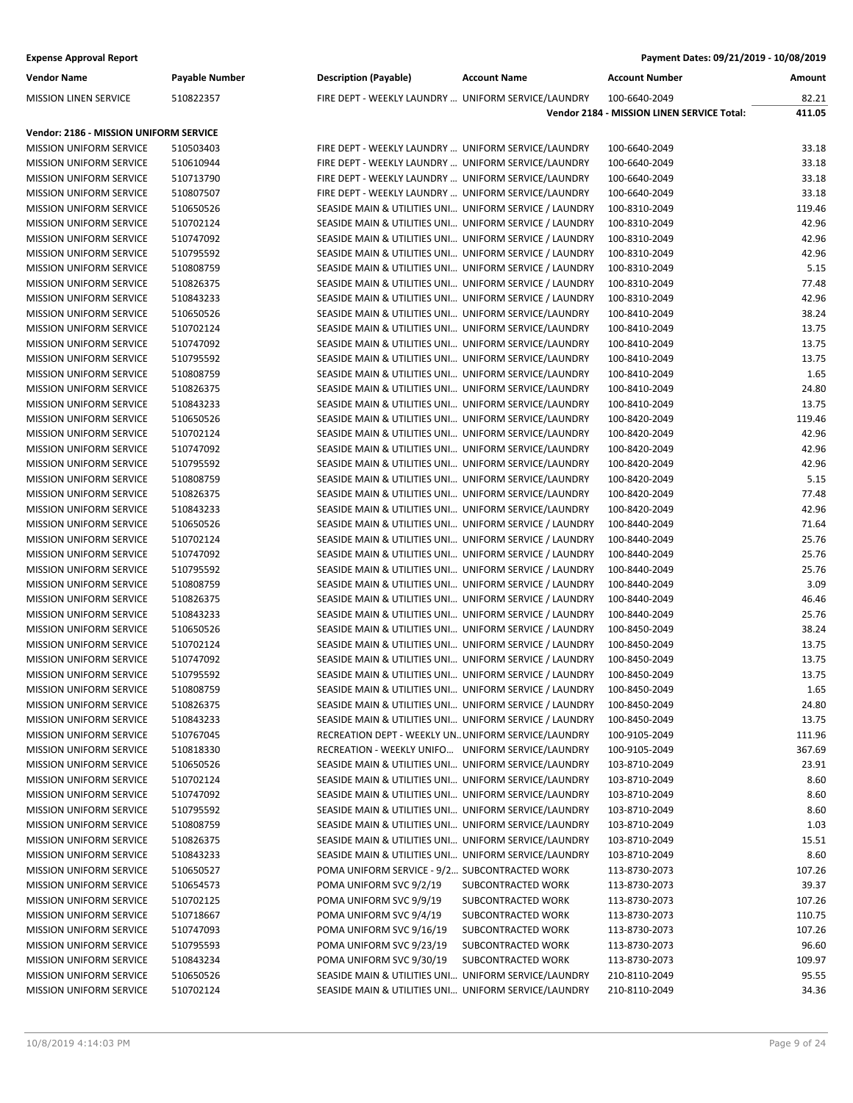| <b>Vendor Name</b>                                        | <b>Payable Number</b>  | <b>Description (Payable)</b>                                                                                     | <b>Account Name</b> | <b>Account Number</b>                      | Amount         |
|-----------------------------------------------------------|------------------------|------------------------------------------------------------------------------------------------------------------|---------------------|--------------------------------------------|----------------|
| <b>MISSION LINEN SERVICE</b>                              | 510822357              | FIRE DEPT - WEEKLY LAUNDRY  UNIFORM SERVICE/LAUNDRY                                                              |                     | 100-6640-2049                              | 82.21          |
|                                                           |                        |                                                                                                                  |                     | Vendor 2184 - MISSION LINEN SERVICE Total: | 411.05         |
| Vendor: 2186 - MISSION UNIFORM SERVICE                    |                        |                                                                                                                  |                     |                                            |                |
| <b>MISSION UNIFORM SERVICE</b>                            | 510503403              | FIRE DEPT - WEEKLY LAUNDRY  UNIFORM SERVICE/LAUNDRY                                                              |                     | 100-6640-2049                              | 33.18          |
| <b>MISSION UNIFORM SERVICE</b>                            | 510610944              | FIRE DEPT - WEEKLY LAUNDRY  UNIFORM SERVICE/LAUNDRY                                                              |                     | 100-6640-2049                              | 33.18          |
| MISSION UNIFORM SERVICE                                   | 510713790              | FIRE DEPT - WEEKLY LAUNDRY  UNIFORM SERVICE/LAUNDRY                                                              |                     | 100-6640-2049                              | 33.18          |
| <b>MISSION UNIFORM SERVICE</b>                            | 510807507              | FIRE DEPT - WEEKLY LAUNDRY  UNIFORM SERVICE/LAUNDRY                                                              |                     | 100-6640-2049                              | 33.18          |
| <b>MISSION UNIFORM SERVICE</b>                            | 510650526              | SEASIDE MAIN & UTILITIES UNI UNIFORM SERVICE / LAUNDRY                                                           |                     | 100-8310-2049                              | 119.46         |
| <b>MISSION UNIFORM SERVICE</b>                            | 510702124              | SEASIDE MAIN & UTILITIES UNI UNIFORM SERVICE / LAUNDRY                                                           |                     | 100-8310-2049                              | 42.96          |
| MISSION UNIFORM SERVICE                                   | 510747092              | SEASIDE MAIN & UTILITIES UNI UNIFORM SERVICE / LAUNDRY                                                           |                     | 100-8310-2049                              | 42.96          |
| MISSION UNIFORM SERVICE                                   | 510795592              | SEASIDE MAIN & UTILITIES UNI UNIFORM SERVICE / LAUNDRY                                                           |                     | 100-8310-2049                              | 42.96          |
| <b>MISSION UNIFORM SERVICE</b>                            | 510808759              | SEASIDE MAIN & UTILITIES UNI UNIFORM SERVICE / LAUNDRY                                                           |                     | 100-8310-2049                              | 5.15           |
| <b>MISSION UNIFORM SERVICE</b>                            | 510826375              | SEASIDE MAIN & UTILITIES UNI UNIFORM SERVICE / LAUNDRY                                                           |                     | 100-8310-2049                              | 77.48          |
| <b>MISSION UNIFORM SERVICE</b>                            | 510843233              | SEASIDE MAIN & UTILITIES UNI UNIFORM SERVICE / LAUNDRY                                                           |                     | 100-8310-2049                              | 42.96          |
| <b>MISSION UNIFORM SERVICE</b>                            | 510650526              | SEASIDE MAIN & UTILITIES UNI UNIFORM SERVICE/LAUNDRY                                                             |                     | 100-8410-2049                              | 38.24          |
| MISSION UNIFORM SERVICE                                   | 510702124              | SEASIDE MAIN & UTILITIES UNI UNIFORM SERVICE/LAUNDRY                                                             |                     | 100-8410-2049                              | 13.75          |
| <b>MISSION UNIFORM SERVICE</b>                            | 510747092              | SEASIDE MAIN & UTILITIES UNI UNIFORM SERVICE/LAUNDRY                                                             |                     | 100-8410-2049                              | 13.75          |
| <b>MISSION UNIFORM SERVICE</b>                            | 510795592              | SEASIDE MAIN & UTILITIES UNI UNIFORM SERVICE/LAUNDRY                                                             |                     | 100-8410-2049                              | 13.75          |
| <b>MISSION UNIFORM SERVICE</b>                            | 510808759              | SEASIDE MAIN & UTILITIES UNI UNIFORM SERVICE/LAUNDRY                                                             |                     | 100-8410-2049                              | 1.65           |
| <b>MISSION UNIFORM SERVICE</b>                            | 510826375              | SEASIDE MAIN & UTILITIES UNI UNIFORM SERVICE/LAUNDRY                                                             |                     | 100-8410-2049                              | 24.80          |
| MISSION UNIFORM SERVICE                                   | 510843233              | SEASIDE MAIN & UTILITIES UNI UNIFORM SERVICE/LAUNDRY                                                             |                     | 100-8410-2049                              | 13.75          |
| <b>MISSION UNIFORM SERVICE</b>                            | 510650526              |                                                                                                                  |                     | 100-8420-2049                              | 119.46         |
|                                                           |                        | SEASIDE MAIN & UTILITIES UNI UNIFORM SERVICE/LAUNDRY                                                             |                     | 100-8420-2049                              |                |
| <b>MISSION UNIFORM SERVICE</b>                            | 510702124              | SEASIDE MAIN & UTILITIES UNI UNIFORM SERVICE/LAUNDRY                                                             |                     |                                            | 42.96<br>42.96 |
| <b>MISSION UNIFORM SERVICE</b>                            | 510747092              | SEASIDE MAIN & UTILITIES UNI UNIFORM SERVICE/LAUNDRY                                                             |                     | 100-8420-2049<br>100-8420-2049             | 42.96          |
| <b>MISSION UNIFORM SERVICE</b>                            | 510795592              | SEASIDE MAIN & UTILITIES UNI UNIFORM SERVICE/LAUNDRY                                                             |                     |                                            |                |
| MISSION UNIFORM SERVICE                                   | 510808759              | SEASIDE MAIN & UTILITIES UNI UNIFORM SERVICE/LAUNDRY                                                             |                     | 100-8420-2049                              | 5.15<br>77.48  |
| <b>MISSION UNIFORM SERVICE</b>                            | 510826375              | SEASIDE MAIN & UTILITIES UNI UNIFORM SERVICE/LAUNDRY                                                             |                     | 100-8420-2049                              |                |
| <b>MISSION UNIFORM SERVICE</b>                            | 510843233              | SEASIDE MAIN & UTILITIES UNI UNIFORM SERVICE/LAUNDRY                                                             |                     | 100-8420-2049                              | 42.96          |
| <b>MISSION UNIFORM SERVICE</b>                            | 510650526              | SEASIDE MAIN & UTILITIES UNI UNIFORM SERVICE / LAUNDRY                                                           |                     | 100-8440-2049                              | 71.64          |
| <b>MISSION UNIFORM SERVICE</b>                            | 510702124              | SEASIDE MAIN & UTILITIES UNI UNIFORM SERVICE / LAUNDRY                                                           |                     | 100-8440-2049                              | 25.76          |
| MISSION UNIFORM SERVICE                                   | 510747092              | SEASIDE MAIN & UTILITIES UNI UNIFORM SERVICE / LAUNDRY                                                           |                     | 100-8440-2049                              | 25.76          |
| <b>MISSION UNIFORM SERVICE</b>                            | 510795592              | SEASIDE MAIN & UTILITIES UNI UNIFORM SERVICE / LAUNDRY                                                           |                     | 100-8440-2049                              | 25.76<br>3.09  |
| <b>MISSION UNIFORM SERVICE</b>                            | 510808759              | SEASIDE MAIN & UTILITIES UNI UNIFORM SERVICE / LAUNDRY                                                           |                     | 100-8440-2049                              | 46.46          |
| <b>MISSION UNIFORM SERVICE</b><br>MISSION UNIFORM SERVICE | 510826375<br>510843233 | SEASIDE MAIN & UTILITIES UNI UNIFORM SERVICE / LAUNDRY<br>SEASIDE MAIN & UTILITIES UNI UNIFORM SERVICE / LAUNDRY |                     | 100-8440-2049<br>100-8440-2049             | 25.76          |
| MISSION UNIFORM SERVICE                                   | 510650526              | SEASIDE MAIN & UTILITIES UNI UNIFORM SERVICE / LAUNDRY                                                           |                     | 100-8450-2049                              | 38.24          |
| <b>MISSION UNIFORM SERVICE</b>                            | 510702124              | SEASIDE MAIN & UTILITIES UNI UNIFORM SERVICE / LAUNDRY                                                           |                     | 100-8450-2049                              | 13.75          |
| <b>MISSION UNIFORM SERVICE</b>                            | 510747092              | SEASIDE MAIN & UTILITIES UNI UNIFORM SERVICE / LAUNDRY                                                           |                     | 100-8450-2049                              | 13.75          |
| <b>MISSION UNIFORM SERVICE</b>                            | 510795592              | SEASIDE MAIN & UTILITIES UNI UNIFORM SERVICE / LAUNDRY                                                           |                     | 100-8450-2049                              | 13.75          |
| <b>MISSION UNIFORM SERVICE</b>                            | 510808759              | SEASIDE MAIN & UTILITIES UNI UNIFORM SERVICE / LAUNDRY                                                           |                     | 100-8450-2049                              | 1.65           |
| <b>MISSION UNIFORM SERVICE</b>                            | 510826375              | SEASIDE MAIN & UTILITIES UNI UNIFORM SERVICE / LAUNDRY                                                           |                     | 100-8450-2049                              | 24.80          |
| <b>MISSION UNIFORM SERVICE</b>                            | 510843233              | SEASIDE MAIN & UTILITIES UNI UNIFORM SERVICE / LAUNDRY                                                           |                     | 100-8450-2049                              | 13.75          |
| MISSION UNIFORM SERVICE                                   | 510767045              | RECREATION DEPT - WEEKLY UN UNIFORM SERVICE/LAUNDRY                                                              |                     | 100-9105-2049                              | 111.96         |
| <b>MISSION UNIFORM SERVICE</b>                            | 510818330              | RECREATION - WEEKLY UNIFO UNIFORM SERVICE/LAUNDRY                                                                |                     | 100-9105-2049                              | 367.69         |
| <b>MISSION UNIFORM SERVICE</b>                            | 510650526              | SEASIDE MAIN & UTILITIES UNI UNIFORM SERVICE/LAUNDRY                                                             |                     | 103-8710-2049                              | 23.91          |
| MISSION UNIFORM SERVICE                                   | 510702124              | SEASIDE MAIN & UTILITIES UNI UNIFORM SERVICE/LAUNDRY                                                             |                     | 103-8710-2049                              | 8.60           |
| MISSION UNIFORM SERVICE                                   | 510747092              | SEASIDE MAIN & UTILITIES UNI UNIFORM SERVICE/LAUNDRY                                                             |                     | 103-8710-2049                              | 8.60           |
| MISSION UNIFORM SERVICE                                   | 510795592              | SEASIDE MAIN & UTILITIES UNI UNIFORM SERVICE/LAUNDRY                                                             |                     | 103-8710-2049                              | 8.60           |
| <b>MISSION UNIFORM SERVICE</b>                            | 510808759              | SEASIDE MAIN & UTILITIES UNI UNIFORM SERVICE/LAUNDRY                                                             |                     | 103-8710-2049                              | 1.03           |
| <b>MISSION UNIFORM SERVICE</b>                            | 510826375              | SEASIDE MAIN & UTILITIES UNI UNIFORM SERVICE/LAUNDRY                                                             |                     | 103-8710-2049                              | 15.51          |
| MISSION UNIFORM SERVICE                                   | 510843233              | SEASIDE MAIN & UTILITIES UNI UNIFORM SERVICE/LAUNDRY                                                             |                     | 103-8710-2049                              | 8.60           |
| MISSION UNIFORM SERVICE                                   | 510650527              | POMA UNIFORM SERVICE - 9/2 SUBCONTRACTED WORK                                                                    |                     | 113-8730-2073                              | 107.26         |
| MISSION UNIFORM SERVICE                                   | 510654573              | POMA UNIFORM SVC 9/2/19                                                                                          | SUBCONTRACTED WORK  | 113-8730-2073                              | 39.37          |
| <b>MISSION UNIFORM SERVICE</b>                            | 510702125              | POMA UNIFORM SVC 9/9/19                                                                                          | SUBCONTRACTED WORK  | 113-8730-2073                              | 107.26         |
| <b>MISSION UNIFORM SERVICE</b>                            | 510718667              | POMA UNIFORM SVC 9/4/19                                                                                          | SUBCONTRACTED WORK  | 113-8730-2073                              | 110.75         |
| MISSION UNIFORM SERVICE                                   | 510747093              | POMA UNIFORM SVC 9/16/19                                                                                         | SUBCONTRACTED WORK  | 113-8730-2073                              | 107.26         |
| MISSION UNIFORM SERVICE                                   | 510795593              | POMA UNIFORM SVC 9/23/19                                                                                         | SUBCONTRACTED WORK  | 113-8730-2073                              | 96.60          |
| MISSION UNIFORM SERVICE                                   | 510843234              | POMA UNIFORM SVC 9/30/19                                                                                         | SUBCONTRACTED WORK  | 113-8730-2073                              | 109.97         |
| <b>MISSION UNIFORM SERVICE</b>                            | 510650526              | SEASIDE MAIN & UTILITIES UNI UNIFORM SERVICE/LAUNDRY                                                             |                     | 210-8110-2049                              | 95.55          |
| MISSION UNIFORM SERVICE                                   | 510702124              | SEASIDE MAIN & UTILITIES UNI UNIFORM SERVICE/LAUNDRY                                                             |                     | 210-8110-2049                              | 34.36          |
|                                                           |                        |                                                                                                                  |                     |                                            |                |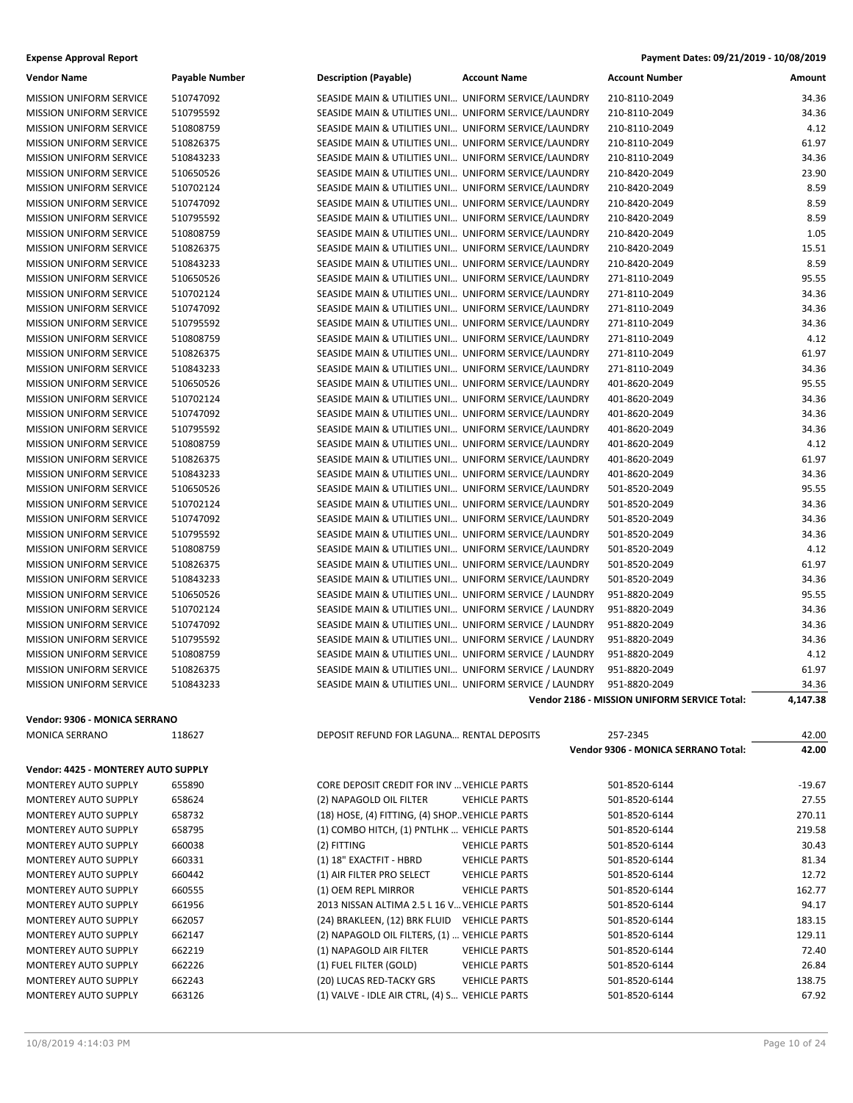| <b>Expense Approval Report</b> | Payment Dates: 09/21/2019 - 10/08/2019 |
|--------------------------------|----------------------------------------|
|--------------------------------|----------------------------------------|

| <b>Vendor Name</b>                  | Payable Number | <b>Description (Payable)</b>                           | <b>Account Name</b>  | <b>Account Number</b>                        | Amount   |
|-------------------------------------|----------------|--------------------------------------------------------|----------------------|----------------------------------------------|----------|
| <b>MISSION UNIFORM SERVICE</b>      | 510747092      | SEASIDE MAIN & UTILITIES UNI UNIFORM SERVICE/LAUNDRY   |                      | 210-8110-2049                                | 34.36    |
| <b>MISSION UNIFORM SERVICE</b>      | 510795592      | SEASIDE MAIN & UTILITIES UNI UNIFORM SERVICE/LAUNDRY   |                      | 210-8110-2049                                | 34.36    |
| <b>MISSION UNIFORM SERVICE</b>      | 510808759      | SEASIDE MAIN & UTILITIES UNI UNIFORM SERVICE/LAUNDRY   |                      | 210-8110-2049                                | 4.12     |
| <b>MISSION UNIFORM SERVICE</b>      | 510826375      | SEASIDE MAIN & UTILITIES UNI UNIFORM SERVICE/LAUNDRY   |                      | 210-8110-2049                                | 61.97    |
| <b>MISSION UNIFORM SERVICE</b>      | 510843233      | SEASIDE MAIN & UTILITIES UNI UNIFORM SERVICE/LAUNDRY   |                      | 210-8110-2049                                | 34.36    |
| <b>MISSION UNIFORM SERVICE</b>      | 510650526      | SEASIDE MAIN & UTILITIES UNI UNIFORM SERVICE/LAUNDRY   |                      | 210-8420-2049                                | 23.90    |
| MISSION UNIFORM SERVICE             | 510702124      | SEASIDE MAIN & UTILITIES UNI UNIFORM SERVICE/LAUNDRY   |                      | 210-8420-2049                                | 8.59     |
| MISSION UNIFORM SERVICE             | 510747092      | SEASIDE MAIN & UTILITIES UNI UNIFORM SERVICE/LAUNDRY   |                      | 210-8420-2049                                | 8.59     |
| <b>MISSION UNIFORM SERVICE</b>      | 510795592      | SEASIDE MAIN & UTILITIES UNI UNIFORM SERVICE/LAUNDRY   |                      | 210-8420-2049                                | 8.59     |
| <b>MISSION UNIFORM SERVICE</b>      | 510808759      | SEASIDE MAIN & UTILITIES UNI UNIFORM SERVICE/LAUNDRY   |                      | 210-8420-2049                                | 1.05     |
| <b>MISSION UNIFORM SERVICE</b>      | 510826375      | SEASIDE MAIN & UTILITIES UNI UNIFORM SERVICE/LAUNDRY   |                      | 210-8420-2049                                | 15.51    |
| <b>MISSION UNIFORM SERVICE</b>      | 510843233      | SEASIDE MAIN & UTILITIES UNI UNIFORM SERVICE/LAUNDRY   |                      | 210-8420-2049                                | 8.59     |
| <b>MISSION UNIFORM SERVICE</b>      | 510650526      | SEASIDE MAIN & UTILITIES UNI UNIFORM SERVICE/LAUNDRY   |                      | 271-8110-2049                                | 95.55    |
| <b>MISSION UNIFORM SERVICE</b>      | 510702124      | SEASIDE MAIN & UTILITIES UNI UNIFORM SERVICE/LAUNDRY   |                      | 271-8110-2049                                | 34.36    |
|                                     | 510747092      |                                                        |                      |                                              | 34.36    |
| <b>MISSION UNIFORM SERVICE</b>      |                | SEASIDE MAIN & UTILITIES UNI UNIFORM SERVICE/LAUNDRY   |                      | 271-8110-2049<br>271-8110-2049               | 34.36    |
| <b>MISSION UNIFORM SERVICE</b>      | 510795592      | SEASIDE MAIN & UTILITIES UNI UNIFORM SERVICE/LAUNDRY   |                      |                                              |          |
| <b>MISSION UNIFORM SERVICE</b>      | 510808759      | SEASIDE MAIN & UTILITIES UNI UNIFORM SERVICE/LAUNDRY   |                      | 271-8110-2049                                | 4.12     |
| <b>MISSION UNIFORM SERVICE</b>      | 510826375      | SEASIDE MAIN & UTILITIES UNI UNIFORM SERVICE/LAUNDRY   |                      | 271-8110-2049                                | 61.97    |
| <b>MISSION UNIFORM SERVICE</b>      | 510843233      | SEASIDE MAIN & UTILITIES UNI UNIFORM SERVICE/LAUNDRY   |                      | 271-8110-2049                                | 34.36    |
| <b>MISSION UNIFORM SERVICE</b>      | 510650526      | SEASIDE MAIN & UTILITIES UNI UNIFORM SERVICE/LAUNDRY   |                      | 401-8620-2049                                | 95.55    |
| <b>MISSION UNIFORM SERVICE</b>      | 510702124      | SEASIDE MAIN & UTILITIES UNI UNIFORM SERVICE/LAUNDRY   |                      | 401-8620-2049                                | 34.36    |
| <b>MISSION UNIFORM SERVICE</b>      | 510747092      | SEASIDE MAIN & UTILITIES UNI UNIFORM SERVICE/LAUNDRY   |                      | 401-8620-2049                                | 34.36    |
| <b>MISSION UNIFORM SERVICE</b>      | 510795592      | SEASIDE MAIN & UTILITIES UNI UNIFORM SERVICE/LAUNDRY   |                      | 401-8620-2049                                | 34.36    |
| <b>MISSION UNIFORM SERVICE</b>      | 510808759      | SEASIDE MAIN & UTILITIES UNI UNIFORM SERVICE/LAUNDRY   |                      | 401-8620-2049                                | 4.12     |
| <b>MISSION UNIFORM SERVICE</b>      | 510826375      | SEASIDE MAIN & UTILITIES UNI UNIFORM SERVICE/LAUNDRY   |                      | 401-8620-2049                                | 61.97    |
| <b>MISSION UNIFORM SERVICE</b>      | 510843233      | SEASIDE MAIN & UTILITIES UNI UNIFORM SERVICE/LAUNDRY   |                      | 401-8620-2049                                | 34.36    |
| MISSION UNIFORM SERVICE             | 510650526      | SEASIDE MAIN & UTILITIES UNI UNIFORM SERVICE/LAUNDRY   |                      | 501-8520-2049                                | 95.55    |
| <b>MISSION UNIFORM SERVICE</b>      | 510702124      | SEASIDE MAIN & UTILITIES UNI UNIFORM SERVICE/LAUNDRY   |                      | 501-8520-2049                                | 34.36    |
| <b>MISSION UNIFORM SERVICE</b>      | 510747092      | SEASIDE MAIN & UTILITIES UNI UNIFORM SERVICE/LAUNDRY   |                      | 501-8520-2049                                | 34.36    |
| <b>MISSION UNIFORM SERVICE</b>      | 510795592      | SEASIDE MAIN & UTILITIES UNI UNIFORM SERVICE/LAUNDRY   |                      | 501-8520-2049                                | 34.36    |
| <b>MISSION UNIFORM SERVICE</b>      | 510808759      | SEASIDE MAIN & UTILITIES UNI UNIFORM SERVICE/LAUNDRY   |                      | 501-8520-2049                                | 4.12     |
| <b>MISSION UNIFORM SERVICE</b>      | 510826375      | SEASIDE MAIN & UTILITIES UNI UNIFORM SERVICE/LAUNDRY   |                      | 501-8520-2049                                | 61.97    |
| <b>MISSION UNIFORM SERVICE</b>      | 510843233      | SEASIDE MAIN & UTILITIES UNI UNIFORM SERVICE/LAUNDRY   |                      | 501-8520-2049                                | 34.36    |
| <b>MISSION UNIFORM SERVICE</b>      | 510650526      | SEASIDE MAIN & UTILITIES UNI UNIFORM SERVICE / LAUNDRY |                      | 951-8820-2049                                | 95.55    |
| <b>MISSION UNIFORM SERVICE</b>      | 510702124      | SEASIDE MAIN & UTILITIES UNI UNIFORM SERVICE / LAUNDRY |                      | 951-8820-2049                                | 34.36    |
| <b>MISSION UNIFORM SERVICE</b>      | 510747092      | SEASIDE MAIN & UTILITIES UNI UNIFORM SERVICE / LAUNDRY |                      | 951-8820-2049                                | 34.36    |
| MISSION UNIFORM SERVICE             | 510795592      | SEASIDE MAIN & UTILITIES UNI UNIFORM SERVICE / LAUNDRY |                      | 951-8820-2049                                | 34.36    |
| MISSION UNIFORM SERVICE             | 510808759      | SEASIDE MAIN & UTILITIES UNI UNIFORM SERVICE / LAUNDRY |                      | 951-8820-2049                                | 4.12     |
| <b>MISSION UNIFORM SERVICE</b>      | 510826375      | SEASIDE MAIN & UTILITIES UNI UNIFORM SERVICE / LAUNDRY |                      | 951-8820-2049                                | 61.97    |
| <b>MISSION UNIFORM SERVICE</b>      | 510843233      | SEASIDE MAIN & UTILITIES UNI UNIFORM SERVICE / LAUNDRY |                      | 951-8820-2049                                | 34.36    |
|                                     |                |                                                        |                      | Vendor 2186 - MISSION UNIFORM SERVICE Total: | 4,147.38 |
| Vendor: 9306 - MONICA SERRANO       |                |                                                        |                      |                                              |          |
| <b>MONICA SERRANO</b>               | 118627         | DEPOSIT REFUND FOR LAGUNA RENTAL DEPOSITS              |                      | 257-2345                                     | 42.00    |
|                                     |                |                                                        |                      | Vendor 9306 - MONICA SERRANO Total:          | 42.00    |
| Vendor: 4425 - MONTEREY AUTO SUPPLY |                |                                                        |                      |                                              |          |
| MONTEREY AUTO SUPPLY                | 655890         | CORE DEPOSIT CREDIT FOR INV  VEHICLE PARTS             |                      | 501-8520-6144                                | $-19.67$ |
| MONTEREY AUTO SUPPLY                | 658624         | (2) NAPAGOLD OIL FILTER                                | <b>VEHICLE PARTS</b> | 501-8520-6144                                | 27.55    |
| MONTEREY AUTO SUPPLY                | 658732         | (18) HOSE, (4) FITTING, (4) SHOP. VEHICLE PARTS        |                      | 501-8520-6144                                | 270.11   |
| MONTEREY AUTO SUPPLY                | 658795         | (1) COMBO HITCH, (1) PNTLHK  VEHICLE PARTS             |                      | 501-8520-6144                                | 219.58   |
| MONTEREY AUTO SUPPLY                | 660038         | (2) FITTING                                            | <b>VEHICLE PARTS</b> | 501-8520-6144                                | 30.43    |
| MONTEREY AUTO SUPPLY                | 660331         | (1) 18" EXACTFIT - HBRD                                | <b>VEHICLE PARTS</b> | 501-8520-6144                                | 81.34    |
| MONTEREY AUTO SUPPLY                | 660442         | (1) AIR FILTER PRO SELECT                              | <b>VEHICLE PARTS</b> | 501-8520-6144                                | 12.72    |
|                                     | 660555         |                                                        |                      |                                              | 162.77   |
| MONTEREY AUTO SUPPLY                |                | (1) OEM REPL MIRROR                                    | <b>VEHICLE PARTS</b> | 501-8520-6144                                | 94.17    |
| MONTEREY AUTO SUPPLY                | 661956         | 2013 NISSAN ALTIMA 2.5 L 16 V VEHICLE PARTS            |                      | 501-8520-6144                                |          |
| MONTEREY AUTO SUPPLY                | 662057         | (24) BRAKLEEN, (12) BRK FLUID                          | <b>VEHICLE PARTS</b> | 501-8520-6144                                | 183.15   |
| <b>MONTEREY AUTO SUPPLY</b>         | 662147         | (2) NAPAGOLD OIL FILTERS, (1)  VEHICLE PARTS           |                      | 501-8520-6144                                | 129.11   |
| MONTEREY AUTO SUPPLY                | 662219         | (1) NAPAGOLD AIR FILTER                                | <b>VEHICLE PARTS</b> | 501-8520-6144                                | 72.40    |
| MONTEREY AUTO SUPPLY                | 662226         | (1) FUEL FILTER (GOLD)                                 | <b>VEHICLE PARTS</b> | 501-8520-6144                                | 26.84    |
| MONTEREY AUTO SUPPLY                | 662243         | (20) LUCAS RED-TACKY GRS                               | <b>VEHICLE PARTS</b> | 501-8520-6144                                | 138.75   |
| MONTEREY AUTO SUPPLY                | 663126         | (1) VALVE - IDLE AIR CTRL, (4) S VEHICLE PARTS         |                      | 501-8520-6144                                | 67.92    |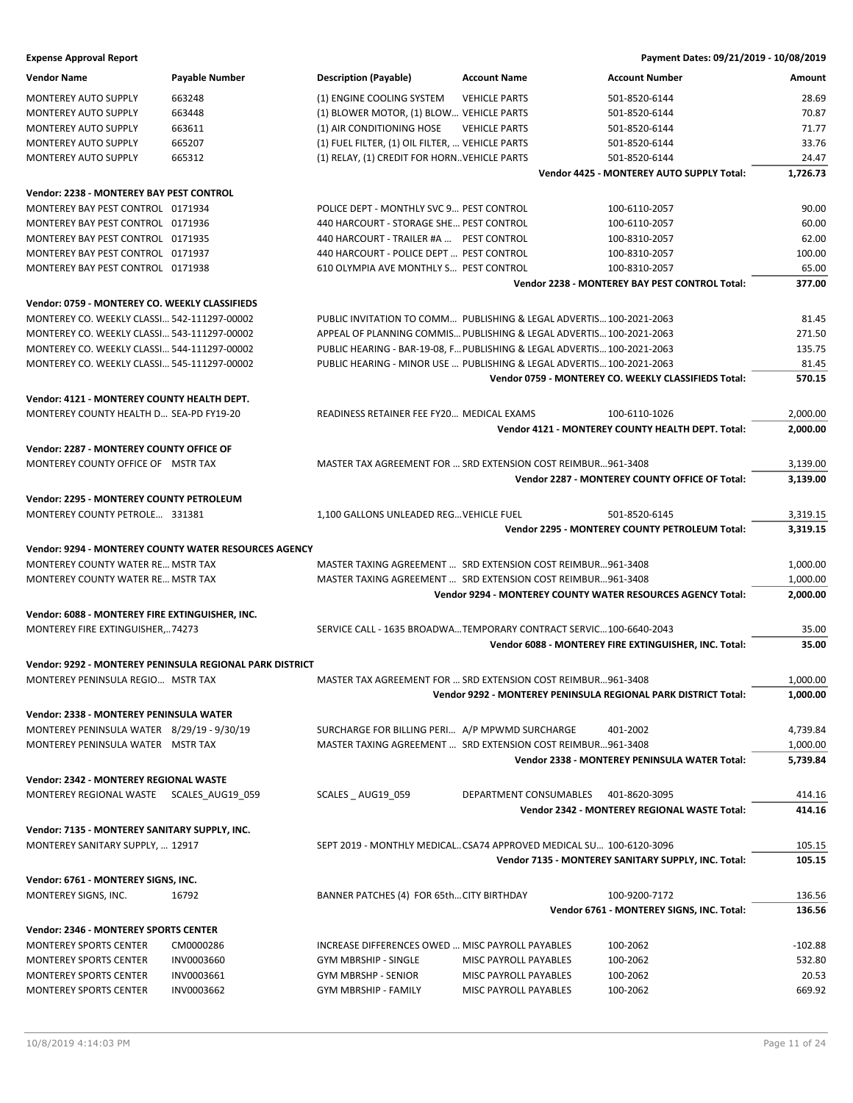| <b>Vendor Name</b>                              | Payable Number                                           | <b>Description (Payable)</b>                                            | <b>Account Name</b>    | <b>Account Number</b>                                          | Amount    |
|-------------------------------------------------|----------------------------------------------------------|-------------------------------------------------------------------------|------------------------|----------------------------------------------------------------|-----------|
| <b>MONTEREY AUTO SUPPLY</b>                     | 663248                                                   | (1) ENGINE COOLING SYSTEM                                               | <b>VEHICLE PARTS</b>   | 501-8520-6144                                                  | 28.69     |
| MONTEREY AUTO SUPPLY                            | 663448                                                   | (1) BLOWER MOTOR, (1) BLOW VEHICLE PARTS                                |                        | 501-8520-6144                                                  | 70.87     |
| <b>MONTEREY AUTO SUPPLY</b>                     | 663611                                                   | (1) AIR CONDITIONING HOSE                                               | <b>VEHICLE PARTS</b>   | 501-8520-6144                                                  | 71.77     |
| MONTEREY AUTO SUPPLY                            | 665207                                                   | (1) FUEL FILTER, (1) OIL FILTER,  VEHICLE PARTS                         |                        | 501-8520-6144                                                  | 33.76     |
| MONTEREY AUTO SUPPLY                            | 665312                                                   | (1) RELAY, (1) CREDIT FOR HORN. VEHICLE PARTS                           |                        | 501-8520-6144                                                  | 24.47     |
|                                                 |                                                          |                                                                         |                        | Vendor 4425 - MONTEREY AUTO SUPPLY Total:                      | 1,726.73  |
| Vendor: 2238 - MONTEREY BAY PEST CONTROL        |                                                          |                                                                         |                        |                                                                |           |
| MONTEREY BAY PEST CONTROL 0171934               |                                                          | POLICE DEPT - MONTHLY SVC 9 PEST CONTROL                                |                        | 100-6110-2057                                                  | 90.00     |
| MONTEREY BAY PEST CONTROL 0171936               |                                                          | 440 HARCOURT - STORAGE SHE PEST CONTROL                                 |                        | 100-6110-2057                                                  | 60.00     |
| MONTEREY BAY PEST CONTROL 0171935               |                                                          | 440 HARCOURT - TRAILER #A  PEST CONTROL                                 |                        | 100-8310-2057                                                  | 62.00     |
| MONTEREY BAY PEST CONTROL 0171937               |                                                          | 440 HARCOURT - POLICE DEPT  PEST CONTROL                                |                        | 100-8310-2057                                                  | 100.00    |
| MONTEREY BAY PEST CONTROL 0171938               |                                                          | 610 OLYMPIA AVE MONTHLY S PEST CONTROL                                  |                        | 100-8310-2057                                                  | 65.00     |
|                                                 |                                                          |                                                                         |                        | Vendor 2238 - MONTEREY BAY PEST CONTROL Total:                 | 377.00    |
| Vendor: 0759 - MONTEREY CO. WEEKLY CLASSIFIEDS  |                                                          |                                                                         |                        |                                                                |           |
| MONTEREY CO. WEEKLY CLASSI 542-111297-00002     |                                                          | PUBLIC INVITATION TO COMM PUBLISHING & LEGAL ADVERTIS 100-2021-2063     |                        |                                                                | 81.45     |
| MONTEREY CO. WEEKLY CLASSI 543-111297-00002     |                                                          | APPEAL OF PLANNING COMMIS PUBLISHING & LEGAL ADVERTIS 100-2021-2063     |                        |                                                                | 271.50    |
| MONTEREY CO. WEEKLY CLASSI 544-111297-00002     |                                                          | PUBLIC HEARING - BAR-19-08, F PUBLISHING & LEGAL ADVERTIS 100-2021-2063 |                        |                                                                | 135.75    |
| MONTEREY CO. WEEKLY CLASSI 545-111297-00002     |                                                          | PUBLIC HEARING - MINOR USE  PUBLISHING & LEGAL ADVERTIS 100-2021-2063   |                        |                                                                | 81.45     |
|                                                 |                                                          |                                                                         |                        | Vendor 0759 - MONTEREY CO. WEEKLY CLASSIFIEDS Total:           | 570.15    |
| Vendor: 4121 - MONTEREY COUNTY HEALTH DEPT.     |                                                          |                                                                         |                        |                                                                |           |
| MONTEREY COUNTY HEALTH D SEA-PD FY19-20         |                                                          | READINESS RETAINER FEE FY20 MEDICAL EXAMS                               |                        | 100-6110-1026                                                  | 2,000.00  |
|                                                 |                                                          |                                                                         |                        | Vendor 4121 - MONTEREY COUNTY HEALTH DEPT. Total:              | 2,000.00  |
| Vendor: 2287 - MONTEREY COUNTY OFFICE OF        |                                                          |                                                                         |                        |                                                                |           |
| MONTEREY COUNTY OFFICE OF MSTR TAX              |                                                          | MASTER TAX AGREEMENT FOR  SRD EXTENSION COST REIMBUR961-3408            |                        |                                                                | 3,139.00  |
|                                                 |                                                          |                                                                         |                        | Vendor 2287 - MONTEREY COUNTY OFFICE OF Total:                 | 3,139.00  |
| Vendor: 2295 - MONTEREY COUNTY PETROLEUM        |                                                          |                                                                         |                        |                                                                |           |
| MONTEREY COUNTY PETROLE 331381                  |                                                          | 1,100 GALLONS UNLEADED REG VEHICLE FUEL                                 |                        | 501-8520-6145                                                  | 3,319.15  |
|                                                 |                                                          |                                                                         |                        | <b>Vendor 2295 - MONTEREY COUNTY PETROLEUM Total:</b>          | 3,319.15  |
|                                                 | Vendor: 9294 - MONTEREY COUNTY WATER RESOURCES AGENCY    |                                                                         |                        |                                                                |           |
| MONTEREY COUNTY WATER RE MSTR TAX               |                                                          | MASTER TAXING AGREEMENT  SRD EXTENSION COST REIMBUR961-3408             |                        |                                                                | 1,000.00  |
| MONTEREY COUNTY WATER RE MSTR TAX               |                                                          | MASTER TAXING AGREEMENT  SRD EXTENSION COST REIMBUR961-3408             |                        |                                                                | 1,000.00  |
|                                                 |                                                          |                                                                         |                        | Vendor 9294 - MONTEREY COUNTY WATER RESOURCES AGENCY Total:    | 2,000.00  |
| Vendor: 6088 - MONTEREY FIRE EXTINGUISHER, INC. |                                                          |                                                                         |                        |                                                                |           |
| MONTEREY FIRE EXTINGUISHER,74273                |                                                          | SERVICE CALL - 1635 BROADWATEMPORARY CONTRACT SERVIC100-6640-2043       |                        |                                                                | 35.00     |
|                                                 |                                                          |                                                                         |                        | Vendor 6088 - MONTEREY FIRE EXTINGUISHER, INC. Total:          | 35.00     |
|                                                 | Vendor: 9292 - MONTEREY PENINSULA REGIONAL PARK DISTRICT |                                                                         |                        |                                                                |           |
| MONTEREY PENINSULA REGIO MSTR TAX               |                                                          | MASTER TAX AGREEMENT FOR  SRD EXTENSION COST REIMBUR961-3408            |                        |                                                                | 1,000.00  |
|                                                 |                                                          |                                                                         |                        | Vendor 9292 - MONTEREY PENINSULA REGIONAL PARK DISTRICT Total: | 1,000.00  |
| Vendor: 2338 - MONTEREY PENINSULA WATER         |                                                          |                                                                         |                        |                                                                |           |
| MONTEREY PENINSULA WATER 8/29/19 - 9/30/19      |                                                          | SURCHARGE FOR BILLING PERI A/P MPWMD SURCHARGE                          |                        | 401-2002                                                       | 4,739.84  |
| MONTEREY PENINSULA WATER MSTR TAX               |                                                          | MASTER TAXING AGREEMENT  SRD EXTENSION COST REIMBUR961-3408             |                        |                                                                | 1,000.00  |
|                                                 |                                                          |                                                                         |                        | Vendor 2338 - MONTEREY PENINSULA WATER Total:                  | 5,739.84  |
| Vendor: 2342 - MONTEREY REGIONAL WASTE          |                                                          |                                                                         |                        |                                                                |           |
| MONTEREY REGIONAL WASTE SCALES_AUG19_059        |                                                          | SCALES _ AUG19_059                                                      | DEPARTMENT CONSUMABLES | 401-8620-3095                                                  | 414.16    |
|                                                 |                                                          |                                                                         |                        | Vendor 2342 - MONTEREY REGIONAL WASTE Total:                   | 414.16    |
| Vendor: 7135 - MONTEREY SANITARY SUPPLY, INC.   |                                                          |                                                                         |                        |                                                                |           |
| MONTEREY SANITARY SUPPLY,  12917                |                                                          | SEPT 2019 - MONTHLY MEDICALCSA74 APPROVED MEDICAL SU 100-6120-3096      |                        |                                                                | 105.15    |
|                                                 |                                                          |                                                                         |                        | Vendor 7135 - MONTEREY SANITARY SUPPLY, INC. Total:            | 105.15    |
| Vendor: 6761 - MONTEREY SIGNS, INC.             |                                                          |                                                                         |                        |                                                                |           |
| MONTEREY SIGNS, INC.                            | 16792                                                    | BANNER PATCHES (4) FOR 65thCITY BIRTHDAY                                |                        | 100-9200-7172                                                  | 136.56    |
|                                                 |                                                          |                                                                         |                        | Vendor 6761 - MONTEREY SIGNS, INC. Total:                      | 136.56    |
| <b>Vendor: 2346 - MONTEREY SPORTS CENTER</b>    |                                                          |                                                                         |                        |                                                                |           |
| MONTEREY SPORTS CENTER                          | CM0000286                                                | INCREASE DIFFERENCES OWED  MISC PAYROLL PAYABLES                        |                        | 100-2062                                                       | $-102.88$ |
| <b>MONTEREY SPORTS CENTER</b>                   | INV0003660                                               | GYM MBRSHIP - SINGLE                                                    | MISC PAYROLL PAYABLES  | 100-2062                                                       | 532.80    |
| <b>MONTEREY SPORTS CENTER</b>                   | INV0003661                                               | GYM MBRSHP - SENIOR                                                     | MISC PAYROLL PAYABLES  | 100-2062                                                       | 20.53     |
| MONTEREY SPORTS CENTER                          | INV0003662                                               | <b>GYM MBRSHIP - FAMILY</b>                                             | MISC PAYROLL PAYABLES  | 100-2062                                                       | 669.92    |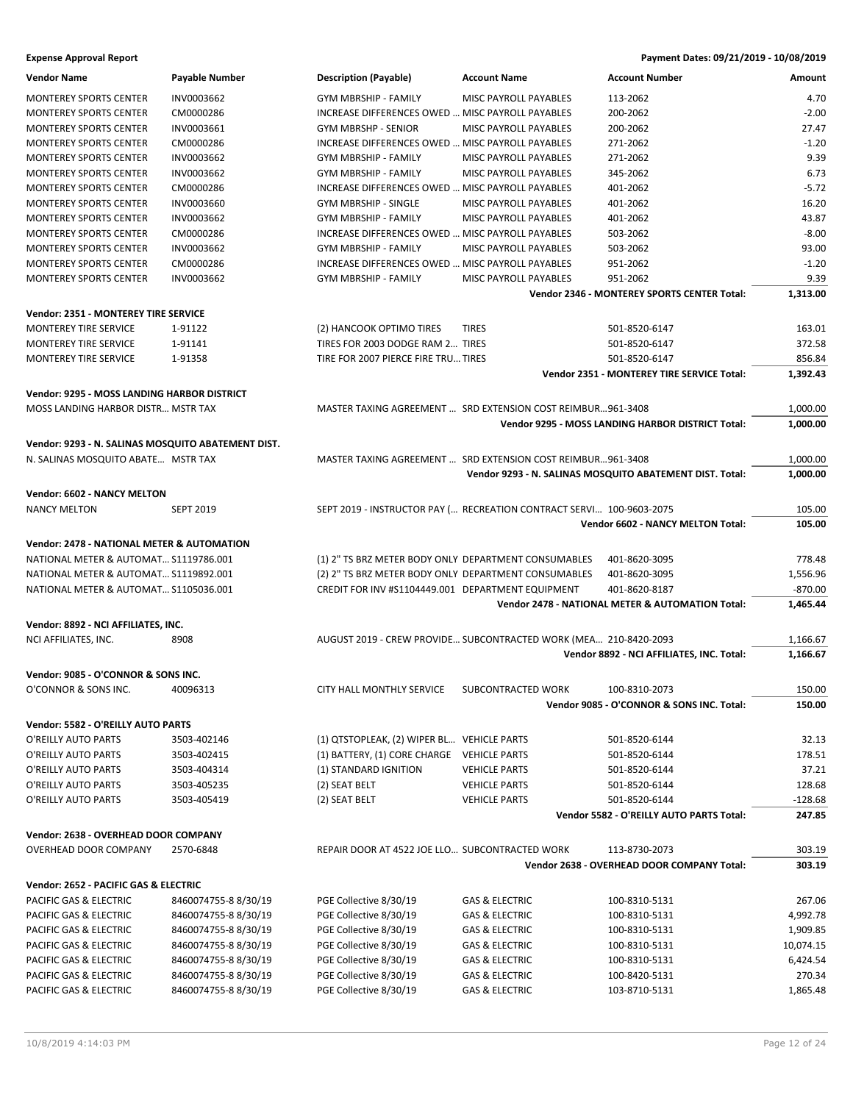| <b>Vendor Name</b>                                    | Payable Number       | <b>Description (Payable)</b>                         | <b>Account Name</b>                                                  | <b>Account Number</b>                                    | Amount    |
|-------------------------------------------------------|----------------------|------------------------------------------------------|----------------------------------------------------------------------|----------------------------------------------------------|-----------|
| <b>MONTEREY SPORTS CENTER</b>                         | INV0003662           | <b>GYM MBRSHIP - FAMILY</b>                          | MISC PAYROLL PAYABLES                                                | 113-2062                                                 | 4.70      |
| <b>MONTEREY SPORTS CENTER</b>                         | CM0000286            | INCREASE DIFFERENCES OWED  MISC PAYROLL PAYABLES     |                                                                      | 200-2062                                                 | $-2.00$   |
| <b>MONTEREY SPORTS CENTER</b>                         | INV0003661           | GYM MBRSHP - SENIOR                                  | MISC PAYROLL PAYABLES                                                | 200-2062                                                 | 27.47     |
| <b>MONTEREY SPORTS CENTER</b>                         | CM0000286            | INCREASE DIFFERENCES OWED  MISC PAYROLL PAYABLES     |                                                                      | 271-2062                                                 | $-1.20$   |
| <b>MONTEREY SPORTS CENTER</b>                         | INV0003662           | <b>GYM MBRSHIP - FAMILY</b>                          | <b>MISC PAYROLL PAYABLES</b>                                         | 271-2062                                                 | 9.39      |
| <b>MONTEREY SPORTS CENTER</b>                         | INV0003662           | <b>GYM MBRSHIP - FAMILY</b>                          | MISC PAYROLL PAYABLES                                                | 345-2062                                                 | 6.73      |
| <b>MONTEREY SPORTS CENTER</b>                         | CM0000286            | INCREASE DIFFERENCES OWED  MISC PAYROLL PAYABLES     |                                                                      | 401-2062                                                 | $-5.72$   |
|                                                       |                      |                                                      |                                                                      |                                                          |           |
| MONTEREY SPORTS CENTER                                | INV0003660           | <b>GYM MBRSHIP - SINGLE</b>                          | MISC PAYROLL PAYABLES                                                | 401-2062                                                 | 16.20     |
| <b>MONTEREY SPORTS CENTER</b>                         | INV0003662           | GYM MBRSHIP - FAMILY                                 | MISC PAYROLL PAYABLES                                                | 401-2062                                                 | 43.87     |
| <b>MONTEREY SPORTS CENTER</b>                         | CM0000286            | INCREASE DIFFERENCES OWED  MISC PAYROLL PAYABLES     |                                                                      | 503-2062                                                 | $-8.00$   |
| <b>MONTEREY SPORTS CENTER</b>                         | INV0003662           | <b>GYM MBRSHIP - FAMILY</b>                          | <b>MISC PAYROLL PAYABLES</b>                                         | 503-2062                                                 | 93.00     |
| <b>MONTEREY SPORTS CENTER</b>                         | CM0000286            | INCREASE DIFFERENCES OWED  MISC PAYROLL PAYABLES     |                                                                      | 951-2062                                                 | $-1.20$   |
| MONTEREY SPORTS CENTER                                | INV0003662           | GYM MBRSHIP - FAMILY                                 | MISC PAYROLL PAYABLES                                                | 951-2062                                                 | 9.39      |
|                                                       |                      |                                                      |                                                                      | Vendor 2346 - MONTEREY SPORTS CENTER Total:              | 1,313.00  |
| Vendor: 2351 - MONTEREY TIRE SERVICE                  |                      |                                                      |                                                                      |                                                          |           |
| <b>MONTEREY TIRE SERVICE</b>                          | 1-91122              | (2) HANCOOK OPTIMO TIRES                             | <b>TIRES</b>                                                         | 501-8520-6147                                            | 163.01    |
| MONTEREY TIRE SERVICE                                 | 1-91141              | TIRES FOR 2003 DODGE RAM 2 TIRES                     |                                                                      | 501-8520-6147                                            | 372.58    |
| <b>MONTEREY TIRE SERVICE</b>                          | 1-91358              | TIRE FOR 2007 PIERCE FIRE TRU TIRES                  |                                                                      | 501-8520-6147                                            | 856.84    |
|                                                       |                      |                                                      |                                                                      | Vendor 2351 - MONTEREY TIRE SERVICE Total:               | 1,392.43  |
|                                                       |                      |                                                      |                                                                      |                                                          |           |
| Vendor: 9295 - MOSS LANDING HARBOR DISTRICT           |                      |                                                      |                                                                      |                                                          |           |
| MOSS LANDING HARBOR DISTR MSTR TAX                    |                      |                                                      | MASTER TAXING AGREEMENT  SRD EXTENSION COST REIMBUR961-3408          |                                                          | 1,000.00  |
|                                                       |                      |                                                      |                                                                      | Vendor 9295 - MOSS LANDING HARBOR DISTRICT Total:        | 1,000.00  |
| Vendor: 9293 - N. SALINAS MOSQUITO ABATEMENT DIST.    |                      |                                                      |                                                                      |                                                          |           |
| N. SALINAS MOSQUITO ABATE MSTR TAX                    |                      |                                                      | MASTER TAXING AGREEMENT  SRD EXTENSION COST REIMBUR961-3408          |                                                          | 1,000.00  |
|                                                       |                      |                                                      |                                                                      | Vendor 9293 - N. SALINAS MOSQUITO ABATEMENT DIST. Total: | 1,000.00  |
|                                                       |                      |                                                      |                                                                      |                                                          |           |
| Vendor: 6602 - NANCY MELTON                           |                      |                                                      |                                                                      |                                                          |           |
| <b>NANCY MELTON</b>                                   | <b>SEPT 2019</b>     |                                                      | SEPT 2019 - INSTRUCTOR PAY ( RECREATION CONTRACT SERVI 100-9603-2075 |                                                          | 105.00    |
|                                                       |                      |                                                      |                                                                      | Vendor 6602 - NANCY MELTON Total:                        | 105.00    |
| <b>Vendor: 2478 - NATIONAL METER &amp; AUTOMATION</b> |                      |                                                      |                                                                      |                                                          |           |
| NATIONAL METER & AUTOMAT \$1119786.001                |                      | (1) 2" TS BRZ METER BODY ONLY DEPARTMENT CONSUMABLES |                                                                      | 401-8620-3095                                            | 778.48    |
| NATIONAL METER & AUTOMAT \$1119892.001                |                      |                                                      | (2) 2" TS BRZ METER BODY ONLY DEPARTMENT CONSUMABLES                 | 401-8620-3095                                            | 1,556.96  |
| NATIONAL METER & AUTOMAT \$1105036.001                |                      | CREDIT FOR INV #S1104449.001 DEPARTMENT EQUIPMENT    |                                                                      | 401-8620-8187                                            | $-870.00$ |
|                                                       |                      |                                                      |                                                                      | Vendor 2478 - NATIONAL METER & AUTOMATION Total:         | 1,465.44  |
|                                                       |                      |                                                      |                                                                      |                                                          |           |
| Vendor: 8892 - NCI AFFILIATES, INC.                   |                      |                                                      |                                                                      |                                                          |           |
| NCI AFFILIATES, INC.                                  | 8908                 |                                                      | AUGUST 2019 - CREW PROVIDE SUBCONTRACTED WORK (MEA 210-8420-2093     |                                                          | 1,166.67  |
|                                                       |                      |                                                      |                                                                      | Vendor 8892 - NCI AFFILIATES, INC. Total:                | 1,166.67  |
| Vendor: 9085 - O'CONNOR & SONS INC.                   |                      |                                                      |                                                                      |                                                          |           |
| O'CONNOR & SONS INC.                                  | 40096313             | CITY HALL MONTHLY SERVICE                            | SUBCONTRACTED WORK                                                   | 100-8310-2073                                            | 150.00    |
|                                                       |                      |                                                      |                                                                      | Vendor 9085 - O'CONNOR & SONS INC. Total:                | 150.00    |
|                                                       |                      |                                                      |                                                                      |                                                          |           |
| Vendor: 5582 - O'REILLY AUTO PARTS                    |                      |                                                      |                                                                      |                                                          |           |
| O'REILLY AUTO PARTS                                   | 3503-402146          | (1) QTSTOPLEAK, (2) WIPER BL VEHICLE PARTS           |                                                                      | 501-8520-6144                                            | 32.13     |
| O'REILLY AUTO PARTS                                   | 3503-402415          | (1) BATTERY, (1) CORE CHARGE                         | <b>VEHICLE PARTS</b>                                                 | 501-8520-6144                                            | 178.51    |
| O'REILLY AUTO PARTS                                   | 3503-404314          | (1) STANDARD IGNITION                                | <b>VEHICLE PARTS</b>                                                 | 501-8520-6144                                            | 37.21     |
| O'REILLY AUTO PARTS                                   | 3503-405235          | (2) SEAT BELT                                        | <b>VEHICLE PARTS</b>                                                 | 501-8520-6144                                            | 128.68    |
| O'REILLY AUTO PARTS                                   | 3503-405419          | (2) SEAT BELT                                        | <b>VEHICLE PARTS</b>                                                 | 501-8520-6144                                            | $-128.68$ |
|                                                       |                      |                                                      |                                                                      | Vendor 5582 - O'REILLY AUTO PARTS Total:                 | 247.85    |
| Vendor: 2638 - OVERHEAD DOOR COMPANY                  |                      |                                                      |                                                                      |                                                          |           |
| OVERHEAD DOOR COMPANY                                 | 2570-6848            | REPAIR DOOR AT 4522 JOE LLO SUBCONTRACTED WORK       |                                                                      | 113-8730-2073                                            | 303.19    |
|                                                       |                      |                                                      |                                                                      | Vendor 2638 - OVERHEAD DOOR COMPANY Total:               | 303.19    |
|                                                       |                      |                                                      |                                                                      |                                                          |           |
| Vendor: 2652 - PACIFIC GAS & ELECTRIC                 |                      |                                                      |                                                                      |                                                          |           |
| PACIFIC GAS & ELECTRIC                                | 8460074755-88/30/19  | PGE Collective 8/30/19                               | <b>GAS &amp; ELECTRIC</b>                                            | 100-8310-5131                                            | 267.06    |
| PACIFIC GAS & ELECTRIC                                | 8460074755-8 8/30/19 | PGE Collective 8/30/19                               | <b>GAS &amp; ELECTRIC</b>                                            | 100-8310-5131                                            | 4,992.78  |
| PACIFIC GAS & ELECTRIC                                | 8460074755-8 8/30/19 | PGE Collective 8/30/19                               | GAS & ELECTRIC                                                       | 100-8310-5131                                            | 1,909.85  |
| PACIFIC GAS & ELECTRIC                                | 8460074755-88/30/19  | PGE Collective 8/30/19                               | <b>GAS &amp; ELECTRIC</b>                                            | 100-8310-5131                                            | 10,074.15 |
| PACIFIC GAS & ELECTRIC                                | 8460074755-88/30/19  | PGE Collective 8/30/19                               | <b>GAS &amp; ELECTRIC</b>                                            | 100-8310-5131                                            | 6,424.54  |
| PACIFIC GAS & ELECTRIC                                | 8460074755-88/30/19  | PGE Collective 8/30/19                               | GAS & ELECTRIC                                                       | 100-8420-5131                                            | 270.34    |
| PACIFIC GAS & ELECTRIC                                | 8460074755-88/30/19  | PGE Collective 8/30/19                               | GAS & ELECTRIC                                                       | 103-8710-5131                                            | 1,865.48  |
|                                                       |                      |                                                      |                                                                      |                                                          |           |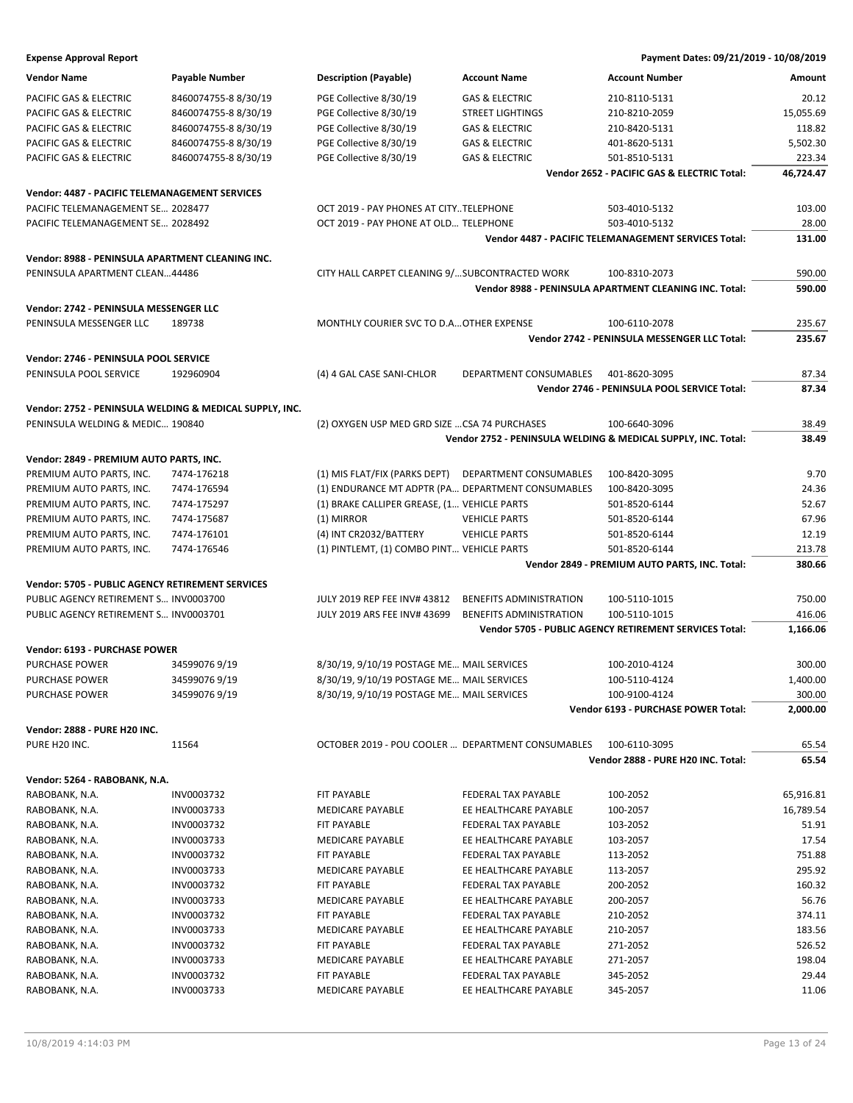| <b>Expense Approval Report</b>                   |                                                         |                                                      |                                | Payment Dates: 09/21/2019 - 10/08/2019                        |           |
|--------------------------------------------------|---------------------------------------------------------|------------------------------------------------------|--------------------------------|---------------------------------------------------------------|-----------|
| <b>Vendor Name</b>                               | Payable Number                                          | <b>Description (Payable)</b>                         | <b>Account Name</b>            | <b>Account Number</b>                                         | Amount    |
| PACIFIC GAS & ELECTRIC                           | 8460074755-88/30/19                                     | PGE Collective 8/30/19                               | <b>GAS &amp; ELECTRIC</b>      | 210-8110-5131                                                 | 20.12     |
| PACIFIC GAS & ELECTRIC                           | 8460074755-88/30/19                                     | PGE Collective 8/30/19                               | <b>STREET LIGHTINGS</b>        | 210-8210-2059                                                 | 15,055.69 |
| <b>PACIFIC GAS &amp; ELECTRIC</b>                | 8460074755-8 8/30/19                                    | PGE Collective 8/30/19                               | <b>GAS &amp; ELECTRIC</b>      | 210-8420-5131                                                 | 118.82    |
| PACIFIC GAS & ELECTRIC                           | 8460074755-88/30/19                                     | PGE Collective 8/30/19                               | <b>GAS &amp; ELECTRIC</b>      | 401-8620-5131                                                 | 5,502.30  |
| PACIFIC GAS & ELECTRIC                           | 8460074755-88/30/19                                     | PGE Collective 8/30/19                               | <b>GAS &amp; ELECTRIC</b>      | 501-8510-5131                                                 | 223.34    |
|                                                  |                                                         |                                                      |                                | Vendor 2652 - PACIFIC GAS & ELECTRIC Total:                   | 46,724.47 |
| Vendor: 4487 - PACIFIC TELEMANAGEMENT SERVICES   |                                                         |                                                      |                                |                                                               |           |
| PACIFIC TELEMANAGEMENT SE 2028477                |                                                         | OCT 2019 - PAY PHONES AT CITYTELEPHONE               |                                | 503-4010-5132                                                 | 103.00    |
| PACIFIC TELEMANAGEMENT SE 2028492                |                                                         | OCT 2019 - PAY PHONE AT OLD TELEPHONE                |                                | 503-4010-5132                                                 | 28.00     |
|                                                  |                                                         |                                                      |                                | <b>Vendor 4487 - PACIFIC TELEMANAGEMENT SERVICES Total:</b>   | 131.00    |
|                                                  |                                                         |                                                      |                                |                                                               |           |
| Vendor: 8988 - PENINSULA APARTMENT CLEANING INC. |                                                         |                                                      |                                |                                                               |           |
| PENINSULA APARTMENT CLEAN44486                   |                                                         | CITY HALL CARPET CLEANING 9/ SUBCONTRACTED WORK      |                                | 100-8310-2073                                                 | 590.00    |
|                                                  |                                                         |                                                      |                                | Vendor 8988 - PENINSULA APARTMENT CLEANING INC. Total:        | 590.00    |
| Vendor: 2742 - PENINSULA MESSENGER LLC           |                                                         |                                                      |                                |                                                               |           |
| PENINSULA MESSENGER LLC                          | 189738                                                  | MONTHLY COURIER SVC TO D.A OTHER EXPENSE             |                                | 100-6110-2078                                                 | 235.67    |
|                                                  |                                                         |                                                      |                                | Vendor 2742 - PENINSULA MESSENGER LLC Total:                  | 235.67    |
| Vendor: 2746 - PENINSULA POOL SERVICE            |                                                         |                                                      |                                |                                                               |           |
| PENINSULA POOL SERVICE                           | 192960904                                               | (4) 4 GAL CASE SANI-CHLOR                            | DEPARTMENT CONSUMABLES         | 401-8620-3095                                                 | 87.34     |
|                                                  |                                                         |                                                      |                                | Vendor 2746 - PENINSULA POOL SERVICE Total:                   | 87.34     |
|                                                  |                                                         |                                                      |                                |                                                               |           |
|                                                  | Vendor: 2752 - PENINSULA WELDING & MEDICAL SUPPLY, INC. |                                                      |                                |                                                               |           |
| PENINSULA WELDING & MEDIC 190840                 |                                                         | (2) OXYGEN USP MED GRD SIZE  CSA 74 PURCHASES        |                                | 100-6640-3096                                                 | 38.49     |
|                                                  |                                                         |                                                      |                                | Vendor 2752 - PENINSULA WELDING & MEDICAL SUPPLY, INC. Total: | 38.49     |
| Vendor: 2849 - PREMIUM AUTO PARTS, INC.          |                                                         |                                                      |                                |                                                               |           |
| PREMIUM AUTO PARTS, INC.                         | 7474-176218                                             | (1) MIS FLAT/FIX (PARKS DEPT) DEPARTMENT CONSUMABLES |                                | 100-8420-3095                                                 | 9.70      |
| PREMIUM AUTO PARTS, INC.                         | 7474-176594                                             | (1) ENDURANCE MT ADPTR (PA DEPARTMENT CONSUMABLES    |                                | 100-8420-3095                                                 | 24.36     |
| PREMIUM AUTO PARTS, INC.                         | 7474-175297                                             | (1) BRAKE CALLIPER GREASE, (1 VEHICLE PARTS          |                                | 501-8520-6144                                                 | 52.67     |
| PREMIUM AUTO PARTS, INC.                         | 7474-175687                                             | (1) MIRROR                                           | <b>VEHICLE PARTS</b>           | 501-8520-6144                                                 | 67.96     |
| PREMIUM AUTO PARTS, INC.                         | 7474-176101                                             | (4) INT CR2032/BATTERY                               | <b>VEHICLE PARTS</b>           | 501-8520-6144                                                 | 12.19     |
| PREMIUM AUTO PARTS, INC.                         | 7474-176546                                             | (1) PINTLEMT, (1) COMBO PINT VEHICLE PARTS           |                                | 501-8520-6144                                                 | 213.78    |
|                                                  |                                                         |                                                      |                                | Vendor 2849 - PREMIUM AUTO PARTS, INC. Total:                 | 380.66    |
| Vendor: 5705 - PUBLIC AGENCY RETIREMENT SERVICES |                                                         |                                                      |                                |                                                               |           |
| PUBLIC AGENCY RETIREMENT S INV0003700            |                                                         | JULY 2019 REP FEE INV# 43812                         | <b>BENEFITS ADMINISTRATION</b> | 100-5110-1015                                                 | 750.00    |
| PUBLIC AGENCY RETIREMENT S INV0003701            |                                                         | JULY 2019 ARS FEE INV# 43699                         | <b>BENEFITS ADMINISTRATION</b> | 100-5110-1015                                                 | 416.06    |
|                                                  |                                                         |                                                      |                                | <b>Vendor 5705 - PUBLIC AGENCY RETIREMENT SERVICES Total:</b> | 1,166.06  |
| Vendor: 6193 - PURCHASE POWER                    |                                                         |                                                      |                                |                                                               |           |
| PURCHASE POWER                                   | 345990769/19                                            | 8/30/19, 9/10/19 POSTAGE ME MAIL SERVICES            |                                | 100-2010-4124                                                 | 300.00    |
| PURCHASE POWER                                   | 345990769/19                                            | 8/30/19, 9/10/19 POSTAGE ME MAIL SERVICES            |                                | 100-5110-4124                                                 | 1,400.00  |
| PURCHASE POWER                                   | 345990769/19                                            | 8/30/19, 9/10/19 POSTAGE ME MAIL SERVICES            |                                | 100-9100-4124                                                 | 300.00    |
|                                                  |                                                         |                                                      |                                | Vendor 6193 - PURCHASE POWER Total:                           | 2,000.00  |
|                                                  |                                                         |                                                      |                                |                                                               |           |
| Vendor: 2888 - PURE H20 INC.<br>PURE H20 INC.    | 11564                                                   | OCTOBER 2019 - POU COOLER  DEPARTMENT CONSUMABLES    |                                | 100-6110-3095                                                 | 65.54     |
|                                                  |                                                         |                                                      |                                | Vendor 2888 - PURE H20 INC. Total:                            | 65.54     |
|                                                  |                                                         |                                                      |                                |                                                               |           |
| Vendor: 5264 - RABOBANK, N.A.                    |                                                         |                                                      |                                |                                                               |           |
| RABOBANK, N.A.                                   | INV0003732                                              | FIT PAYABLE                                          | FEDERAL TAX PAYABLE            | 100-2052                                                      | 65,916.81 |
| RABOBANK, N.A.                                   | INV0003733                                              | <b>MEDICARE PAYABLE</b>                              | EE HEALTHCARE PAYABLE          | 100-2057                                                      | 16,789.54 |
| RABOBANK, N.A.                                   | INV0003732                                              | FIT PAYABLE                                          | FEDERAL TAX PAYABLE            | 103-2052                                                      | 51.91     |
| RABOBANK, N.A.                                   | INV0003733                                              | MEDICARE PAYABLE                                     | EE HEALTHCARE PAYABLE          | 103-2057                                                      | 17.54     |
| RABOBANK, N.A.                                   | INV0003732                                              | FIT PAYABLE                                          | FEDERAL TAX PAYABLE            | 113-2052                                                      | 751.88    |
| RABOBANK, N.A.                                   | INV0003733                                              | MEDICARE PAYABLE                                     | EE HEALTHCARE PAYABLE          | 113-2057                                                      | 295.92    |
| RABOBANK, N.A.                                   | INV0003732                                              | FIT PAYABLE                                          | FEDERAL TAX PAYABLE            | 200-2052                                                      | 160.32    |
| RABOBANK, N.A.                                   | INV0003733                                              | MEDICARE PAYABLE                                     | EE HEALTHCARE PAYABLE          | 200-2057                                                      | 56.76     |
| RABOBANK, N.A.                                   | INV0003732                                              | FIT PAYABLE                                          | FEDERAL TAX PAYABLE            | 210-2052                                                      | 374.11    |
| RABOBANK, N.A.                                   | INV0003733                                              | MEDICARE PAYABLE                                     | EE HEALTHCARE PAYABLE          | 210-2057                                                      | 183.56    |
| RABOBANK, N.A.                                   | INV0003732                                              | FIT PAYABLE                                          | FEDERAL TAX PAYABLE            | 271-2052                                                      | 526.52    |
| RABOBANK, N.A.                                   | INV0003733                                              | MEDICARE PAYABLE                                     | EE HEALTHCARE PAYABLE          | 271-2057                                                      | 198.04    |
| RABOBANK, N.A.                                   | INV0003732                                              | FIT PAYABLE                                          | FEDERAL TAX PAYABLE            | 345-2052                                                      | 29.44     |
| RABOBANK, N.A.                                   | INV0003733                                              | MEDICARE PAYABLE                                     | EE HEALTHCARE PAYABLE          | 345-2057                                                      | 11.06     |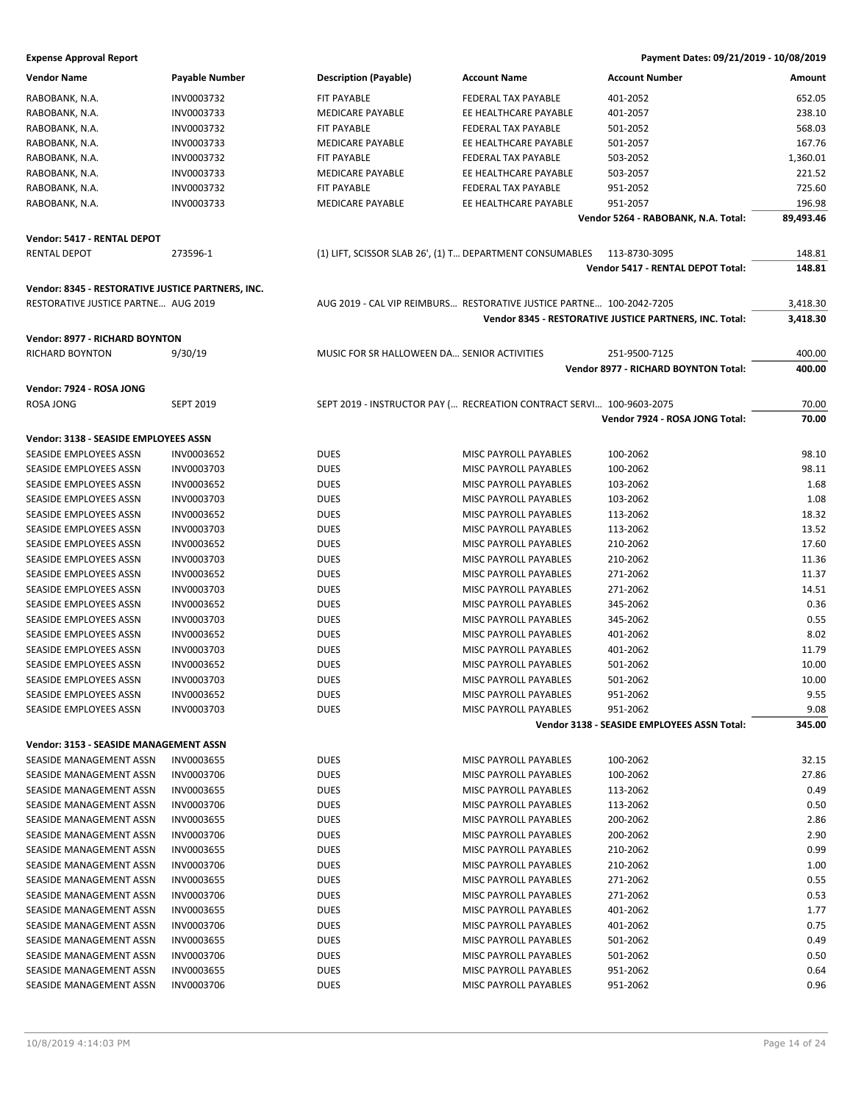| <b>Vendor Name</b>                                | <b>Payable Number</b> | <b>Description (Payable)</b>                             | <b>Account Name</b>                                                  | <b>Account Number</b>                                   | Amount    |
|---------------------------------------------------|-----------------------|----------------------------------------------------------|----------------------------------------------------------------------|---------------------------------------------------------|-----------|
| RABOBANK, N.A.                                    | INV0003732            | <b>FIT PAYABLE</b>                                       | FEDERAL TAX PAYABLE                                                  | 401-2052                                                | 652.05    |
| RABOBANK, N.A.                                    | INV0003733            | <b>MEDICARE PAYABLE</b>                                  | EE HEALTHCARE PAYABLE                                                | 401-2057                                                | 238.10    |
| RABOBANK, N.A.                                    | INV0003732            | FIT PAYABLE                                              | FEDERAL TAX PAYABLE                                                  | 501-2052                                                | 568.03    |
| RABOBANK, N.A.                                    | INV0003733            | <b>MEDICARE PAYABLE</b>                                  | EE HEALTHCARE PAYABLE                                                | 501-2057                                                | 167.76    |
| RABOBANK, N.A.                                    | INV0003732            | <b>FIT PAYABLE</b>                                       | FEDERAL TAX PAYABLE                                                  | 503-2052                                                | 1,360.01  |
| RABOBANK, N.A.                                    | INV0003733            | <b>MEDICARE PAYABLE</b>                                  | EE HEALTHCARE PAYABLE                                                | 503-2057                                                | 221.52    |
| RABOBANK, N.A.                                    | INV0003732            | FIT PAYABLE                                              | FEDERAL TAX PAYABLE                                                  | 951-2052                                                | 725.60    |
| RABOBANK, N.A.                                    | INV0003733            | <b>MEDICARE PAYABLE</b>                                  | EE HEALTHCARE PAYABLE                                                | 951-2057                                                | 196.98    |
|                                                   |                       |                                                          |                                                                      | Vendor 5264 - RABOBANK, N.A. Total:                     | 89,493.46 |
|                                                   |                       |                                                          |                                                                      |                                                         |           |
| Vendor: 5417 - RENTAL DEPOT                       |                       |                                                          |                                                                      |                                                         |           |
| <b>RENTAL DEPOT</b>                               | 273596-1              | (1) LIFT, SCISSOR SLAB 26', (1) T DEPARTMENT CONSUMABLES |                                                                      | 113-8730-3095                                           | 148.81    |
|                                                   |                       |                                                          |                                                                      | Vendor 5417 - RENTAL DEPOT Total:                       | 148.81    |
| Vendor: 8345 - RESTORATIVE JUSTICE PARTNERS, INC. |                       |                                                          |                                                                      |                                                         |           |
| RESTORATIVE JUSTICE PARTNE AUG 2019               |                       |                                                          | AUG 2019 - CAL VIP REIMBURS RESTORATIVE JUSTICE PARTNE 100-2042-7205 |                                                         | 3,418.30  |
|                                                   |                       |                                                          |                                                                      | Vendor 8345 - RESTORATIVE JUSTICE PARTNERS, INC. Total: | 3,418.30  |
| Vendor: 8977 - RICHARD BOYNTON                    |                       |                                                          |                                                                      |                                                         |           |
| <b>RICHARD BOYNTON</b>                            | 9/30/19               | MUSIC FOR SR HALLOWEEN DA SENIOR ACTIVITIES              |                                                                      | 251-9500-7125                                           | 400.00    |
|                                                   |                       |                                                          |                                                                      | Vendor 8977 - RICHARD BOYNTON Total:                    | 400.00    |
|                                                   |                       |                                                          |                                                                      |                                                         |           |
| Vendor: 7924 - ROSA JONG                          |                       |                                                          |                                                                      |                                                         |           |
| ROSA JONG                                         | <b>SEPT 2019</b>      |                                                          | SEPT 2019 - INSTRUCTOR PAY ( RECREATION CONTRACT SERVI 100-9603-2075 |                                                         | 70.00     |
|                                                   |                       |                                                          |                                                                      | Vendor 7924 - ROSA JONG Total:                          | 70.00     |
| Vendor: 3138 - SEASIDE EMPLOYEES ASSN             |                       |                                                          |                                                                      |                                                         |           |
| SEASIDE EMPLOYEES ASSN                            | INV0003652            | <b>DUES</b>                                              | MISC PAYROLL PAYABLES                                                | 100-2062                                                | 98.10     |
| SEASIDE EMPLOYEES ASSN                            | INV0003703            | <b>DUES</b>                                              | MISC PAYROLL PAYABLES                                                | 100-2062                                                | 98.11     |
| SEASIDE EMPLOYEES ASSN                            | INV0003652            | <b>DUES</b>                                              | MISC PAYROLL PAYABLES                                                | 103-2062                                                | 1.68      |
| SEASIDE EMPLOYEES ASSN                            | INV0003703            | <b>DUES</b>                                              | MISC PAYROLL PAYABLES                                                | 103-2062                                                | 1.08      |
| SEASIDE EMPLOYEES ASSN                            | INV0003652            | <b>DUES</b>                                              | MISC PAYROLL PAYABLES                                                | 113-2062                                                | 18.32     |
| SEASIDE EMPLOYEES ASSN                            | INV0003703            | <b>DUES</b>                                              | MISC PAYROLL PAYABLES                                                | 113-2062                                                | 13.52     |
| SEASIDE EMPLOYEES ASSN                            | INV0003652            | <b>DUES</b>                                              | MISC PAYROLL PAYABLES                                                | 210-2062                                                | 17.60     |
| SEASIDE EMPLOYEES ASSN                            | INV0003703            | <b>DUES</b>                                              | MISC PAYROLL PAYABLES                                                | 210-2062                                                | 11.36     |
| SEASIDE EMPLOYEES ASSN                            | INV0003652            | <b>DUES</b>                                              | MISC PAYROLL PAYABLES                                                | 271-2062                                                | 11.37     |
| SEASIDE EMPLOYEES ASSN                            | INV0003703            | <b>DUES</b>                                              | MISC PAYROLL PAYABLES                                                | 271-2062                                                | 14.51     |
| SEASIDE EMPLOYEES ASSN                            | INV0003652            | <b>DUES</b>                                              | MISC PAYROLL PAYABLES                                                | 345-2062                                                | 0.36      |
| SEASIDE EMPLOYEES ASSN                            | INV0003703            | <b>DUES</b>                                              | MISC PAYROLL PAYABLES                                                | 345-2062                                                | 0.55      |
| SEASIDE EMPLOYEES ASSN                            | INV0003652            | <b>DUES</b>                                              | MISC PAYROLL PAYABLES                                                | 401-2062                                                | 8.02      |
| SEASIDE EMPLOYEES ASSN                            | INV0003703            | <b>DUES</b>                                              | MISC PAYROLL PAYABLES                                                | 401-2062                                                | 11.79     |
| SEASIDE EMPLOYEES ASSN                            | INV0003652            | <b>DUES</b>                                              | MISC PAYROLL PAYABLES                                                | 501-2062                                                | 10.00     |
| SEASIDE EMPLOYEES ASSN                            | INV0003703            | <b>DUES</b>                                              | MISC PAYROLL PAYABLES                                                | 501-2062                                                | 10.00     |
| SEASIDE EMPLOYEES ASSN                            | INV0003652            | <b>DUES</b>                                              | MISC PAYROLL PAYABLES                                                | 951-2062                                                | 9.55      |
| SEASIDE EMPLOYEES ASSN                            | INV0003703            | <b>DUES</b>                                              | MISC PAYROLL PAYABLES                                                | 951-2062                                                | 9.08      |
|                                                   |                       |                                                          |                                                                      | Vendor 3138 - SEASIDE EMPLOYEES ASSN Total:             | 345.00    |
|                                                   |                       |                                                          |                                                                      |                                                         |           |
| Vendor: 3153 - SEASIDE MANAGEMENT ASSN            |                       |                                                          |                                                                      |                                                         |           |
| SEASIDE MANAGEMENT ASSN                           | INV0003655            | <b>DUES</b>                                              | MISC PAYROLL PAYABLES                                                | 100-2062                                                | 32.15     |
| SEASIDE MANAGEMENT ASSN                           | INV0003706            | <b>DUES</b>                                              | MISC PAYROLL PAYABLES                                                | 100-2062                                                | 27.86     |
| SEASIDE MANAGEMENT ASSN                           | INV0003655            | <b>DUES</b>                                              | MISC PAYROLL PAYABLES                                                | 113-2062                                                | 0.49      |
| SEASIDE MANAGEMENT ASSN                           | INV0003706            | <b>DUES</b>                                              | MISC PAYROLL PAYABLES                                                | 113-2062                                                | 0.50      |
| SEASIDE MANAGEMENT ASSN                           | INV0003655            | <b>DUES</b>                                              | MISC PAYROLL PAYABLES                                                | 200-2062                                                | 2.86      |
| SEASIDE MANAGEMENT ASSN                           | INV0003706            | <b>DUES</b>                                              | MISC PAYROLL PAYABLES                                                | 200-2062                                                | 2.90      |
| SEASIDE MANAGEMENT ASSN                           | INV0003655            | <b>DUES</b>                                              | MISC PAYROLL PAYABLES                                                | 210-2062                                                | 0.99      |
| SEASIDE MANAGEMENT ASSN                           | INV0003706            | <b>DUES</b>                                              | MISC PAYROLL PAYABLES                                                | 210-2062                                                | 1.00      |
| SEASIDE MANAGEMENT ASSN                           | INV0003655            | <b>DUES</b>                                              | MISC PAYROLL PAYABLES                                                | 271-2062                                                | 0.55      |
| SEASIDE MANAGEMENT ASSN                           | INV0003706            | <b>DUES</b>                                              | MISC PAYROLL PAYABLES                                                | 271-2062                                                | 0.53      |
| SEASIDE MANAGEMENT ASSN                           | INV0003655            | <b>DUES</b>                                              | MISC PAYROLL PAYABLES                                                | 401-2062                                                | 1.77      |
| SEASIDE MANAGEMENT ASSN                           | INV0003706            | <b>DUES</b>                                              | MISC PAYROLL PAYABLES                                                | 401-2062                                                | 0.75      |
| SEASIDE MANAGEMENT ASSN                           | INV0003655            | <b>DUES</b>                                              | MISC PAYROLL PAYABLES                                                | 501-2062                                                | 0.49      |
| SEASIDE MANAGEMENT ASSN                           | INV0003706            | <b>DUES</b>                                              | MISC PAYROLL PAYABLES                                                | 501-2062                                                | 0.50      |
| SEASIDE MANAGEMENT ASSN                           | INV0003655            | <b>DUES</b>                                              | MISC PAYROLL PAYABLES                                                | 951-2062                                                | 0.64      |
| SEASIDE MANAGEMENT ASSN                           | INV0003706            | <b>DUES</b>                                              | MISC PAYROLL PAYABLES                                                | 951-2062                                                | 0.96      |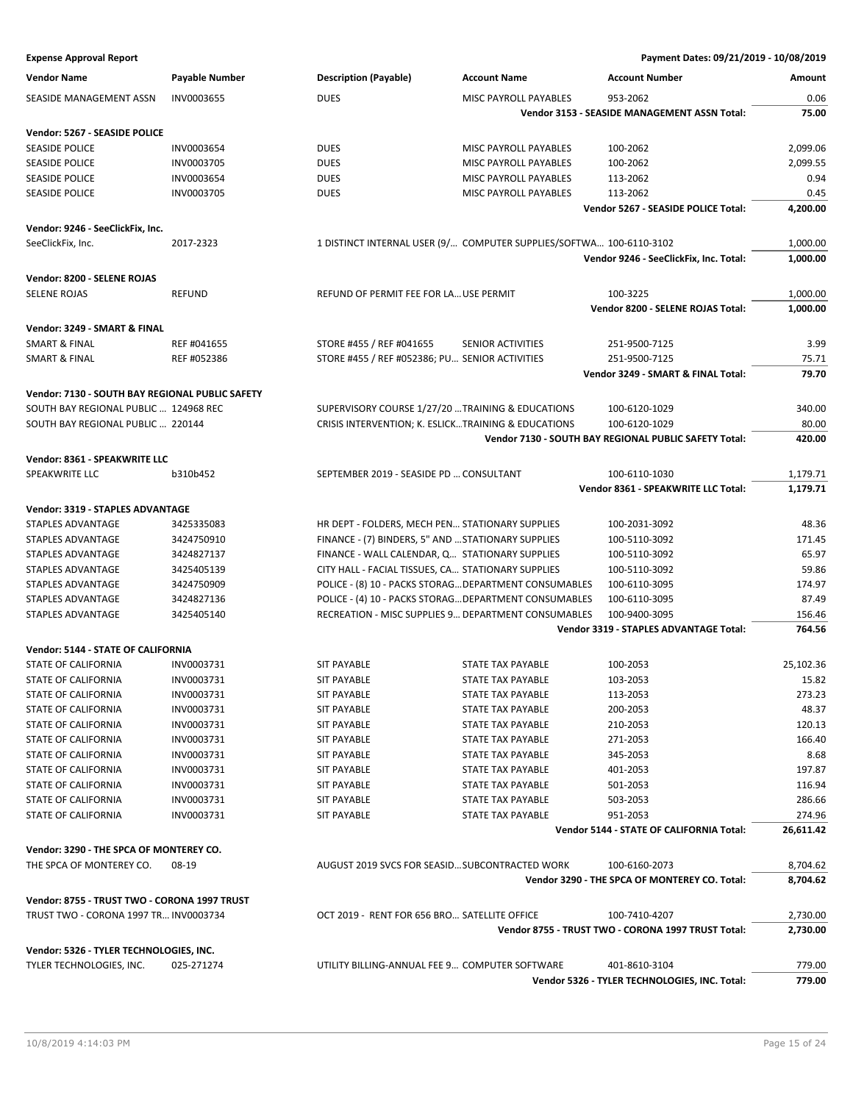| <b>Vendor Name</b>                              | <b>Payable Number</b> | <b>Description (Payable)</b>                        | <b>Account Name</b>                                                 | <b>Account Number</b>                                 | Amount    |
|-------------------------------------------------|-----------------------|-----------------------------------------------------|---------------------------------------------------------------------|-------------------------------------------------------|-----------|
| SEASIDE MANAGEMENT ASSN                         | INV0003655            | <b>DUES</b>                                         | MISC PAYROLL PAYABLES                                               | 953-2062                                              | 0.06      |
|                                                 |                       |                                                     |                                                                     | Vendor 3153 - SEASIDE MANAGEMENT ASSN Total:          | 75.00     |
|                                                 |                       |                                                     |                                                                     |                                                       |           |
| Vendor: 5267 - SEASIDE POLICE                   |                       |                                                     |                                                                     |                                                       |           |
| <b>SEASIDE POLICE</b>                           | INV0003654            | <b>DUES</b>                                         | MISC PAYROLL PAYABLES                                               | 100-2062                                              | 2,099.06  |
| <b>SEASIDE POLICE</b>                           | INV0003705            | <b>DUES</b>                                         | MISC PAYROLL PAYABLES                                               | 100-2062                                              | 2,099.55  |
| <b>SEASIDE POLICE</b>                           | INV0003654            | <b>DUES</b>                                         | MISC PAYROLL PAYABLES                                               | 113-2062                                              | 0.94      |
| <b>SEASIDE POLICE</b>                           | INV0003705            | <b>DUES</b>                                         | MISC PAYROLL PAYABLES                                               | 113-2062                                              | 0.45      |
|                                                 |                       |                                                     |                                                                     | Vendor 5267 - SEASIDE POLICE Total:                   | 4,200.00  |
| Vendor: 9246 - SeeClickFix, Inc.                |                       |                                                     |                                                                     |                                                       |           |
| SeeClickFix, Inc.                               | 2017-2323             |                                                     | 1 DISTINCT INTERNAL USER (9/ COMPUTER SUPPLIES/SOFTWA 100-6110-3102 |                                                       | 1,000.00  |
|                                                 |                       |                                                     |                                                                     | Vendor 9246 - SeeClickFix, Inc. Total:                | 1,000.00  |
|                                                 |                       |                                                     |                                                                     |                                                       |           |
| Vendor: 8200 - SELENE ROJAS                     |                       |                                                     |                                                                     |                                                       |           |
| <b>SELENE ROJAS</b>                             | <b>REFUND</b>         | REFUND OF PERMIT FEE FOR LA USE PERMIT              |                                                                     | 100-3225                                              | 1,000.00  |
|                                                 |                       |                                                     |                                                                     | Vendor 8200 - SELENE ROJAS Total:                     | 1,000.00  |
| Vendor: 3249 - SMART & FINAL                    |                       |                                                     |                                                                     |                                                       |           |
| <b>SMART &amp; FINAL</b>                        | REF #041655           | STORE #455 / REF #041655                            | <b>SENIOR ACTIVITIES</b>                                            | 251-9500-7125                                         | 3.99      |
| <b>SMART &amp; FINAL</b>                        | REF #052386           | STORE #455 / REF #052386; PU SENIOR ACTIVITIES      |                                                                     | 251-9500-7125                                         | 75.71     |
|                                                 |                       |                                                     |                                                                     | Vendor 3249 - SMART & FINAL Total:                    | 79.70     |
| Vendor: 7130 - SOUTH BAY REGIONAL PUBLIC SAFETY |                       |                                                     |                                                                     |                                                       |           |
| SOUTH BAY REGIONAL PUBLIC  124968 REC           |                       | SUPERVISORY COURSE 1/27/20  TRAINING & EDUCATIONS   |                                                                     | 100-6120-1029                                         | 340.00    |
| SOUTH BAY REGIONAL PUBLIC  220144               |                       | CRISIS INTERVENTION; K. ESLICKTRAINING & EDUCATIONS |                                                                     | 100-6120-1029                                         | 80.00     |
|                                                 |                       |                                                     |                                                                     | Vendor 7130 - SOUTH BAY REGIONAL PUBLIC SAFETY Total: | 420.00    |
|                                                 |                       |                                                     |                                                                     |                                                       |           |
| Vendor: 8361 - SPEAKWRITE LLC                   |                       |                                                     |                                                                     |                                                       |           |
| SPEAKWRITE LLC                                  | b310b452              | SEPTEMBER 2019 - SEASIDE PD  CONSULTANT             |                                                                     | 100-6110-1030                                         | 1,179.71  |
|                                                 |                       |                                                     |                                                                     | Vendor 8361 - SPEAKWRITE LLC Total:                   | 1,179.71  |
| Vendor: 3319 - STAPLES ADVANTAGE                |                       |                                                     |                                                                     |                                                       |           |
| STAPLES ADVANTAGE                               | 3425335083            | HR DEPT - FOLDERS, MECH PEN STATIONARY SUPPLIES     |                                                                     | 100-2031-3092                                         | 48.36     |
| STAPLES ADVANTAGE                               | 3424750910            | FINANCE - (7) BINDERS, 5" AND  STATIONARY SUPPLIES  |                                                                     | 100-5110-3092                                         | 171.45    |
| STAPLES ADVANTAGE                               | 3424827137            | FINANCE - WALL CALENDAR, Q STATIONARY SUPPLIES      |                                                                     | 100-5110-3092                                         | 65.97     |
| STAPLES ADVANTAGE                               | 3425405139            | CITY HALL - FACIAL TISSUES, CA STATIONARY SUPPLIES  |                                                                     | 100-5110-3092                                         | 59.86     |
| STAPLES ADVANTAGE                               | 3424750909            |                                                     | POLICE - (8) 10 - PACKS STORAG DEPARTMENT CONSUMABLES               | 100-6110-3095                                         | 174.97    |
| STAPLES ADVANTAGE                               | 3424827136            |                                                     | POLICE - (4) 10 - PACKS STORAG DEPARTMENT CONSUMABLES               | 100-6110-3095                                         | 87.49     |
| STAPLES ADVANTAGE                               | 3425405140            |                                                     | RECREATION - MISC SUPPLIES 9 DEPARTMENT CONSUMABLES                 | 100-9400-3095                                         | 156.46    |
|                                                 |                       |                                                     |                                                                     | Vendor 3319 - STAPLES ADVANTAGE Total:                | 764.56    |
|                                                 |                       |                                                     |                                                                     |                                                       |           |
| Vendor: 5144 - STATE OF CALIFORNIA              |                       |                                                     |                                                                     |                                                       |           |
| STATE OF CALIFORNIA                             | INV0003731            | <b>SIT PAYABLE</b>                                  | <b>STATE TAX PAYABLE</b>                                            | 100-2053                                              | 25,102.36 |
| <b>STATE OF CALIFORNIA</b>                      | INV0003731            | <b>SIT PAYABLE</b>                                  | <b>STATE TAX PAYABLE</b>                                            | 103-2053                                              | 15.82     |
| STATE OF CALIFORNIA                             | INV0003731            | SIT PAYABLE                                         | STATE TAX PAYABLE                                                   | 113-2053                                              | 273.23    |
| STATE OF CALIFORNIA                             | INV0003731            | <b>SIT PAYABLE</b>                                  | STATE TAX PAYABLE                                                   | 200-2053                                              | 48.37     |
| STATE OF CALIFORNIA                             | INV0003731            | <b>SIT PAYABLE</b>                                  | STATE TAX PAYABLE                                                   | 210-2053                                              | 120.13    |
| STATE OF CALIFORNIA                             | INV0003731            | <b>SIT PAYABLE</b>                                  | STATE TAX PAYABLE                                                   | 271-2053                                              | 166.40    |
| <b>STATE OF CALIFORNIA</b>                      | INV0003731            | <b>SIT PAYABLE</b>                                  | <b>STATE TAX PAYABLE</b>                                            | 345-2053                                              | 8.68      |
| STATE OF CALIFORNIA                             | INV0003731            | <b>SIT PAYABLE</b>                                  | STATE TAX PAYABLE                                                   | 401-2053                                              | 197.87    |
| <b>STATE OF CALIFORNIA</b>                      | INV0003731            | <b>SIT PAYABLE</b>                                  | STATE TAX PAYABLE                                                   | 501-2053                                              | 116.94    |
| STATE OF CALIFORNIA                             | INV0003731            | <b>SIT PAYABLE</b>                                  | STATE TAX PAYABLE                                                   | 503-2053                                              | 286.66    |
| STATE OF CALIFORNIA                             | INV0003731            | <b>SIT PAYABLE</b>                                  | STATE TAX PAYABLE                                                   | 951-2053                                              | 274.96    |
|                                                 |                       |                                                     |                                                                     | Vendor 5144 - STATE OF CALIFORNIA Total:              | 26,611.42 |
|                                                 |                       |                                                     |                                                                     |                                                       |           |
| Vendor: 3290 - THE SPCA OF MONTEREY CO.         |                       |                                                     |                                                                     |                                                       |           |
| THE SPCA OF MONTEREY CO.                        | 08-19                 | AUGUST 2019 SVCS FOR SEASID SUBCONTRACTED WORK      |                                                                     | 100-6160-2073                                         | 8,704.62  |
|                                                 |                       |                                                     |                                                                     | Vendor 3290 - THE SPCA OF MONTEREY CO. Total:         | 8,704.62  |
| Vendor: 8755 - TRUST TWO - CORONA 1997 TRUST    |                       |                                                     |                                                                     |                                                       |           |
| TRUST TWO - CORONA 1997 TR INV0003734           |                       | OCT 2019 - RENT FOR 656 BRO SATELLITE OFFICE        |                                                                     | 100-7410-4207                                         | 2,730.00  |
|                                                 |                       |                                                     |                                                                     | Vendor 8755 - TRUST TWO - CORONA 1997 TRUST Total:    | 2,730.00  |
| Vendor: 5326 - TYLER TECHNOLOGIES, INC.         |                       |                                                     |                                                                     |                                                       |           |
| TYLER TECHNOLOGIES, INC.                        | 025-271274            | UTILITY BILLING-ANNUAL FEE 9 COMPUTER SOFTWARE      |                                                                     | 401-8610-3104                                         | 779.00    |
|                                                 |                       |                                                     |                                                                     | Vendor 5326 - TYLER TECHNOLOGIES, INC. Total:         | 779.00    |
|                                                 |                       |                                                     |                                                                     |                                                       |           |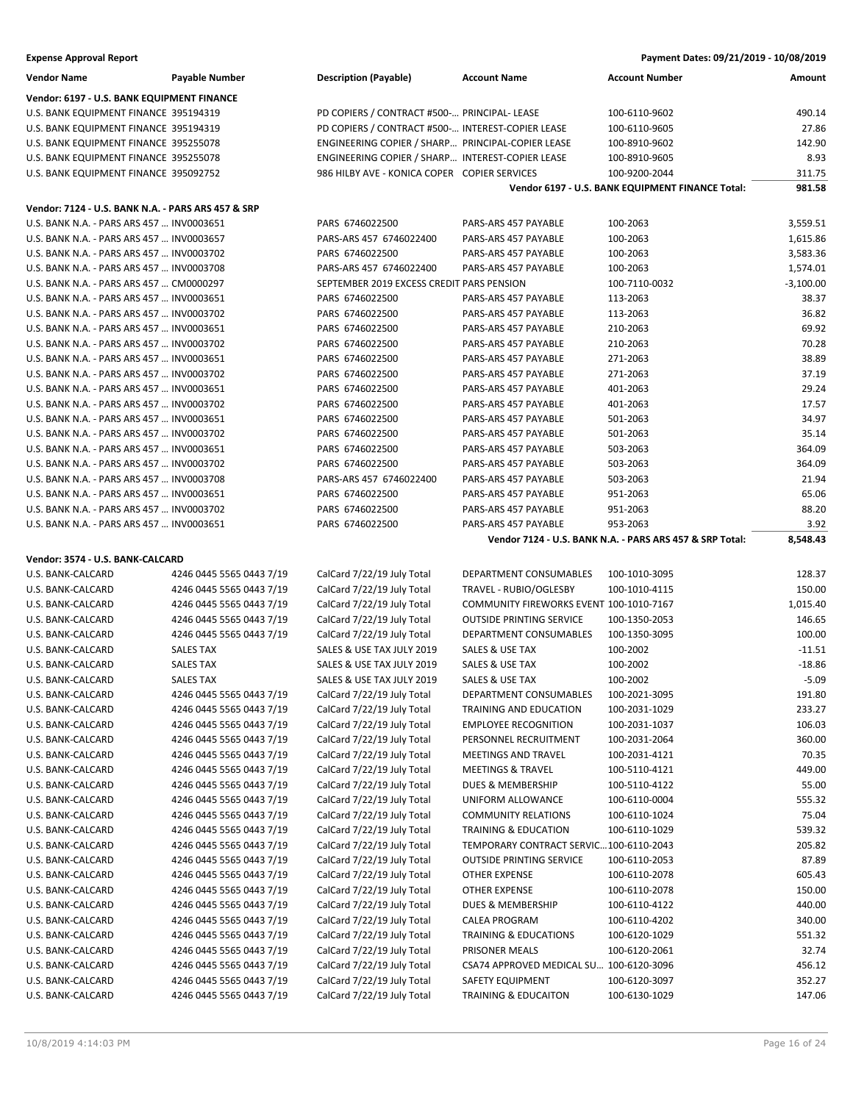| Payment Dates: 09/21/2019 - 10/08/2019 |
|----------------------------------------|
|                                        |

| <b>Vendor Name</b>                                 | <b>Payable Number</b>                                | <b>Description (Payable)</b>                             | <b>Account Name</b>                      | <b>Account Number</b>                                    | Amount           |
|----------------------------------------------------|------------------------------------------------------|----------------------------------------------------------|------------------------------------------|----------------------------------------------------------|------------------|
| Vendor: 6197 - U.S. BANK EQUIPMENT FINANCE         |                                                      |                                                          |                                          |                                                          |                  |
| U.S. BANK EQUIPMENT FINANCE 395194319              |                                                      | PD COPIERS / CONTRACT #500- PRINCIPAL- LEASE             |                                          | 100-6110-9602                                            | 490.14           |
| U.S. BANK EQUIPMENT FINANCE 395194319              |                                                      | PD COPIERS / CONTRACT #500- INTEREST-COPIER LEASE        |                                          | 100-6110-9605                                            | 27.86            |
| U.S. BANK EQUIPMENT FINANCE 395255078              |                                                      | ENGINEERING COPIER / SHARP PRINCIPAL-COPIER LEASE        |                                          | 100-8910-9602                                            | 142.90           |
| U.S. BANK EQUIPMENT FINANCE 395255078              |                                                      | ENGINEERING COPIER / SHARP INTEREST-COPIER LEASE         |                                          | 100-8910-9605                                            | 8.93             |
| U.S. BANK EQUIPMENT FINANCE 395092752              |                                                      | 986 HILBY AVE - KONICA COPER COPIER SERVICES             |                                          | 100-9200-2044                                            | 311.75           |
|                                                    |                                                      |                                                          |                                          | Vendor 6197 - U.S. BANK EQUIPMENT FINANCE Total:         | 981.58           |
| Vendor: 7124 - U.S. BANK N.A. - PARS ARS 457 & SRP |                                                      |                                                          |                                          |                                                          |                  |
| U.S. BANK N.A. - PARS ARS 457  INV0003651          |                                                      | PARS 6746022500                                          | PARS-ARS 457 PAYABLE                     | 100-2063                                                 | 3,559.51         |
| U.S. BANK N.A. - PARS ARS 457  INV0003657          |                                                      | PARS-ARS 457 6746022400                                  | PARS-ARS 457 PAYABLE                     | 100-2063                                                 | 1,615.86         |
| U.S. BANK N.A. - PARS ARS 457  INV0003702          |                                                      | PARS 6746022500                                          | PARS-ARS 457 PAYABLE                     | 100-2063                                                 | 3,583.36         |
| U.S. BANK N.A. - PARS ARS 457  INV0003708          |                                                      | PARS-ARS 457 6746022400                                  | PARS-ARS 457 PAYABLE                     | 100-2063                                                 | 1,574.01         |
| U.S. BANK N.A. - PARS ARS 457  CM0000297           |                                                      | SEPTEMBER 2019 EXCESS CREDIT PARS PENSION                |                                          | 100-7110-0032                                            | $-3,100.00$      |
| U.S. BANK N.A. - PARS ARS 457  INV0003651          |                                                      | PARS 6746022500                                          | PARS-ARS 457 PAYABLE                     | 113-2063                                                 | 38.37            |
| U.S. BANK N.A. - PARS ARS 457  INV0003702          |                                                      | PARS 6746022500                                          | PARS-ARS 457 PAYABLE                     | 113-2063                                                 | 36.82            |
| U.S. BANK N.A. - PARS ARS 457  INV0003651          |                                                      | PARS 6746022500                                          | PARS-ARS 457 PAYABLE                     | 210-2063                                                 | 69.92            |
| U.S. BANK N.A. - PARS ARS 457  INV0003702          |                                                      | PARS 6746022500                                          | PARS-ARS 457 PAYABLE                     | 210-2063                                                 | 70.28            |
| U.S. BANK N.A. - PARS ARS 457  INV0003651          |                                                      | PARS 6746022500                                          | PARS-ARS 457 PAYABLE                     | 271-2063                                                 | 38.89            |
| U.S. BANK N.A. - PARS ARS 457  INV0003702          |                                                      | PARS 6746022500                                          | PARS-ARS 457 PAYABLE                     | 271-2063                                                 | 37.19            |
| U.S. BANK N.A. - PARS ARS 457  INV0003651          |                                                      | PARS 6746022500                                          | PARS-ARS 457 PAYABLE                     | 401-2063                                                 | 29.24            |
| U.S. BANK N.A. - PARS ARS 457  INV0003702          |                                                      | PARS 6746022500                                          | PARS-ARS 457 PAYABLE                     | 401-2063                                                 | 17.57            |
| U.S. BANK N.A. - PARS ARS 457  INV0003651          |                                                      | PARS 6746022500                                          | PARS-ARS 457 PAYABLE                     | 501-2063                                                 | 34.97            |
| U.S. BANK N.A. - PARS ARS 457  INV0003702          |                                                      | PARS 6746022500                                          | PARS-ARS 457 PAYABLE                     | 501-2063                                                 | 35.14            |
| U.S. BANK N.A. - PARS ARS 457  INV0003651          |                                                      | PARS 6746022500                                          | PARS-ARS 457 PAYABLE                     | 503-2063                                                 | 364.09           |
| U.S. BANK N.A. - PARS ARS 457  INV0003702          |                                                      | PARS 6746022500                                          | PARS-ARS 457 PAYABLE                     | 503-2063                                                 | 364.09           |
| U.S. BANK N.A. - PARS ARS 457  INV0003708          |                                                      | PARS-ARS 457 6746022400                                  | PARS-ARS 457 PAYABLE                     | 503-2063                                                 | 21.94            |
| U.S. BANK N.A. - PARS ARS 457  INV0003651          |                                                      | PARS 6746022500                                          | PARS-ARS 457 PAYABLE                     | 951-2063                                                 | 65.06            |
| U.S. BANK N.A. - PARS ARS 457  INV0003702          |                                                      | PARS 6746022500                                          | PARS-ARS 457 PAYABLE                     | 951-2063                                                 | 88.20            |
| U.S. BANK N.A. - PARS ARS 457  INV0003651          |                                                      | PARS 6746022500                                          | PARS-ARS 457 PAYABLE                     | 953-2063                                                 | 3.92             |
|                                                    |                                                      |                                                          |                                          | Vendor 7124 - U.S. BANK N.A. - PARS ARS 457 & SRP Total: | 8,548.43         |
| Vendor: 3574 - U.S. BANK-CALCARD                   |                                                      |                                                          |                                          |                                                          |                  |
|                                                    |                                                      |                                                          |                                          |                                                          |                  |
| U.S. BANK-CALCARD                                  | 4246 0445 5565 0443 7/19                             | CalCard 7/22/19 July Total                               | DEPARTMENT CONSUMABLES                   | 100-1010-3095                                            | 128.37           |
| U.S. BANK-CALCARD                                  | 4246 0445 5565 0443 7/19                             | CalCard 7/22/19 July Total                               | TRAVEL - RUBIO/OGLESBY                   | 100-1010-4115                                            | 150.00           |
| U.S. BANK-CALCARD                                  | 4246 0445 5565 0443 7/19                             | CalCard 7/22/19 July Total                               | COMMUNITY FIREWORKS EVENT 100-1010-7167  |                                                          | 1,015.40         |
| U.S. BANK-CALCARD                                  | 4246 0445 5565 0443 7/19                             | CalCard 7/22/19 July Total                               | <b>OUTSIDE PRINTING SERVICE</b>          | 100-1350-2053                                            | 146.65           |
| U.S. BANK-CALCARD                                  | 4246 0445 5565 0443 7/19                             | CalCard 7/22/19 July Total                               | DEPARTMENT CONSUMABLES                   | 100-1350-3095                                            | 100.00           |
| U.S. BANK-CALCARD                                  | SALES TAX                                            | SALES & USE TAX JULY 2019                                | SALES & USE TAX                          | 100-2002                                                 | $-11.51$         |
| U.S. BANK-CALCARD                                  | <b>SALES TAX</b>                                     | SALES & USE TAX JULY 2019                                | SALES & USE TAX                          | 100-2002                                                 | $-18.86$         |
| U.S. BANK-CALCARD                                  | <b>SALES TAX</b>                                     | SALES & USE TAX JULY 2019                                | <b>SALES &amp; USE TAX</b>               | 100-2002                                                 | $-5.09$          |
| U.S. BANK-CALCARD                                  | 4246 0445 5565 0443 7/19                             | CalCard 7/22/19 July Total                               | DEPARTMENT CONSUMABLES                   | 100-2021-3095                                            | 191.80           |
| U.S. BANK-CALCARD                                  | 4246 0445 5565 0443 7/19                             | CalCard 7/22/19 July Total                               | TRAINING AND EDUCATION                   | 100-2031-1029                                            | 233.27           |
| U.S. BANK-CALCARD                                  | 4246 0445 5565 0443 7/19                             | CalCard 7/22/19 July Total                               | <b>EMPLOYEE RECOGNITION</b>              | 100-2031-1037                                            | 106.03           |
| U.S. BANK-CALCARD                                  | 4246 0445 5565 0443 7/19                             | CalCard 7/22/19 July Total                               | PERSONNEL RECRUITMENT                    | 100-2031-2064                                            | 360.00           |
| U.S. BANK-CALCARD                                  | 4246 0445 5565 0443 7/19                             | CalCard 7/22/19 July Total                               | MEETINGS AND TRAVEL                      | 100-2031-4121                                            | 70.35            |
| U.S. BANK-CALCARD                                  | 4246 0445 5565 0443 7/19                             | CalCard 7/22/19 July Total                               | <b>MEETINGS &amp; TRAVEL</b>             | 100-5110-4121                                            | 449.00           |
| U.S. BANK-CALCARD                                  | 4246 0445 5565 0443 7/19                             | CalCard 7/22/19 July Total                               | DUES & MEMBERSHIP                        | 100-5110-4122                                            | 55.00            |
| U.S. BANK-CALCARD                                  | 4246 0445 5565 0443 7/19                             | CalCard 7/22/19 July Total                               | UNIFORM ALLOWANCE                        | 100-6110-0004                                            | 555.32           |
| U.S. BANK-CALCARD                                  | 4246 0445 5565 0443 7/19                             | CalCard 7/22/19 July Total                               | <b>COMMUNITY RELATIONS</b>               | 100-6110-1024                                            | 75.04            |
| U.S. BANK-CALCARD                                  | 4246 0445 5565 0443 7/19                             | CalCard 7/22/19 July Total                               | TRAINING & EDUCATION                     | 100-6110-1029                                            | 539.32           |
| U.S. BANK-CALCARD                                  | 4246 0445 5565 0443 7/19                             | CalCard 7/22/19 July Total                               | TEMPORARY CONTRACT SERVIC100-6110-2043   |                                                          | 205.82           |
| U.S. BANK-CALCARD                                  | 4246 0445 5565 0443 7/19                             | CalCard 7/22/19 July Total                               | <b>OUTSIDE PRINTING SERVICE</b>          | 100-6110-2053                                            | 87.89            |
| U.S. BANK-CALCARD                                  | 4246 0445 5565 0443 7/19                             | CalCard 7/22/19 July Total                               | OTHER EXPENSE                            | 100-6110-2078                                            | 605.43           |
| U.S. BANK-CALCARD                                  | 4246 0445 5565 0443 7/19                             | CalCard 7/22/19 July Total                               | OTHER EXPENSE                            | 100-6110-2078                                            | 150.00           |
| U.S. BANK-CALCARD                                  | 4246 0445 5565 0443 7/19                             | CalCard 7/22/19 July Total                               | DUES & MEMBERSHIP                        | 100-6110-4122                                            | 440.00           |
| U.S. BANK-CALCARD                                  | 4246 0445 5565 0443 7/19                             | CalCard 7/22/19 July Total                               | CALEA PROGRAM                            | 100-6110-4202                                            | 340.00           |
| U.S. BANK-CALCARD                                  | 4246 0445 5565 0443 7/19                             | CalCard 7/22/19 July Total                               | <b>TRAINING &amp; EDUCATIONS</b>         | 100-6120-1029                                            | 551.32           |
| U.S. BANK-CALCARD                                  | 4246 0445 5565 0443 7/19                             | CalCard 7/22/19 July Total                               | PRISONER MEALS                           | 100-6120-2061                                            | 32.74            |
| U.S. BANK-CALCARD                                  | 4246 0445 5565 0443 7/19                             | CalCard 7/22/19 July Total                               | CSA74 APPROVED MEDICAL SU 100-6120-3096  |                                                          | 456.12           |
| U.S. BANK-CALCARD<br>U.S. BANK-CALCARD             | 4246 0445 5565 0443 7/19<br>4246 0445 5565 0443 7/19 | CalCard 7/22/19 July Total<br>CalCard 7/22/19 July Total | SAFETY EQUIPMENT<br>TRAINING & EDUCAITON | 100-6120-3097<br>100-6130-1029                           | 352.27<br>147.06 |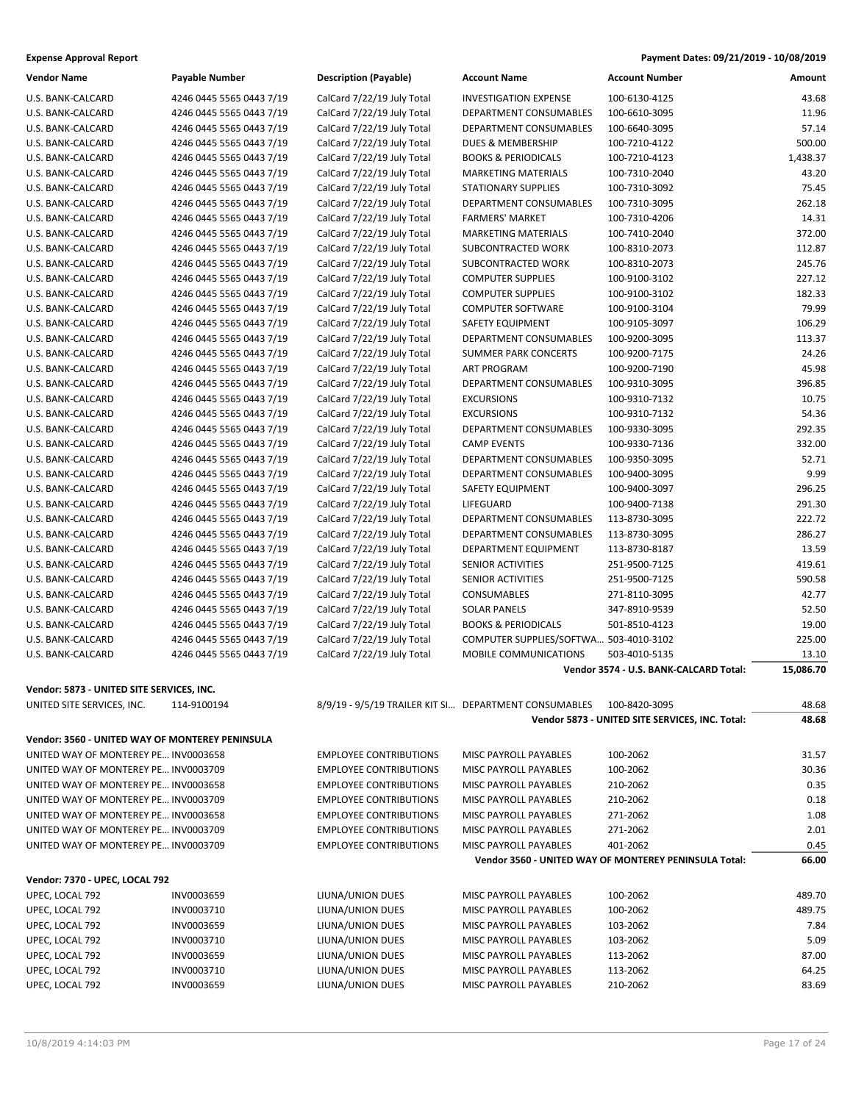| Payment Dates: 09/21/2019 - 10/08/2019 |
|----------------------------------------|
|                                        |

| Vendor Name                                     | Payable Number           | <b>Description (Payable)</b>                          | <b>Account Name</b>                    | <b>Account Number</b>                                 | <b>Amount</b> |
|-------------------------------------------------|--------------------------|-------------------------------------------------------|----------------------------------------|-------------------------------------------------------|---------------|
| U.S. BANK-CALCARD                               | 4246 0445 5565 0443 7/19 | CalCard 7/22/19 July Total                            | <b>INVESTIGATION EXPENSE</b>           | 100-6130-4125                                         | 43.68         |
| U.S. BANK-CALCARD                               | 4246 0445 5565 0443 7/19 | CalCard 7/22/19 July Total                            | DEPARTMENT CONSUMABLES                 | 100-6610-3095                                         | 11.96         |
| U.S. BANK-CALCARD                               | 4246 0445 5565 0443 7/19 | CalCard 7/22/19 July Total                            | DEPARTMENT CONSUMABLES                 | 100-6640-3095                                         | 57.14         |
| U.S. BANK-CALCARD                               | 4246 0445 5565 0443 7/19 | CalCard 7/22/19 July Total                            | <b>DUES &amp; MEMBERSHIP</b>           | 100-7210-4122                                         | 500.00        |
| U.S. BANK-CALCARD                               | 4246 0445 5565 0443 7/19 | CalCard 7/22/19 July Total                            | <b>BOOKS &amp; PERIODICALS</b>         | 100-7210-4123                                         | 1,438.37      |
| U.S. BANK-CALCARD                               | 4246 0445 5565 0443 7/19 | CalCard 7/22/19 July Total                            | <b>MARKETING MATERIALS</b>             | 100-7310-2040                                         | 43.20         |
| U.S. BANK-CALCARD                               | 4246 0445 5565 0443 7/19 | CalCard 7/22/19 July Total                            | <b>STATIONARY SUPPLIES</b>             | 100-7310-3092                                         | 75.45         |
| U.S. BANK-CALCARD                               | 4246 0445 5565 0443 7/19 | CalCard 7/22/19 July Total                            | DEPARTMENT CONSUMABLES                 | 100-7310-3095                                         | 262.18        |
| U.S. BANK-CALCARD                               | 4246 0445 5565 0443 7/19 | CalCard 7/22/19 July Total                            | <b>FARMERS' MARKET</b>                 | 100-7310-4206                                         | 14.31         |
| U.S. BANK-CALCARD                               | 4246 0445 5565 0443 7/19 | CalCard 7/22/19 July Total                            | <b>MARKETING MATERIALS</b>             | 100-7410-2040                                         | 372.00        |
| U.S. BANK-CALCARD                               | 4246 0445 5565 0443 7/19 | CalCard 7/22/19 July Total                            | SUBCONTRACTED WORK                     | 100-8310-2073                                         | 112.87        |
| U.S. BANK-CALCARD                               | 4246 0445 5565 0443 7/19 | CalCard 7/22/19 July Total                            | SUBCONTRACTED WORK                     | 100-8310-2073                                         | 245.76        |
| U.S. BANK-CALCARD                               | 4246 0445 5565 0443 7/19 | CalCard 7/22/19 July Total                            | <b>COMPUTER SUPPLIES</b>               | 100-9100-3102                                         | 227.12        |
| U.S. BANK-CALCARD                               | 4246 0445 5565 0443 7/19 | CalCard 7/22/19 July Total                            | <b>COMPUTER SUPPLIES</b>               | 100-9100-3102                                         | 182.33        |
| U.S. BANK-CALCARD                               | 4246 0445 5565 0443 7/19 | CalCard 7/22/19 July Total                            | <b>COMPUTER SOFTWARE</b>               | 100-9100-3104                                         | 79.99         |
| U.S. BANK-CALCARD                               | 4246 0445 5565 0443 7/19 | CalCard 7/22/19 July Total                            | SAFETY EQUIPMENT                       | 100-9105-3097                                         | 106.29        |
| U.S. BANK-CALCARD                               | 4246 0445 5565 0443 7/19 | CalCard 7/22/19 July Total                            | DEPARTMENT CONSUMABLES                 | 100-9200-3095                                         | 113.37        |
| U.S. BANK-CALCARD                               | 4246 0445 5565 0443 7/19 | CalCard 7/22/19 July Total                            | <b>SUMMER PARK CONCERTS</b>            | 100-9200-7175                                         | 24.26         |
| U.S. BANK-CALCARD                               | 4246 0445 5565 0443 7/19 | CalCard 7/22/19 July Total                            | <b>ART PROGRAM</b>                     | 100-9200-7190                                         | 45.98         |
| U.S. BANK-CALCARD                               | 4246 0445 5565 0443 7/19 | CalCard 7/22/19 July Total                            | <b>DEPARTMENT CONSUMABLES</b>          | 100-9310-3095                                         | 396.85        |
| U.S. BANK-CALCARD                               | 4246 0445 5565 0443 7/19 | CalCard 7/22/19 July Total                            | <b>EXCURSIONS</b>                      | 100-9310-7132                                         | 10.75         |
| U.S. BANK-CALCARD                               | 4246 0445 5565 0443 7/19 | CalCard 7/22/19 July Total                            | <b>EXCURSIONS</b>                      | 100-9310-7132                                         | 54.36         |
| U.S. BANK-CALCARD                               | 4246 0445 5565 0443 7/19 | CalCard 7/22/19 July Total                            | DEPARTMENT CONSUMABLES                 | 100-9330-3095                                         | 292.35        |
| U.S. BANK-CALCARD                               | 4246 0445 5565 0443 7/19 | CalCard 7/22/19 July Total                            | <b>CAMP EVENTS</b>                     | 100-9330-7136                                         | 332.00        |
| U.S. BANK-CALCARD                               | 4246 0445 5565 0443 7/19 | CalCard 7/22/19 July Total                            | DEPARTMENT CONSUMABLES                 | 100-9350-3095                                         | 52.71         |
| U.S. BANK-CALCARD                               | 4246 0445 5565 0443 7/19 | CalCard 7/22/19 July Total                            | DEPARTMENT CONSUMABLES                 | 100-9400-3095                                         | 9.99          |
| U.S. BANK-CALCARD                               | 4246 0445 5565 0443 7/19 | CalCard 7/22/19 July Total                            | SAFETY EQUIPMENT                       | 100-9400-3097                                         | 296.25        |
| U.S. BANK-CALCARD                               | 4246 0445 5565 0443 7/19 | CalCard 7/22/19 July Total                            | LIFEGUARD                              | 100-9400-7138                                         | 291.30        |
| U.S. BANK-CALCARD                               | 4246 0445 5565 0443 7/19 | CalCard 7/22/19 July Total                            | DEPARTMENT CONSUMABLES                 | 113-8730-3095                                         | 222.72        |
| U.S. BANK-CALCARD                               | 4246 0445 5565 0443 7/19 | CalCard 7/22/19 July Total                            | DEPARTMENT CONSUMABLES                 | 113-8730-3095                                         | 286.27        |
| U.S. BANK-CALCARD                               | 4246 0445 5565 0443 7/19 | CalCard 7/22/19 July Total                            | DEPARTMENT EQUIPMENT                   | 113-8730-8187                                         | 13.59         |
| U.S. BANK-CALCARD                               | 4246 0445 5565 0443 7/19 | CalCard 7/22/19 July Total                            | SENIOR ACTIVITIES                      | 251-9500-7125                                         | 419.61        |
| U.S. BANK-CALCARD                               | 4246 0445 5565 0443 7/19 | CalCard 7/22/19 July Total                            | SENIOR ACTIVITIES                      | 251-9500-7125                                         | 590.58        |
| U.S. BANK-CALCARD                               | 4246 0445 5565 0443 7/19 | CalCard 7/22/19 July Total                            | CONSUMABLES                            | 271-8110-3095                                         | 42.77         |
| U.S. BANK-CALCARD                               | 4246 0445 5565 0443 7/19 | CalCard 7/22/19 July Total                            | <b>SOLAR PANELS</b>                    | 347-8910-9539                                         | 52.50         |
| U.S. BANK-CALCARD                               | 4246 0445 5565 0443 7/19 | CalCard 7/22/19 July Total                            | <b>BOOKS &amp; PERIODICALS</b>         | 501-8510-4123                                         | 19.00         |
| U.S. BANK-CALCARD                               | 4246 0445 5565 0443 7/19 | CalCard 7/22/19 July Total                            | COMPUTER SUPPLIES/SOFTWA 503-4010-3102 |                                                       | 225.00        |
| U.S. BANK-CALCARD                               | 4246 0445 5565 0443 7/19 | CalCard 7/22/19 July Total                            | MOBILE COMMUNICATIONS                  | 503-4010-5135                                         | 13.10         |
|                                                 |                          |                                                       |                                        | Vendor 3574 - U.S. BANK-CALCARD Total:                | 15,086.70     |
| Vendor: 5873 - UNITED SITE SERVICES, INC.       |                          |                                                       |                                        |                                                       |               |
| UNITED SITE SERVICES, INC.                      | 114-9100194              | 8/9/19 - 9/5/19 TRAILER KIT SI DEPARTMENT CONSUMABLES |                                        | 100-8420-3095                                         | 48.68         |
|                                                 |                          |                                                       |                                        | Vendor 5873 - UNITED SITE SERVICES, INC. Total:       | 48.68         |
| Vendor: 3560 - UNITED WAY OF MONTEREY PENINSULA |                          |                                                       |                                        |                                                       |               |
| UNITED WAY OF MONTEREY PE INV0003658            |                          | <b>EMPLOYEE CONTRIBUTIONS</b>                         | MISC PAYROLL PAYABLES                  | 100-2062                                              | 31.57         |
| UNITED WAY OF MONTEREY PE INV0003709            |                          | <b>EMPLOYEE CONTRIBUTIONS</b>                         | MISC PAYROLL PAYABLES                  | 100-2062                                              | 30.36         |
| UNITED WAY OF MONTEREY PE INV0003658            |                          | <b>EMPLOYEE CONTRIBUTIONS</b>                         | MISC PAYROLL PAYABLES                  | 210-2062                                              | 0.35          |
| UNITED WAY OF MONTEREY PE INV0003709            |                          | <b>EMPLOYEE CONTRIBUTIONS</b>                         | MISC PAYROLL PAYABLES                  | 210-2062                                              | 0.18          |
| UNITED WAY OF MONTEREY PE INV0003658            |                          | <b>EMPLOYEE CONTRIBUTIONS</b>                         | MISC PAYROLL PAYABLES                  | 271-2062                                              | 1.08          |
| UNITED WAY OF MONTEREY PE INV0003709            |                          | <b>EMPLOYEE CONTRIBUTIONS</b>                         | MISC PAYROLL PAYABLES                  | 271-2062                                              | 2.01          |
| UNITED WAY OF MONTEREY PE INV0003709            |                          | <b>EMPLOYEE CONTRIBUTIONS</b>                         | MISC PAYROLL PAYABLES                  | 401-2062                                              | 0.45          |
|                                                 |                          |                                                       |                                        | Vendor 3560 - UNITED WAY OF MONTEREY PENINSULA Total: | 66.00         |
| Vendor: 7370 - UPEC, LOCAL 792                  |                          |                                                       |                                        |                                                       |               |
| UPEC, LOCAL 792                                 | INV0003659               | LIUNA/UNION DUES                                      | MISC PAYROLL PAYABLES                  | 100-2062                                              | 489.70        |
| UPEC, LOCAL 792                                 | INV0003710               | LIUNA/UNION DUES                                      | MISC PAYROLL PAYABLES                  | 100-2062                                              | 489.75        |
| UPEC, LOCAL 792                                 | INV0003659               | LIUNA/UNION DUES                                      | MISC PAYROLL PAYABLES                  | 103-2062                                              | 7.84          |
| UPEC, LOCAL 792                                 | INV0003710               | LIUNA/UNION DUES                                      | MISC PAYROLL PAYABLES                  | 103-2062                                              | 5.09          |
| UPEC, LOCAL 792                                 | INV0003659               | LIUNA/UNION DUES                                      | MISC PAYROLL PAYABLES                  | 113-2062                                              | 87.00         |
| UPEC, LOCAL 792                                 | INV0003710               | LIUNA/UNION DUES                                      | MISC PAYROLL PAYABLES                  | 113-2062                                              | 64.25         |
| UPEC, LOCAL 792                                 | INV0003659               | LIUNA/UNION DUES                                      | MISC PAYROLL PAYABLES                  | 210-2062                                              | 83.69         |
|                                                 |                          |                                                       |                                        |                                                       |               |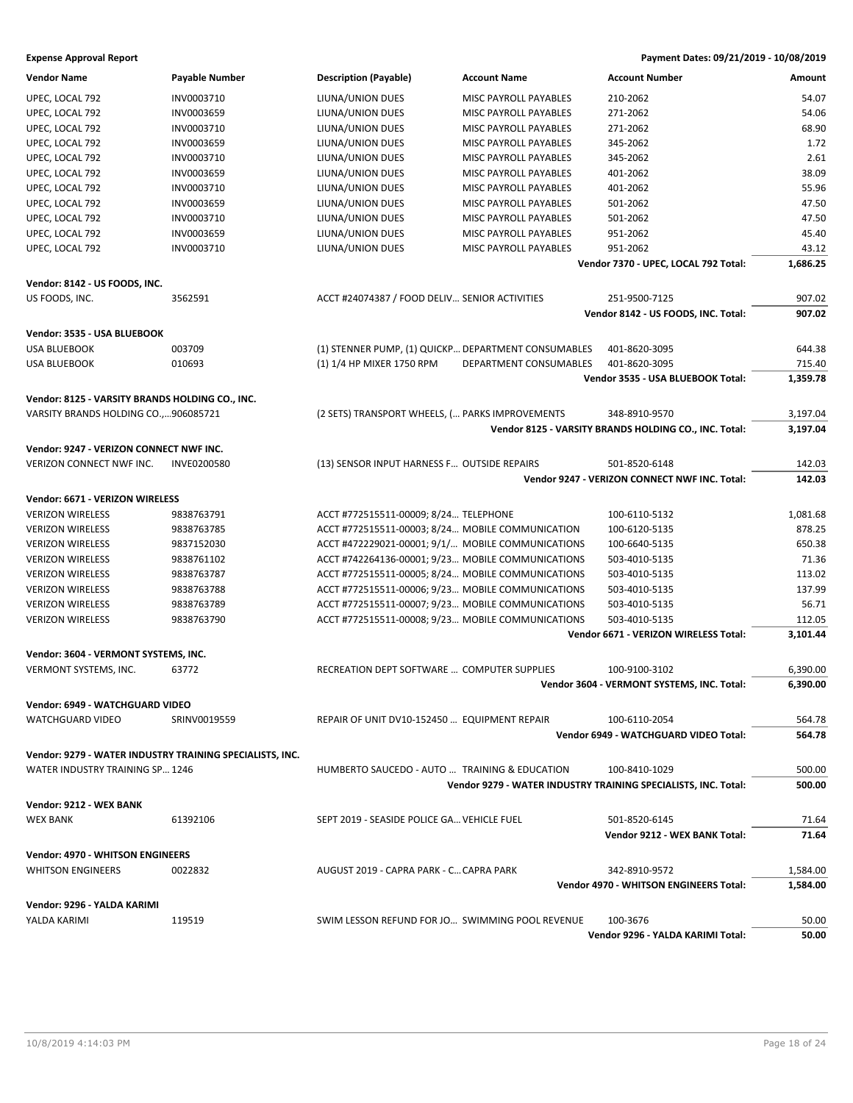| <b>Vendor Name</b>                                       | <b>Payable Number</b> | <b>Description (Payable)</b>                        | <b>Account Name</b>          | <b>Account Number</b>                                          | Amount   |
|----------------------------------------------------------|-----------------------|-----------------------------------------------------|------------------------------|----------------------------------------------------------------|----------|
| UPEC, LOCAL 792                                          | INV0003710            | LIUNA/UNION DUES                                    | MISC PAYROLL PAYABLES        | 210-2062                                                       | 54.07    |
| UPEC, LOCAL 792                                          | INV0003659            | LIUNA/UNION DUES                                    | MISC PAYROLL PAYABLES        | 271-2062                                                       | 54.06    |
| UPEC, LOCAL 792                                          | INV0003710            | LIUNA/UNION DUES                                    | MISC PAYROLL PAYABLES        | 271-2062                                                       | 68.90    |
| UPEC, LOCAL 792                                          | INV0003659            | LIUNA/UNION DUES                                    | <b>MISC PAYROLL PAYABLES</b> | 345-2062                                                       | 1.72     |
| UPEC, LOCAL 792                                          | INV0003710            | LIUNA/UNION DUES                                    | MISC PAYROLL PAYABLES        | 345-2062                                                       | 2.61     |
| UPEC, LOCAL 792                                          | INV0003659            | LIUNA/UNION DUES                                    | MISC PAYROLL PAYABLES        | 401-2062                                                       | 38.09    |
| UPEC, LOCAL 792                                          | INV0003710            | LIUNA/UNION DUES                                    | MISC PAYROLL PAYABLES        | 401-2062                                                       | 55.96    |
| UPEC, LOCAL 792                                          | INV0003659            | LIUNA/UNION DUES                                    | MISC PAYROLL PAYABLES        | 501-2062                                                       | 47.50    |
| UPEC, LOCAL 792                                          | INV0003710            | LIUNA/UNION DUES                                    | MISC PAYROLL PAYABLES        | 501-2062                                                       | 47.50    |
| UPEC, LOCAL 792                                          | INV0003659            | LIUNA/UNION DUES                                    | <b>MISC PAYROLL PAYABLES</b> | 951-2062                                                       | 45.40    |
|                                                          | INV0003710            |                                                     | MISC PAYROLL PAYABLES        | 951-2062                                                       | 43.12    |
| UPEC, LOCAL 792                                          |                       | LIUNA/UNION DUES                                    |                              | Vendor 7370 - UPEC, LOCAL 792 Total:                           | 1,686.25 |
|                                                          |                       |                                                     |                              |                                                                |          |
| Vendor: 8142 - US FOODS, INC.                            |                       |                                                     |                              |                                                                |          |
| US FOODS, INC.                                           | 3562591               | ACCT #24074387 / FOOD DELIV SENIOR ACTIVITIES       |                              | 251-9500-7125                                                  | 907.02   |
|                                                          |                       |                                                     |                              | Vendor 8142 - US FOODS, INC. Total:                            | 907.02   |
| Vendor: 3535 - USA BLUEBOOK                              |                       |                                                     |                              |                                                                |          |
| <b>USA BLUEBOOK</b>                                      | 003709                | (1) STENNER PUMP, (1) QUICKP DEPARTMENT CONSUMABLES |                              | 401-8620-3095                                                  | 644.38   |
| <b>USA BLUEBOOK</b>                                      | 010693                | (1) 1/4 HP MIXER 1750 RPM                           | DEPARTMENT CONSUMABLES       | 401-8620-3095                                                  | 715.40   |
|                                                          |                       |                                                     |                              | Vendor 3535 - USA BLUEBOOK Total:                              | 1,359.78 |
| Vendor: 8125 - VARSITY BRANDS HOLDING CO., INC.          |                       |                                                     |                              |                                                                |          |
| VARSITY BRANDS HOLDING CO.,906085721                     |                       | (2 SETS) TRANSPORT WHEELS, ( PARKS IMPROVEMENTS     |                              | 348-8910-9570                                                  | 3,197.04 |
|                                                          |                       |                                                     |                              |                                                                |          |
|                                                          |                       |                                                     |                              | Vendor 8125 - VARSITY BRANDS HOLDING CO., INC. Total:          | 3,197.04 |
| Vendor: 9247 - VERIZON CONNECT NWF INC.                  |                       |                                                     |                              |                                                                |          |
| VERIZON CONNECT NWF INC.                                 | <b>INVE0200580</b>    | (13) SENSOR INPUT HARNESS F OUTSIDE REPAIRS         |                              | 501-8520-6148                                                  | 142.03   |
|                                                          |                       |                                                     |                              | Vendor 9247 - VERIZON CONNECT NWF INC. Total:                  | 142.03   |
| Vendor: 6671 - VERIZON WIRELESS                          |                       |                                                     |                              |                                                                |          |
| <b>VERIZON WIRELESS</b>                                  | 9838763791            | ACCT #772515511-00009; 8/24 TELEPHONE               |                              | 100-6110-5132                                                  | 1,081.68 |
| <b>VERIZON WIRELESS</b>                                  | 9838763785            | ACCT #772515511-00003; 8/24 MOBILE COMMUNICATION    |                              | 100-6120-5135                                                  | 878.25   |
| <b>VERIZON WIRELESS</b>                                  | 9837152030            | ACCT #472229021-00001; 9/1/ MOBILE COMMUNICATIONS   |                              | 100-6640-5135                                                  | 650.38   |
| <b>VERIZON WIRELESS</b>                                  | 9838761102            | ACCT #742264136-00001; 9/23 MOBILE COMMUNICATIONS   |                              | 503-4010-5135                                                  | 71.36    |
| <b>VERIZON WIRELESS</b>                                  | 9838763787            | ACCT #772515511-00005; 8/24 MOBILE COMMUNICATIONS   |                              | 503-4010-5135                                                  | 113.02   |
| <b>VERIZON WIRELESS</b>                                  | 9838763788            | ACCT #772515511-00006; 9/23 MOBILE COMMUNICATIONS   |                              | 503-4010-5135                                                  | 137.99   |
| <b>VERIZON WIRELESS</b>                                  | 9838763789            | ACCT #772515511-00007; 9/23 MOBILE COMMUNICATIONS   |                              | 503-4010-5135                                                  | 56.71    |
| <b>VERIZON WIRELESS</b>                                  | 9838763790            | ACCT #772515511-00008; 9/23 MOBILE COMMUNICATIONS   |                              | 503-4010-5135                                                  | 112.05   |
|                                                          |                       |                                                     |                              | Vendor 6671 - VERIZON WIRELESS Total:                          | 3,101.44 |
|                                                          |                       |                                                     |                              |                                                                |          |
| Vendor: 3604 - VERMONT SYSTEMS, INC.                     |                       |                                                     |                              |                                                                |          |
| VERMONT SYSTEMS, INC.                                    | 63772                 | RECREATION DEPT SOFTWARE  COMPUTER SUPPLIES         |                              | 100-9100-3102                                                  | 6,390.00 |
|                                                          |                       |                                                     |                              | Vendor 3604 - VERMONT SYSTEMS, INC. Total:                     | 6,390.00 |
| Vendor: 6949 - WATCHGUARD VIDEO                          |                       |                                                     |                              |                                                                |          |
| WATCHGUARD VIDEO                                         | SRINV0019559          | REPAIR OF UNIT DV10-152450  EQUIPMENT REPAIR        |                              | 100-6110-2054                                                  | 564.78   |
|                                                          |                       |                                                     |                              | Vendor 6949 - WATCHGUARD VIDEO Total:                          | 564.78   |
| Vendor: 9279 - WATER INDUSTRY TRAINING SPECIALISTS, INC. |                       |                                                     |                              |                                                                |          |
| WATER INDUSTRY TRAINING SP., 1246                        |                       | HUMBERTO SAUCEDO - AUTO  TRAINING & EDUCATION       |                              | 100-8410-1029                                                  | 500.00   |
|                                                          |                       |                                                     |                              | Vendor 9279 - WATER INDUSTRY TRAINING SPECIALISTS. INC. Total: | 500.00   |
|                                                          |                       |                                                     |                              |                                                                |          |
| Vendor: 9212 - WEX BANK                                  |                       |                                                     |                              |                                                                |          |
| <b>WEX BANK</b>                                          | 61392106              | SEPT 2019 - SEASIDE POLICE GA VEHICLE FUEL          |                              | 501-8520-6145                                                  | 71.64    |
|                                                          |                       |                                                     |                              | Vendor 9212 - WEX BANK Total:                                  | 71.64    |
| <b>Vendor: 4970 - WHITSON ENGINEERS</b>                  |                       |                                                     |                              |                                                                |          |
| <b>WHITSON ENGINEERS</b>                                 | 0022832               | AUGUST 2019 - CAPRA PARK - C CAPRA PARK             |                              | 342-8910-9572                                                  | 1,584.00 |
|                                                          |                       |                                                     |                              | Vendor 4970 - WHITSON ENGINEERS Total:                         | 1,584.00 |
| Vendor: 9296 - YALDA KARIMI                              |                       |                                                     |                              |                                                                |          |
| YALDA KARIMI                                             | 119519                | SWIM LESSON REFUND FOR JO SWIMMING POOL REVENUE     |                              | 100-3676                                                       | 50.00    |
|                                                          |                       |                                                     |                              | Vendor 9296 - YALDA KARIMI Total:                              | 50.00    |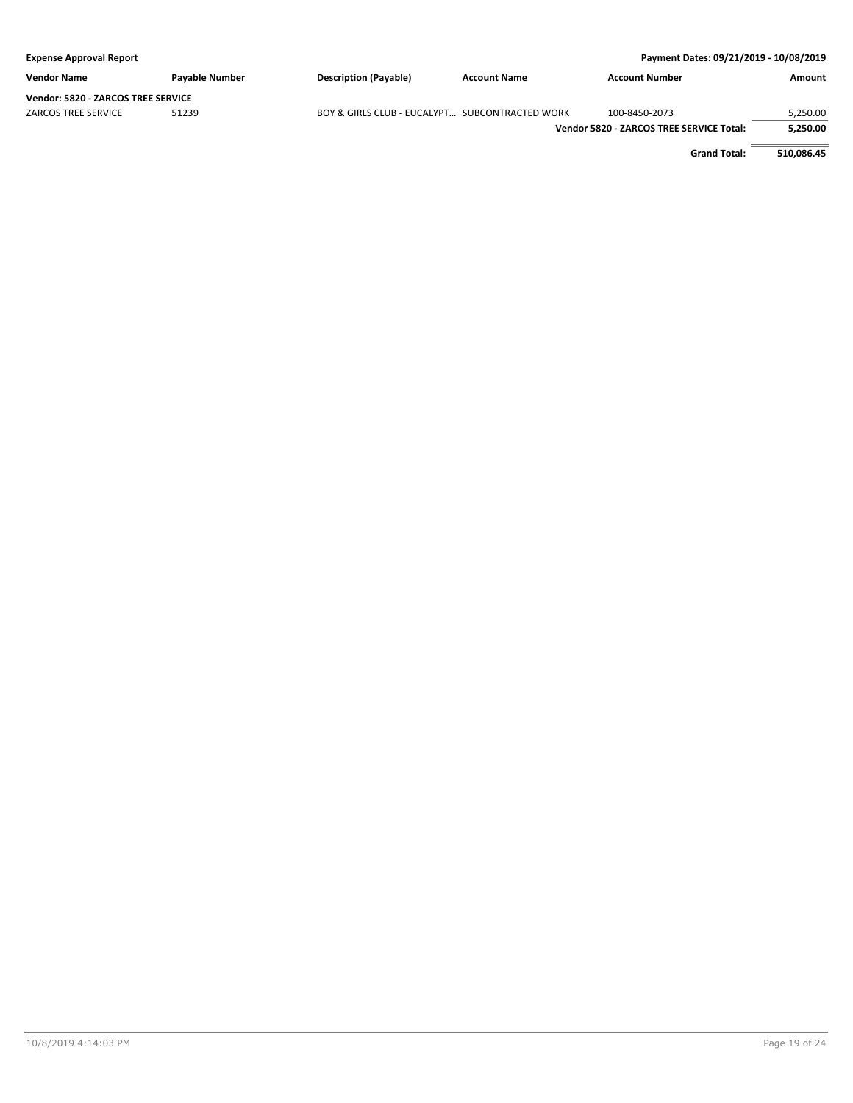| Payment Dates: 09/21/2019 - 10/08/2019<br><b>Expense Approval Report</b> |                |                                                |                     |                                          |          |
|--------------------------------------------------------------------------|----------------|------------------------------------------------|---------------------|------------------------------------------|----------|
| <b>Vendor Name</b>                                                       | Payable Number | <b>Description (Payable)</b>                   | <b>Account Name</b> | <b>Account Number</b>                    | Amount   |
| <b>Vendor: 5820 - ZARCOS TREE SERVICE</b>                                |                |                                                |                     |                                          |          |
| <b>ZARCOS TREE SERVICE</b>                                               | 51239          | BOY & GIRLS CLUB - EUCALYPT SUBCONTRACTED WORK |                     | 100-8450-2073                            | 5.250.00 |
|                                                                          |                |                                                |                     | Vendor 5820 - ZARCOS TREE SERVICE Total: | 5,250.00 |

**Grand Total: 510,086.45**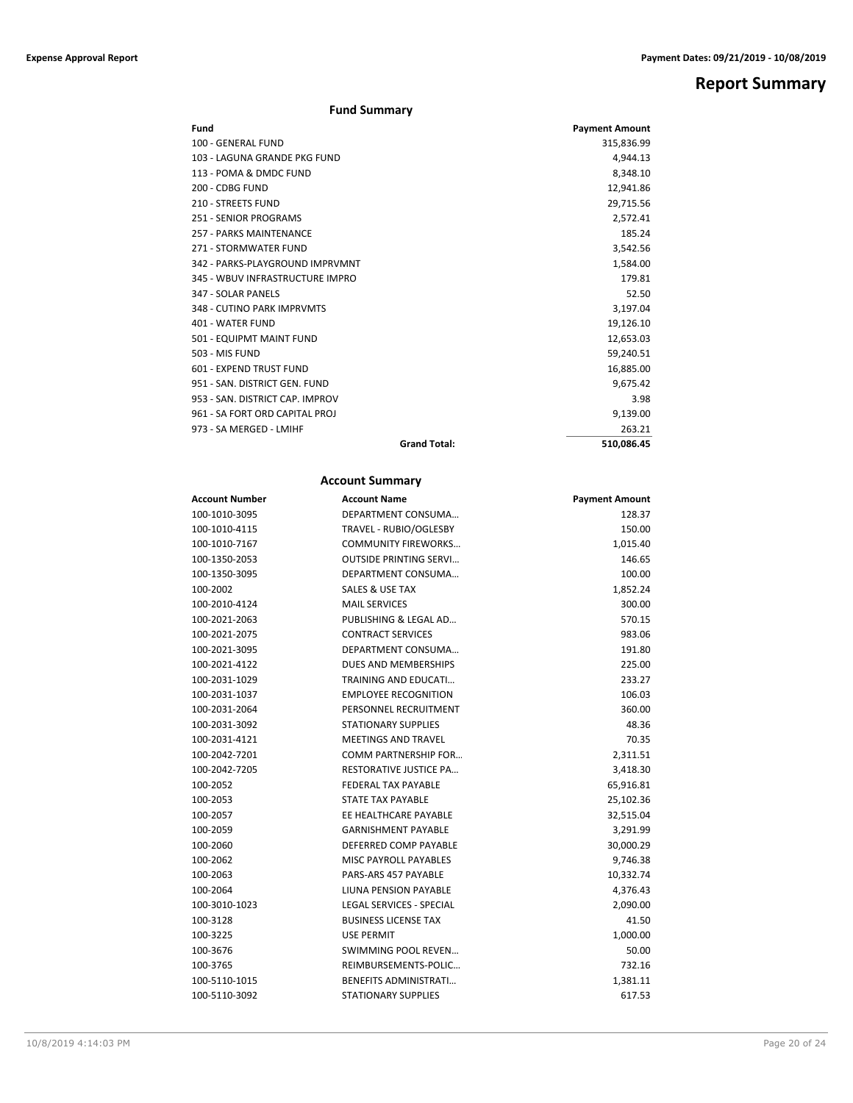## **Report Summary**

### **Fund Summary**

| Fund                            | <b>Payment Amount</b> |
|---------------------------------|-----------------------|
| 100 - GENERAL FUND              | 315,836.99            |
| 103 - LAGUNA GRANDE PKG FUND    | 4,944.13              |
| 113 - POMA & DMDC FUND          | 8,348.10              |
| 200 - CDBG FUND                 | 12,941.86             |
| 210 - STREETS FUND              | 29,715.56             |
| 251 - SENIOR PROGRAMS           | 2.572.41              |
| 257 - PARKS MAINTENANCE         | 185.24                |
| 271 - STORMWATER FUND           | 3,542.56              |
| 342 - PARKS-PLAYGROUND IMPRVMNT | 1,584.00              |
| 345 - WBUV INFRASTRUCTURE IMPRO | 179.81                |
| 347 - SOLAR PANELS              | 52.50                 |
| 348 - CUTINO PARK IMPRVMTS      | 3,197.04              |
| 401 - WATER FUND                | 19,126.10             |
| 501 - EQUIPMT MAINT FUND        | 12,653.03             |
| 503 - MIS FUND                  | 59,240.51             |
| 601 - EXPEND TRUST FUND         | 16,885.00             |
| 951 - SAN, DISTRICT GEN, FUND   | 9,675.42              |
| 953 - SAN, DISTRICT CAP, IMPROV | 3.98                  |
| 961 - SA FORT ORD CAPITAL PROJ  | 9,139.00              |
| 973 - SA MERGED - LMIHF         | 263.21                |
| <b>Grand Total:</b>             | 510,086.45            |

### **Account Summary**

| Account Number | <b>Account Name</b>             | <b>Payment Amount</b> |
|----------------|---------------------------------|-----------------------|
| 100-1010-3095  | DEPARTMENT CONSUMA              | 128.37                |
| 100-1010-4115  | TRAVEL - RUBIO/OGLESBY          | 150.00                |
| 100-1010-7167  | <b>COMMUNITY FIREWORKS</b>      | 1,015.40              |
| 100-1350-2053  | <b>OUTSIDE PRINTING SERVI</b>   | 146.65                |
| 100-1350-3095  | DEPARTMENT CONSUMA              | 100.00                |
| 100-2002       | SALES & USE TAX                 | 1,852.24              |
| 100-2010-4124  | <b>MAIL SERVICES</b>            | 300.00                |
| 100-2021-2063  | PUBLISHING & LEGAL AD           | 570.15                |
| 100-2021-2075  | <b>CONTRACT SERVICES</b>        | 983.06                |
| 100-2021-3095  | DEPARTMENT CONSUMA              | 191.80                |
| 100-2021-4122  | <b>DUES AND MEMBERSHIPS</b>     | 225.00                |
| 100-2031-1029  | <b>TRAINING AND EDUCATI</b>     | 233.27                |
| 100-2031-1037  | <b>EMPLOYEE RECOGNITION</b>     | 106.03                |
| 100-2031-2064  | PERSONNEL RECRUITMENT           | 360.00                |
| 100-2031-3092  | <b>STATIONARY SUPPLIES</b>      | 48.36                 |
| 100-2031-4121  | <b>MEETINGS AND TRAVEL</b>      | 70.35                 |
| 100-2042-7201  | <b>COMM PARTNERSHIP FOR</b>     | 2,311.51              |
| 100-2042-7205  | <b>RESTORATIVE JUSTICE PA</b>   | 3,418.30              |
| 100-2052       | <b>FEDERAL TAX PAYABLE</b>      | 65,916.81             |
| 100-2053       | <b>STATE TAX PAYABLE</b>        | 25,102.36             |
| 100-2057       | EE HEALTHCARE PAYABLE           | 32,515.04             |
| 100-2059       | <b>GARNISHMENT PAYABLE</b>      | 3,291.99              |
| 100-2060       | DEFERRED COMP PAYABLE           | 30,000.29             |
| 100-2062       | <b>MISC PAYROLL PAYABLES</b>    | 9,746.38              |
| 100-2063       | PARS-ARS 457 PAYABLE            | 10,332.74             |
| 100-2064       | LIUNA PENSION PAYABLE           | 4,376.43              |
| 100-3010-1023  | <b>LEGAL SERVICES - SPECIAL</b> | 2,090.00              |
| 100-3128       | <b>BUSINESS LICENSE TAX</b>     | 41.50                 |
| 100-3225       | <b>USE PERMIT</b>               | 1,000.00              |
| 100-3676       | <b>SWIMMING POOL REVEN</b>      | 50.00                 |
| 100-3765       | REIMBURSEMENTS-POLIC            | 732.16                |
| 100-5110-1015  | <b>BENEFITS ADMINISTRATI</b>    | 1,381.11              |
| 100-5110-3092  | <b>STATIONARY SUPPLIES</b>      | 617.53                |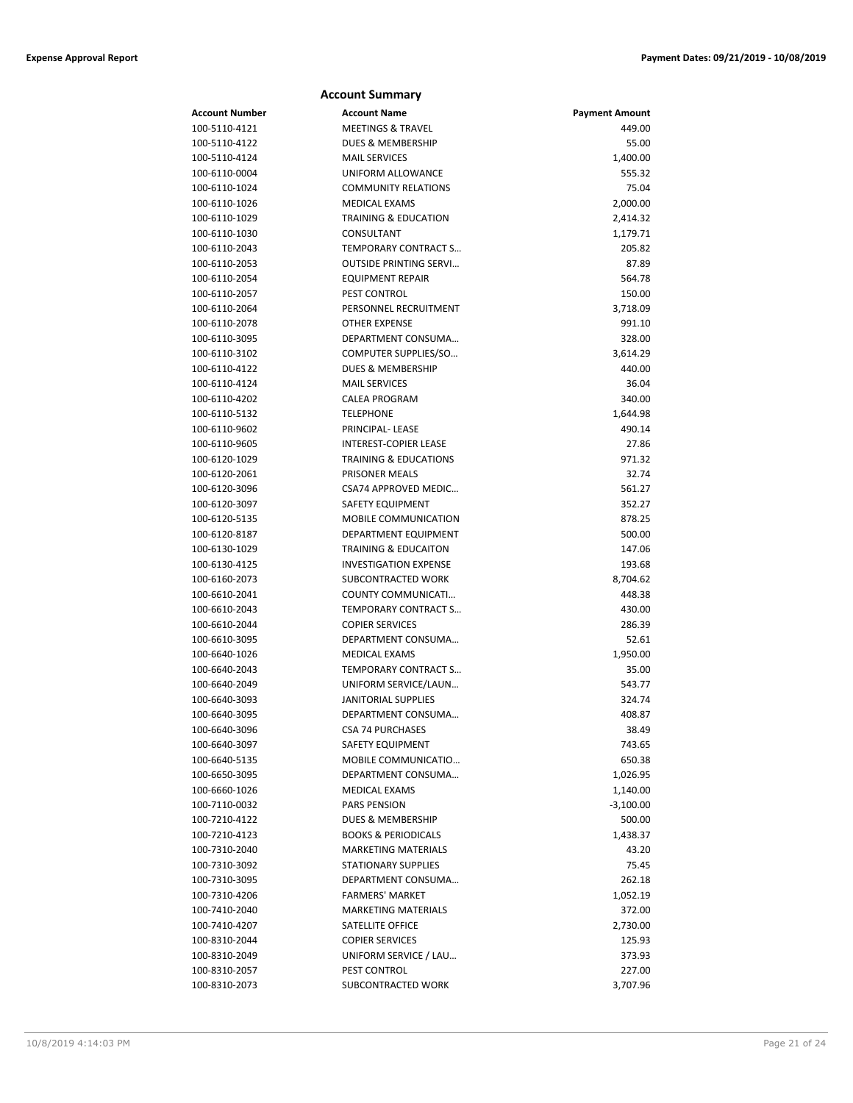|                                | <b>Account Summary</b>                                    |                       |
|--------------------------------|-----------------------------------------------------------|-----------------------|
| Account Number                 | <b>Account Name</b>                                       | <b>Payment Amount</b> |
| 100-5110-4121                  | <b>MEETINGS &amp; TRAVEL</b>                              | 449.00                |
| 100-5110-4122                  | <b>DUES &amp; MEMBERSHIP</b>                              | 55.00                 |
| 100-5110-4124                  | <b>MAIL SERVICES</b>                                      | 1,400.00              |
| 100-6110-0004                  | UNIFORM ALLOWANCE                                         | 555.32                |
| 100-6110-1024                  | <b>COMMUNITY RELATIONS</b>                                | 75.04                 |
| 100-6110-1026                  | <b>MEDICAL EXAMS</b>                                      | 2,000.00              |
| 100-6110-1029                  | <b>TRAINING &amp; EDUCATION</b>                           | 2,414.32              |
| 100-6110-1030                  | CONSULTANT                                                | 1,179.71              |
| 100-6110-2043                  | TEMPORARY CONTRACT S                                      | 205.82                |
| 100-6110-2053                  | <b>OUTSIDE PRINTING SERVI</b>                             | 87.89                 |
| 100-6110-2054                  | <b>EQUIPMENT REPAIR</b>                                   | 564.78                |
| 100-6110-2057                  | PEST CONTROL                                              | 150.00                |
| 100-6110-2064                  | PERSONNEL RECRUITMENT                                     | 3,718.09              |
| 100-6110-2078                  | <b>OTHER EXPENSE</b>                                      | 991.10                |
| 100-6110-3095                  | DEPARTMENT CONSUMA                                        | 328.00                |
| 100-6110-3102                  | COMPUTER SUPPLIES/SO                                      | 3,614.29              |
| 100-6110-4122                  | <b>DUES &amp; MEMBERSHIP</b>                              | 440.00                |
| 100-6110-4124                  | <b>MAIL SERVICES</b>                                      | 36.04                 |
| 100-6110-4202                  | <b>CALEA PROGRAM</b>                                      | 340.00                |
| 100-6110-5132                  | <b>TELEPHONE</b>                                          | 1,644.98              |
| 100-6110-9602                  | PRINCIPAL- LEASE                                          | 490.14                |
| 100-6110-9605                  | <b>INTEREST-COPIER LEASE</b>                              | 27.86                 |
| 100-6120-1029                  | <b>TRAINING &amp; EDUCATIONS</b><br><b>PRISONER MEALS</b> | 971.32<br>32.74       |
| 100-6120-2061<br>100-6120-3096 | <b>CSA74 APPROVED MEDIC</b>                               | 561.27                |
| 100-6120-3097                  | SAFETY EQUIPMENT                                          | 352.27                |
| 100-6120-5135                  | <b>MOBILE COMMUNICATION</b>                               | 878.25                |
| 100-6120-8187                  | DEPARTMENT EQUIPMENT                                      | 500.00                |
| 100-6130-1029                  | <b>TRAINING &amp; EDUCAITON</b>                           | 147.06                |
| 100-6130-4125                  | <b>INVESTIGATION EXPENSE</b>                              | 193.68                |
| 100-6160-2073                  | SUBCONTRACTED WORK                                        | 8,704.62              |
| 100-6610-2041                  | COUNTY COMMUNICATI                                        | 448.38                |
| 100-6610-2043                  | TEMPORARY CONTRACT S                                      | 430.00                |
| 100-6610-2044                  | <b>COPIER SERVICES</b>                                    | 286.39                |
| 100-6610-3095                  | DEPARTMENT CONSUMA                                        | 52.61                 |
| 100-6640-1026                  | <b>MEDICAL EXAMS</b>                                      | 1,950.00              |
| 100-6640-2043                  | TEMPORARY CONTRACT S                                      | 35.00                 |
| 100-6640-2049                  | UNIFORM SERVICE/LAUN                                      | 543.77                |
| 100-6640-3093                  | <b>JANITORIAL SUPPLIES</b>                                | 324.74                |
| 100-6640-3095                  | DEPARTMENT CONSUMA                                        | 408.87                |
| 100-6640-3096                  | <b>CSA 74 PURCHASES</b>                                   | 38.49                 |
| 100-6640-3097                  | SAFETY EQUIPMENT                                          | 743.65                |
| 100-6640-5135                  | MOBILE COMMUNICATIO                                       | 650.38                |
| 100-6650-3095                  | DEPARTMENT CONSUMA                                        | 1,026.95              |
| 100-6660-1026                  | MEDICAL EXAMS                                             | 1,140.00              |
| 100-7110-0032                  | <b>PARS PENSION</b>                                       | $-3,100.00$           |
| 100-7210-4122                  | <b>DUES &amp; MEMBERSHIP</b>                              | 500.00                |
| 100-7210-4123                  | <b>BOOKS &amp; PERIODICALS</b>                            | 1,438.37              |
| 100-7310-2040                  | <b>MARKETING MATERIALS</b>                                | 43.20                 |
| 100-7310-3092                  | <b>STATIONARY SUPPLIES</b>                                | 75.45                 |
| 100-7310-3095                  | DEPARTMENT CONSUMA                                        | 262.18                |
| 100-7310-4206                  | <b>FARMERS' MARKET</b>                                    | 1,052.19              |
| 100-7410-2040<br>100-7410-4207 | <b>MARKETING MATERIALS</b><br>SATELLITE OFFICE            | 372.00                |
| 100-8310-2044                  | <b>COPIER SERVICES</b>                                    | 2,730.00<br>125.93    |
| 100-8310-2049                  | UNIFORM SERVICE / LAU                                     | 373.93                |
| 100-8310-2057                  | PEST CONTROL                                              | 227.00                |
| 100-8310-2073                  | SUBCONTRACTED WORK                                        | 3,707.96              |
|                                |                                                           |                       |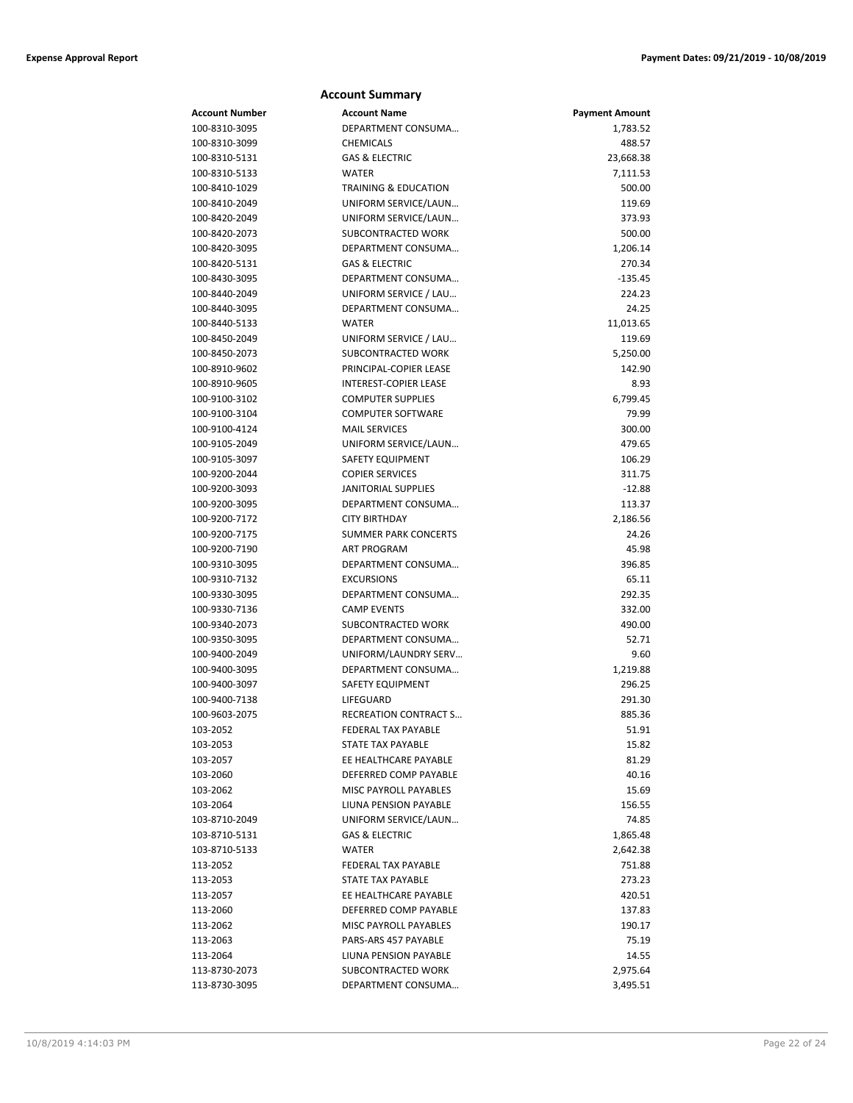| <b>Account Summary</b>         |                                         |                       |  |
|--------------------------------|-----------------------------------------|-----------------------|--|
| <b>Account Number</b>          | <b>Account Name</b>                     | <b>Payment Amount</b> |  |
| 100-8310-3095                  | DEPARTMENT CONSUMA                      | 1,783.52              |  |
| 100-8310-3099                  | <b>CHEMICALS</b>                        | 488.57                |  |
| 100-8310-5131                  | <b>GAS &amp; ELECTRIC</b>               | 23,668.38             |  |
| 100-8310-5133                  | <b>WATER</b>                            | 7,111.53              |  |
| 100-8410-1029                  | <b>TRAINING &amp; EDUCATION</b>         | 500.00                |  |
| 100-8410-2049                  | UNIFORM SERVICE/LAUN                    | 119.69                |  |
| 100-8420-2049                  | UNIFORM SERVICE/LAUN                    | 373.93                |  |
| 100-8420-2073                  | <b>SUBCONTRACTED WORK</b>               | 500.00                |  |
| 100-8420-3095                  | DEPARTMENT CONSUMA                      | 1,206.14              |  |
| 100-8420-5131                  | <b>GAS &amp; ELECTRIC</b>               | 270.34                |  |
| 100-8430-3095                  | DEPARTMENT CONSUMA                      | $-135.45$             |  |
| 100-8440-2049                  | UNIFORM SERVICE / LAU                   | 224.23                |  |
| 100-8440-3095                  | DEPARTMENT CONSUMA                      | 24.25                 |  |
| 100-8440-5133                  | <b>WATER</b>                            | 11,013.65             |  |
| 100-8450-2049                  | UNIFORM SERVICE / LAU                   | 119.69                |  |
| 100-8450-2073                  | SUBCONTRACTED WORK                      | 5,250.00              |  |
| 100-8910-9602                  | PRINCIPAL-COPIER LEASE                  | 142.90                |  |
| 100-8910-9605                  | <b>INTEREST-COPIER LEASE</b>            | 8.93                  |  |
| 100-9100-3102                  | <b>COMPUTER SUPPLIES</b>                | 6,799.45              |  |
| 100-9100-3104                  | <b>COMPUTER SOFTWARE</b>                | 79.99                 |  |
| 100-9100-4124                  | <b>MAIL SERVICES</b>                    | 300.00                |  |
| 100-9105-2049                  | UNIFORM SERVICE/LAUN                    | 479.65                |  |
| 100-9105-3097                  | <b>SAFETY EQUIPMENT</b>                 | 106.29                |  |
| 100-9200-2044                  | <b>COPIER SERVICES</b>                  | 311.75                |  |
| 100-9200-3093                  | <b>JANITORIAL SUPPLIES</b>              | $-12.88$              |  |
| 100-9200-3095                  | DEPARTMENT CONSUMA                      | 113.37                |  |
| 100-9200-7172                  | <b>CITY BIRTHDAY</b>                    | 2,186.56              |  |
| 100-9200-7175                  | <b>SUMMER PARK CONCERTS</b>             | 24.26                 |  |
| 100-9200-7190                  | <b>ART PROGRAM</b>                      | 45.98                 |  |
| 100-9310-3095                  | DEPARTMENT CONSUMA                      | 396.85                |  |
| 100-9310-7132<br>100-9330-3095 | <b>EXCURSIONS</b><br>DEPARTMENT CONSUMA | 65.11<br>292.35       |  |
| 100-9330-7136                  | <b>CAMP EVENTS</b>                      | 332.00                |  |
| 100-9340-2073                  | SUBCONTRACTED WORK                      | 490.00                |  |
| 100-9350-3095                  | DEPARTMENT CONSUMA                      | 52.71                 |  |
| 100-9400-2049                  | UNIFORM/LAUNDRY SERV                    | 9.60                  |  |
| 100-9400-3095                  | DEPARTMENT CONSUMA                      | 1,219.88              |  |
| 100-9400-3097                  | <b>SAFETY EQUIPMENT</b>                 | 296.25                |  |
| 100-9400-7138                  | LIFEGUARD                               | 291.30                |  |
| 100-9603-2075                  | RECREATION CONTRACT S                   | 885.36                |  |
| 103-2052                       | FEDERAL TAX PAYABLE                     | 51.91                 |  |
| 103-2053                       | STATE TAX PAYABLE                       | 15.82                 |  |
| 103-2057                       | EE HEALTHCARE PAYABLE                   | 81.29                 |  |
| 103-2060                       | DEFERRED COMP PAYABLE                   | 40.16                 |  |
| 103-2062                       | MISC PAYROLL PAYABLES                   | 15.69                 |  |
| 103-2064                       | <b>LIUNA PENSION PAYABLE</b>            | 156.55                |  |
| 103-8710-2049                  | UNIFORM SERVICE/LAUN                    | 74.85                 |  |
| 103-8710-5131                  | <b>GAS &amp; ELECTRIC</b>               | 1,865.48              |  |
| 103-8710-5133                  | WATER                                   | 2,642.38              |  |
| 113-2052                       | <b>FEDERAL TAX PAYABLE</b>              | 751.88                |  |
| 113-2053                       | STATE TAX PAYABLE                       | 273.23                |  |
| 113-2057                       | EE HEALTHCARE PAYABLE                   | 420.51                |  |
| 113-2060                       | DEFERRED COMP PAYABLE                   | 137.83                |  |
| 113-2062                       | MISC PAYROLL PAYABLES                   | 190.17                |  |
| 113-2063                       | PARS-ARS 457 PAYABLE                    | 75.19                 |  |
| 113-2064                       | LIUNA PENSION PAYABLE                   | 14.55                 |  |
| 113-8730-2073                  | SUBCONTRACTED WORK                      | 2,975.64              |  |
| 113-8730-3095                  | DEPARTMENT CONSUMA                      | 3,495.51              |  |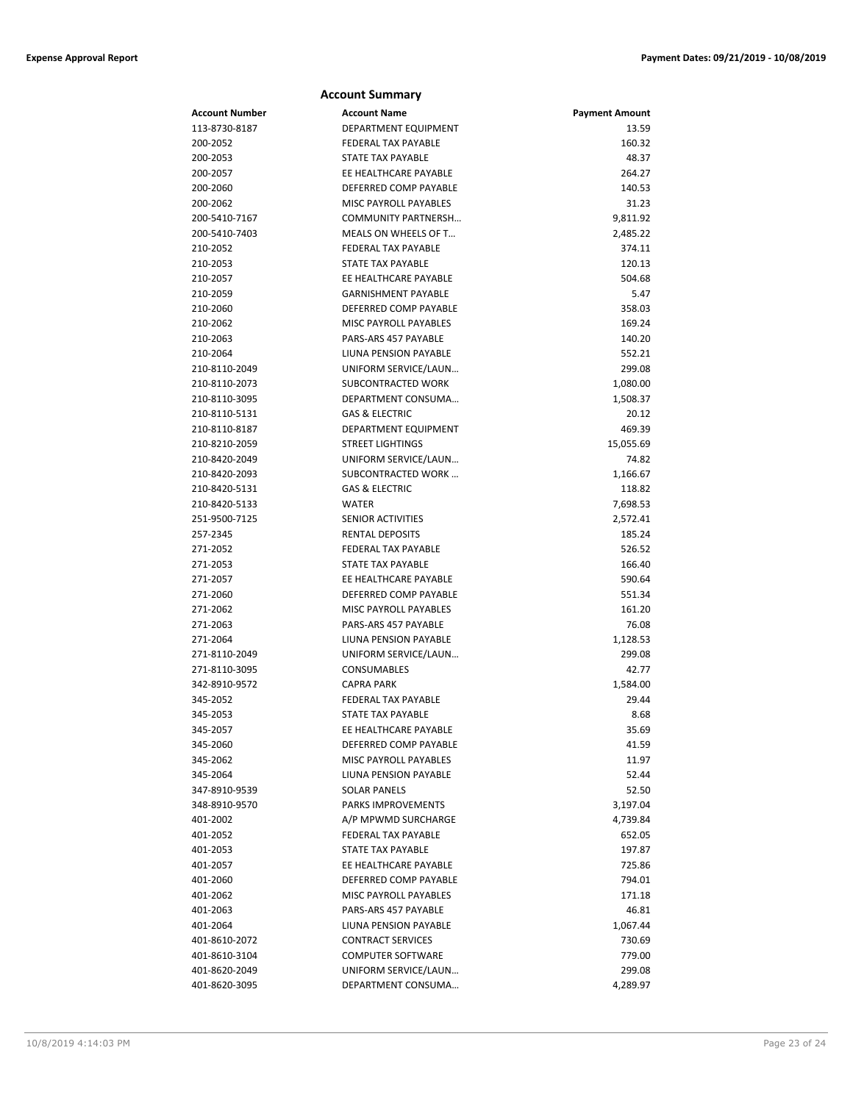| <b>Account Summary</b> |                            |                       |  |
|------------------------|----------------------------|-----------------------|--|
| Account Number         | <b>Account Name</b>        | <b>Payment Amount</b> |  |
| 113-8730-8187          | DEPARTMENT EQUIPMENT       | 13.59                 |  |
| 200-2052               | FEDERAL TAX PAYABLE        | 160.32                |  |
| 200-2053               | <b>STATE TAX PAYABLE</b>   | 48.37                 |  |
| 200-2057               | EE HEALTHCARE PAYABLE      | 264.27                |  |
| 200-2060               | DEFERRED COMP PAYABLE      | 140.53                |  |
| 200-2062               | MISC PAYROLL PAYABLES      | 31.23                 |  |
| 200-5410-7167          | <b>COMMUNITY PARTNERSH</b> | 9,811.92              |  |
| 200-5410-7403          | MEALS ON WHEELS OF T       | 2,485.22              |  |
| 210-2052               | FEDERAL TAX PAYABLE        | 374.11                |  |
| 210-2053               | <b>STATE TAX PAYABLE</b>   | 120.13                |  |
| 210-2057               | EE HEALTHCARE PAYABLE      | 504.68                |  |
| 210-2059               | <b>GARNISHMENT PAYABLE</b> | 5.47                  |  |
| 210-2060               | DEFERRED COMP PAYABLE      | 358.03                |  |
| 210-2062               | MISC PAYROLL PAYABLES      | 169.24                |  |
| 210-2063               | PARS-ARS 457 PAYABLE       | 140.20                |  |
| 210-2064               | LIUNA PENSION PAYABLE      | 552.21                |  |
| 210-8110-2049          | UNIFORM SERVICE/LAUN       | 299.08                |  |
| 210-8110-2073          | SUBCONTRACTED WORK         | 1,080.00              |  |
| 210-8110-3095          | DEPARTMENT CONSUMA         | 1,508.37              |  |
| 210-8110-5131          | <b>GAS &amp; ELECTRIC</b>  | 20.12                 |  |
| 210-8110-8187          | DEPARTMENT EQUIPMENT       | 469.39                |  |
| 210-8210-2059          | <b>STREET LIGHTINGS</b>    | 15,055.69             |  |
| 210-8420-2049          | UNIFORM SERVICE/LAUN       | 74.82                 |  |
| 210-8420-2093          | SUBCONTRACTED WORK         | 1,166.67              |  |
| 210-8420-5131          | <b>GAS &amp; ELECTRIC</b>  | 118.82                |  |
| 210-8420-5133          | <b>WATER</b>               | 7,698.53              |  |
| 251-9500-7125          | SENIOR ACTIVITIES          | 2,572.41              |  |
| 257-2345               | <b>RENTAL DEPOSITS</b>     | 185.24                |  |
| 271-2052               | FEDERAL TAX PAYABLE        | 526.52                |  |
| 271-2053               | <b>STATE TAX PAYABLE</b>   | 166.40                |  |
| 271-2057               | EE HEALTHCARE PAYABLE      | 590.64                |  |
| 271-2060               | DEFERRED COMP PAYABLE      | 551.34                |  |
| 271-2062               | MISC PAYROLL PAYABLES      | 161.20                |  |
| 271-2063               | PARS-ARS 457 PAYABLE       | 76.08                 |  |
| 271-2064               | LIUNA PENSION PAYABLE      | 1,128.53              |  |
| 271-8110-2049          | UNIFORM SERVICE/LAUN       | 299.08                |  |
| 271-8110-3095          | <b>CONSUMABLES</b>         | 42.77                 |  |
| 342-8910-9572          | <b>CAPRA PARK</b>          | 1,584.00              |  |
| 345-2052               | FEDERAL TAX PAYABLE        | 29.44                 |  |
| 345-2053               | STATE TAX PAYABLE          | 8.68                  |  |
| 345-2057               | EE HEALTHCARE PAYABLE      | 35.69                 |  |
| 345-2060               | DEFERRED COMP PAYABLE      | 41.59                 |  |
| 345-2062               | MISC PAYROLL PAYABLES      | 11.97                 |  |
| 345-2064               | LIUNA PENSION PAYABLE      | 52.44                 |  |
| 347-8910-9539          | <b>SOLAR PANELS</b>        | 52.50                 |  |
| 348-8910-9570          | PARKS IMPROVEMENTS         | 3,197.04              |  |
| 401-2002               | A/P MPWMD SURCHARGE        | 4,739.84              |  |
| 401-2052               | FEDERAL TAX PAYABLE        | 652.05                |  |
| 401-2053               | STATE TAX PAYABLE          | 197.87                |  |
| 401-2057               | EE HEALTHCARE PAYABLE      | 725.86                |  |
| 401-2060               | DEFERRED COMP PAYABLE      | 794.01                |  |
| 401-2062               | MISC PAYROLL PAYABLES      | 171.18                |  |
| 401-2063               | PARS-ARS 457 PAYABLE       | 46.81                 |  |
| 401-2064               | LIUNA PENSION PAYABLE      | 1,067.44              |  |
| 401-8610-2072          | <b>CONTRACT SERVICES</b>   | 730.69                |  |
| 401-8610-3104          | <b>COMPUTER SOFTWARE</b>   | 779.00                |  |
| 401-8620-2049          | UNIFORM SERVICE/LAUN       | 299.08                |  |
| 401-8620-3095          | DEPARTMENT CONSUMA         | 4,289.97              |  |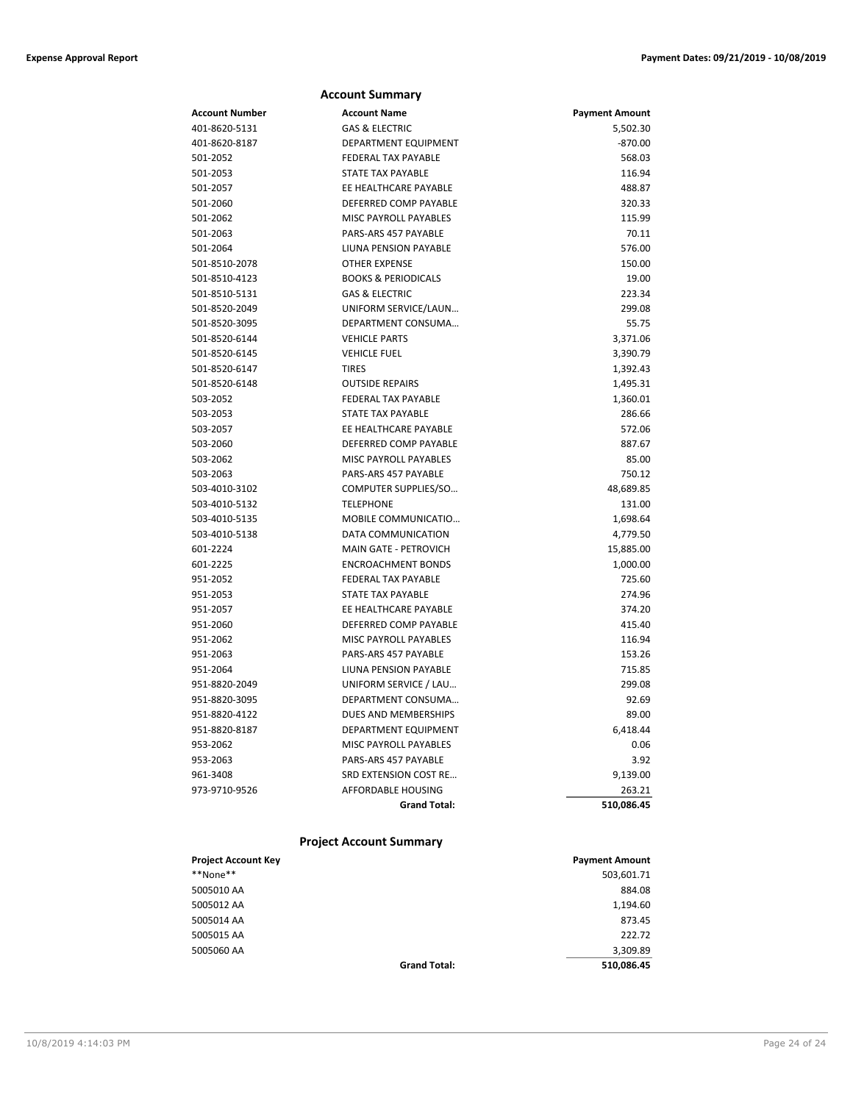|                | <b>Account Summary</b>         |                       |
|----------------|--------------------------------|-----------------------|
| Account Number | <b>Account Name</b>            | <b>Payment Amount</b> |
| 401-8620-5131  | <b>GAS &amp; ELECTRIC</b>      | 5,502.30              |
| 401-8620-8187  | DEPARTMENT EQUIPMENT           | $-870.00$             |
| 501-2052       | FEDERAL TAX PAYABLE            | 568.03                |
| 501-2053       | <b>STATE TAX PAYABLE</b>       | 116.94                |
| 501-2057       | EE HEALTHCARE PAYABLE          | 488.87                |
| 501-2060       | DEFERRED COMP PAYABLE          | 320.33                |
| 501-2062       | MISC PAYROLL PAYABLES          | 115.99                |
| 501-2063       | PARS-ARS 457 PAYABLE           | 70.11                 |
| 501-2064       | LIUNA PENSION PAYABLE          | 576.00                |
| 501-8510-2078  | <b>OTHER EXPENSE</b>           | 150.00                |
| 501-8510-4123  | <b>BOOKS &amp; PERIODICALS</b> | 19.00                 |
| 501-8510-5131  | <b>GAS &amp; ELECTRIC</b>      | 223.34                |
| 501-8520-2049  | UNIFORM SERVICE/LAUN           | 299.08                |
| 501-8520-3095  | DEPARTMENT CONSUMA             | 55.75                 |
| 501-8520-6144  | <b>VEHICLE PARTS</b>           | 3,371.06              |
| 501-8520-6145  | <b>VEHICLE FUEL</b>            | 3,390.79              |
| 501-8520-6147  | <b>TIRES</b>                   | 1,392.43              |
| 501-8520-6148  | <b>OUTSIDE REPAIRS</b>         | 1,495.31              |
| 503-2052       | <b>FEDERAL TAX PAYABLE</b>     | 1,360.01              |
| 503-2053       | STATE TAX PAYABLE              | 286.66                |
| 503-2057       | EE HEALTHCARE PAYABLE          | 572.06                |
| 503-2060       | DEFERRED COMP PAYABLE          | 887.67                |
| 503-2062       | MISC PAYROLL PAYABLES          | 85.00                 |
| 503-2063       | PARS-ARS 457 PAYABLE           | 750.12                |
| 503-4010-3102  | COMPUTER SUPPLIES/SO           | 48,689.85             |
| 503-4010-5132  | <b>TELEPHONE</b>               | 131.00                |
| 503-4010-5135  | MOBILE COMMUNICATIO            | 1,698.64              |
| 503-4010-5138  | DATA COMMUNICATION             | 4,779.50              |
| 601-2224       | <b>MAIN GATE - PETROVICH</b>   | 15,885.00             |
| 601-2225       | <b>ENCROACHMENT BONDS</b>      | 1,000.00              |
| 951-2052       | <b>FEDERAL TAX PAYABLE</b>     | 725.60                |
| 951-2053       | <b>STATE TAX PAYABLE</b>       | 274.96                |
| 951-2057       | EE HEALTHCARE PAYABLE          | 374.20                |
| 951-2060       | DEFERRED COMP PAYABLE          | 415.40                |
| 951-2062       | MISC PAYROLL PAYABLES          | 116.94                |
| 951-2063       | PARS-ARS 457 PAYABLE           | 153.26                |
| 951-2064       | LIUNA PENSION PAYABLE          | 715.85                |
| 951-8820-2049  | UNIFORM SERVICE / LAU          | 299.08                |
| 951-8820-3095  | DEPARTMENT CONSUMA             | 92.69                 |
| 951-8820-4122  | DUES AND MEMBERSHIPS           | 89.00                 |
| 951-8820-8187  | DEPARTMENT EQUIPMENT           | 6,418.44              |
| 953-2062       | <b>MISC PAYROLL PAYABLES</b>   | 0.06                  |
| 953-2063       | PARS-ARS 457 PAYABLE           | 3.92                  |
| 961-3408       | SRD EXTENSION COST RE          | 9,139.00              |
| 973-9710-9526  | AFFORDABLE HOUSING             | 263.21                |
|                | <b>Grand Total:</b>            | 510,086.45            |

### **Project Account Summary**

| <b>Project Account Key</b> |                     | <b>Payment Amount</b> |
|----------------------------|---------------------|-----------------------|
| **None**                   |                     | 503,601.71            |
| 5005010 AA                 |                     | 884.08                |
| 5005012 AA                 |                     | 1,194.60              |
| 5005014 AA                 |                     | 873.45                |
| 5005015 AA                 |                     | 222.72                |
| 5005060 AA                 |                     | 3,309.89              |
|                            | <b>Grand Total:</b> | 510,086.45            |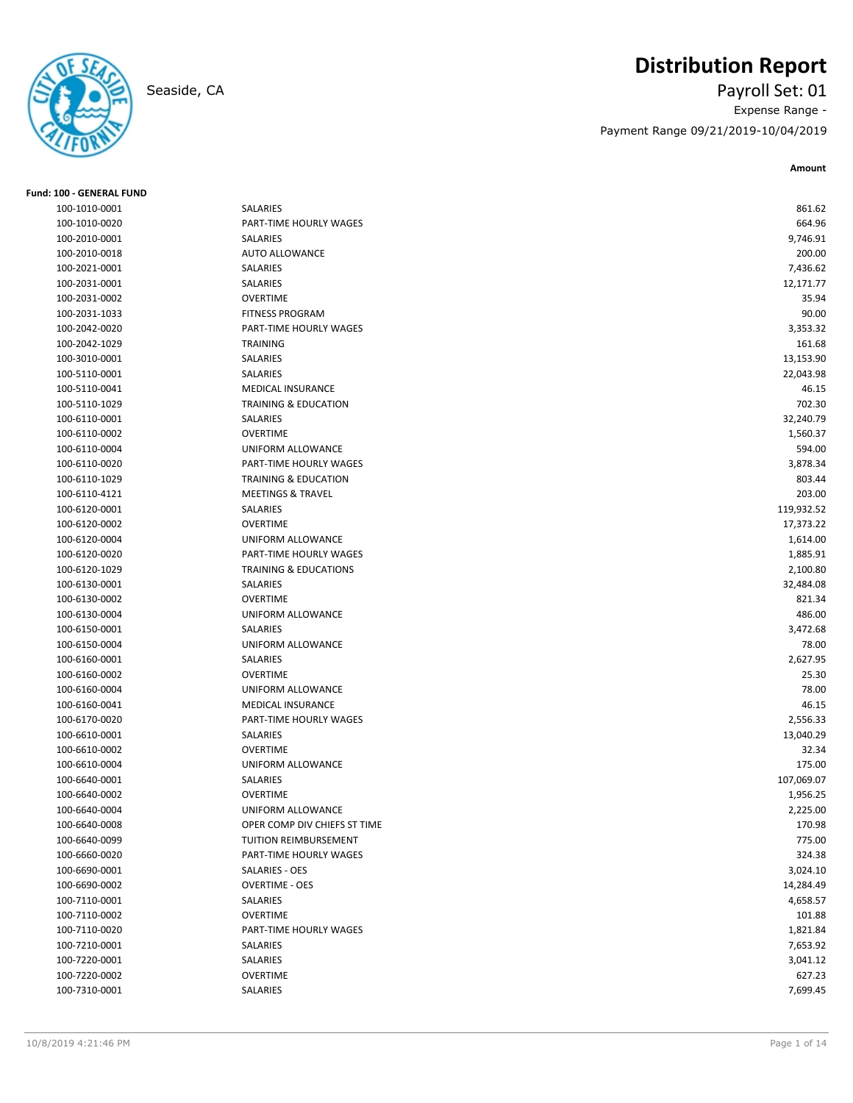

# **Distribution Report**

Seaside, CA Payroll Set: 01 Expense Range - Payment Range 09/21/2019-10/04/2019

| Fund: 100 - GENERAL FUND |                                  |            |
|--------------------------|----------------------------------|------------|
| 100-1010-0001            | SALARIES                         | 861.62     |
| 100-1010-0020            | PART-TIME HOURLY WAGES           | 664.96     |
| 100-2010-0001            | SALARIES                         | 9,746.91   |
| 100-2010-0018            | <b>AUTO ALLOWANCE</b>            | 200.00     |
| 100-2021-0001            | SALARIES                         | 7,436.62   |
| 100-2031-0001            | SALARIES                         | 12,171.77  |
| 100-2031-0002            | <b>OVERTIME</b>                  | 35.94      |
| 100-2031-1033            | <b>FITNESS PROGRAM</b>           | 90.00      |
| 100-2042-0020            | PART-TIME HOURLY WAGES           | 3,353.32   |
| 100-2042-1029            | <b>TRAINING</b>                  | 161.68     |
| 100-3010-0001            | SALARIES                         | 13,153.90  |
| 100-5110-0001            | SALARIES                         | 22,043.98  |
| 100-5110-0041            | <b>MEDICAL INSURANCE</b>         | 46.15      |
| 100-5110-1029            | <b>TRAINING &amp; EDUCATION</b>  | 702.30     |
| 100-6110-0001            | SALARIES                         | 32,240.79  |
| 100-6110-0002            | <b>OVERTIME</b>                  | 1,560.37   |
| 100-6110-0004            | UNIFORM ALLOWANCE                | 594.00     |
| 100-6110-0020            | PART-TIME HOURLY WAGES           | 3,878.34   |
| 100-6110-1029            | <b>TRAINING &amp; EDUCATION</b>  | 803.44     |
| 100-6110-4121            | <b>MEETINGS &amp; TRAVEL</b>     | 203.00     |
| 100-6120-0001            | SALARIES                         | 119,932.52 |
| 100-6120-0002            | <b>OVERTIME</b>                  | 17,373.22  |
| 100-6120-0004            | UNIFORM ALLOWANCE                | 1,614.00   |
| 100-6120-0020            | PART-TIME HOURLY WAGES           | 1,885.91   |
| 100-6120-1029            | <b>TRAINING &amp; EDUCATIONS</b> | 2,100.80   |
| 100-6130-0001            | SALARIES                         | 32,484.08  |
| 100-6130-0002            | <b>OVERTIME</b>                  | 821.34     |
| 100-6130-0004            | UNIFORM ALLOWANCE                | 486.00     |
| 100-6150-0001            | SALARIES                         | 3,472.68   |
| 100-6150-0004            | UNIFORM ALLOWANCE                | 78.00      |
| 100-6160-0001            | SALARIES                         | 2,627.95   |
| 100-6160-0002            | <b>OVERTIME</b>                  | 25.30      |
| 100-6160-0004            | UNIFORM ALLOWANCE                | 78.00      |
| 100-6160-0041            | MEDICAL INSURANCE                | 46.15      |
| 100-6170-0020            | PART-TIME HOURLY WAGES           | 2,556.33   |
| 100-6610-0001            | <b>SALARIES</b>                  | 13,040.29  |
| 100-6610-0002            | <b>OVERTIME</b>                  | 32.34      |
| 100-6610-0004            | UNIFORM ALLOWANCE                | 175.00     |
| 100-6640-0001            | SALARIES                         | 107,069.07 |
| 100-6640-0002            | <b>OVERTIME</b>                  | 1,956.25   |
| 100-6640-0004            | UNIFORM ALLOWANCE                | 2,225.00   |
| 100-6640-0008            | OPER COMP DIV CHIEFS ST TIME     | 170.98     |
| 100-6640-0099            | TUITION REIMBURSEMENT            | 775.00     |
| 100-6660-0020            | PART-TIME HOURLY WAGES           | 324.38     |
| 100-6690-0001            | SALARIES - OES                   | 3,024.10   |
| 100-6690-0002            | <b>OVERTIME - OES</b>            | 14,284.49  |
| 100-7110-0001            | SALARIES                         | 4,658.57   |
| 100-7110-0002            | <b>OVERTIME</b>                  | 101.88     |
| 100-7110-0020            | PART-TIME HOURLY WAGES           | 1,821.84   |
|                          |                                  |            |
| 100-7210-0001            | SALARIES                         | 7,653.92   |
| 100-7220-0001            | SALARIES<br>OVERTIME             | 3,041.12   |
| 100-7220-0002            |                                  | 627.23     |
| 100-7310-0001            | SALARIES                         | 7,699.45   |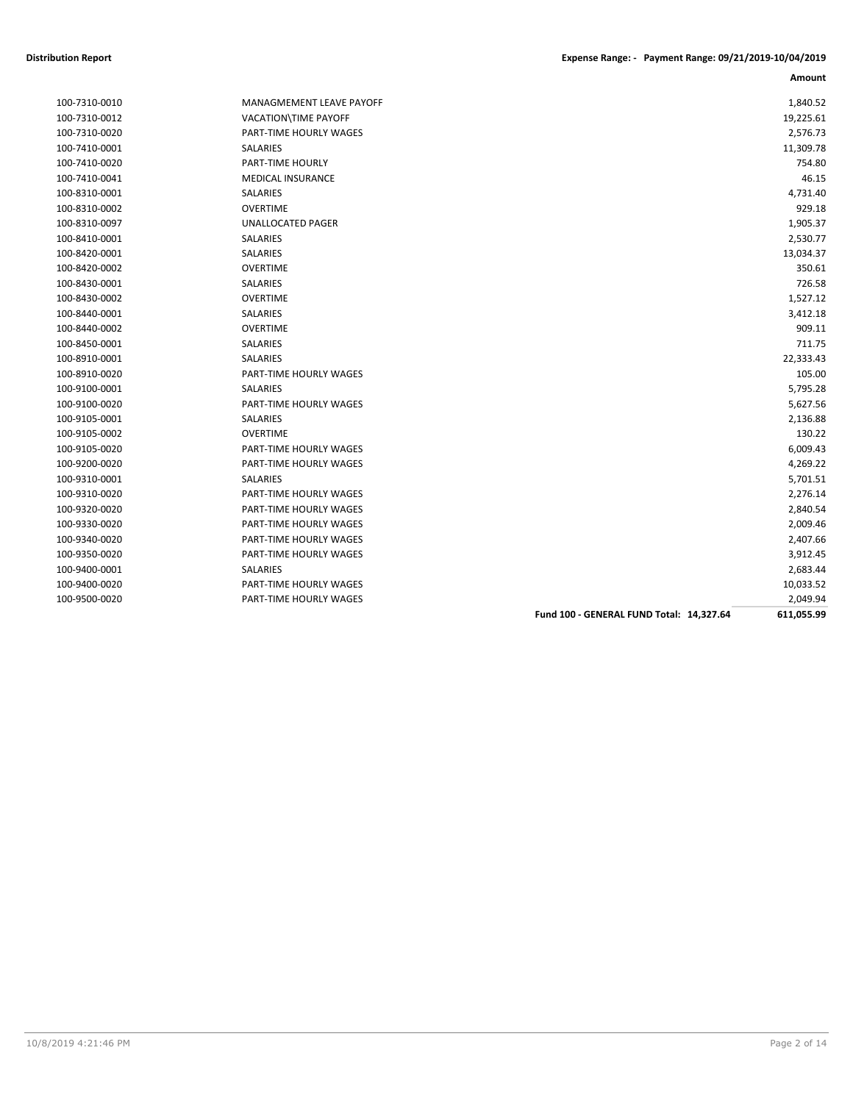| 100-7310-0010 |
|---------------|
| 100-7310-0012 |
| 100-7310-0020 |
| 100-7410-0001 |
| 100-7410-0020 |
| 100-7410-0041 |
| 100-8310-0001 |
| 100-8310-0002 |
| 100-8310-0097 |
| 100-8410-0001 |
| 100-8420-0001 |
| 100-8420-0002 |
| 100-8430-0001 |
| 100-8430-0002 |
| 100-8440-0001 |
| 100-8440-0002 |
| 100-8450-0001 |
| 100-8910-0001 |
| 100-8910-0020 |
| 100-9100-0001 |
| 100-9100-0020 |
| 100-9105-0001 |
| 100-9105-0002 |
| 100-9105-0020 |
| 100-9200-0020 |
| 100-9310-0001 |
| 100-9310-0020 |
| 100-9320-0020 |
| 100-9330-0020 |
| 100-9340-0020 |
| 100-9350-0020 |
| 100-9400-0001 |
| 100-9400-0020 |
| 100.0500.0020 |

| MANAGMEMENT LEAVE PAYOFF      |
|-------------------------------|
| <b>VACATION\TIME PAYOFF</b>   |
| <b>PART-TIME HOURLY WAGES</b> |
| <b>SALARIES</b>               |
| <b>PART-TIME HOURLY</b>       |
| <b>MEDICAL INSURANCE</b>      |
| <b>SAI ARIES</b>              |
| <b>OVERTIME</b>               |
| UNALLOCATED PAGER             |
| <b>SALARIES</b>               |
| SAI ARIFS                     |
| OVERTIME                      |
| <b>SALARIES</b>               |
| OVERTIME                      |
| <b>SALARIES</b>               |
| OVERTIME                      |
| <b>SALARIES</b>               |
| <b>SALARIES</b>               |
| <b>PART-TIME HOURLY WAGES</b> |
| <b>SALARIES</b>               |
| PART-TIME HOURLY WAGES        |
| <b>SALARIES</b>               |
| <b>OVERTIME</b>               |
| <b>PART-TIME HOURLY WAGES</b> |
| <b>PART-TIME HOURLY WAGES</b> |
| <b>SALARIES</b>               |
| <b>PART-TIME HOURLY WAGES</b> |
| <b>PART-TIME HOURLY WAGES</b> |
| <b>PART-TIME HOURLY WAGES</b> |
| PART-TIME HOURLY WAGES        |
| <b>PART-TIME HOURLY WAGES</b> |
| <b>SALARIES</b>               |
| <b>PART-TIME HOURLY WAGES</b> |
| PART-TIME HOURLY WAGES        |

|               |                               | Fund 100 - GENERAL FUND Total: 14,327.64 | 611,055.99 |
|---------------|-------------------------------|------------------------------------------|------------|
| 100-9500-0020 | <b>PART-TIME HOURLY WAGES</b> |                                          | 2,049.94   |
| 100-9400-0020 | PART-TIME HOURLY WAGES        |                                          | 10,033.52  |
| 100-9400-0001 | SALARIES                      |                                          | 2,683.44   |
| 100-9350-0020 | PART-TIME HOURLY WAGES        |                                          | 3,912.45   |
| 100-9340-0020 | PART-TIME HOURLY WAGES        |                                          | 2,407.66   |
| 100-9330-0020 | PART-TIME HOURLY WAGES        |                                          | 2,009.46   |
| 100-9320-0020 | PART-TIME HOURLY WAGES        |                                          | 2,840.54   |
| 100-9310-0020 | PART-TIME HOURLY WAGES        |                                          | 2,276.14   |
| 100-9310-0001 | SALARIES                      |                                          | 5,701.51   |
| 100-9200-0020 | PART-TIME HOURLY WAGES        |                                          | 4,269.22   |
| 100-9105-0020 | PART-TIME HOURLY WAGES        |                                          | 6,009.43   |
| 100-9105-0002 | <b>OVERTIME</b>               |                                          | 130.22     |
| 100-9105-0001 | SALARIES                      |                                          | 2,136.88   |
| 100-9100-0020 | <b>PART-TIME HOURLY WAGES</b> |                                          | 5,627.56   |
| 100-9100-0001 | <b>SALARIES</b>               |                                          | 5,795.28   |
| 100-8910-0020 | PART-TIME HOURLY WAGES        |                                          | 105.00     |
| 100-8910-0001 | <b>SALARIES</b>               |                                          | 22,333.43  |
| 100-8450-0001 | SALARIES                      |                                          | 711.75     |
| 100-8440-0002 | <b>OVERTIME</b>               |                                          | 909.11     |
| 100-8440-0001 | SALARIES                      |                                          | 3,412.18   |
| 100-8430-0002 | <b>OVERTIME</b>               |                                          | 1,527.12   |
| 100-8430-0001 | SALARIES                      |                                          | 726.58     |
| 100-8420-0002 | <b>OVERTIME</b>               |                                          | 350.61     |
| 100-8420-0001 | SALARIES                      |                                          | 13,034.37  |
| 100-8410-0001 | SALARIES                      |                                          | 2,530.77   |
| 100-8310-0097 | UNALLOCATED PAGER             |                                          | 1,905.37   |
| 100-8310-0002 | <b>OVERTIME</b>               |                                          | 929.18     |
| 100-8310-0001 | SALARIES                      |                                          | 4,731.40   |
| 100-7410-0041 | <b>MEDICAL INSURANCE</b>      |                                          | 46.15      |
| 100-7410-0020 | <b>PART-TIME HOURLY</b>       |                                          | 754.80     |
| 100-7410-0001 | <b>SALARIES</b>               |                                          | 11,309.78  |
| 100-7310-0020 | PART-TIME HOURLY WAGES        |                                          | 2,576.73   |
| 100-7310-0012 | <b>VACATION\TIME PAYOFF</b>   |                                          | 19,225.61  |
| 100-7310-0010 | MANAGMEMENT LEAVE PAYOFF      |                                          | 1,840.52   |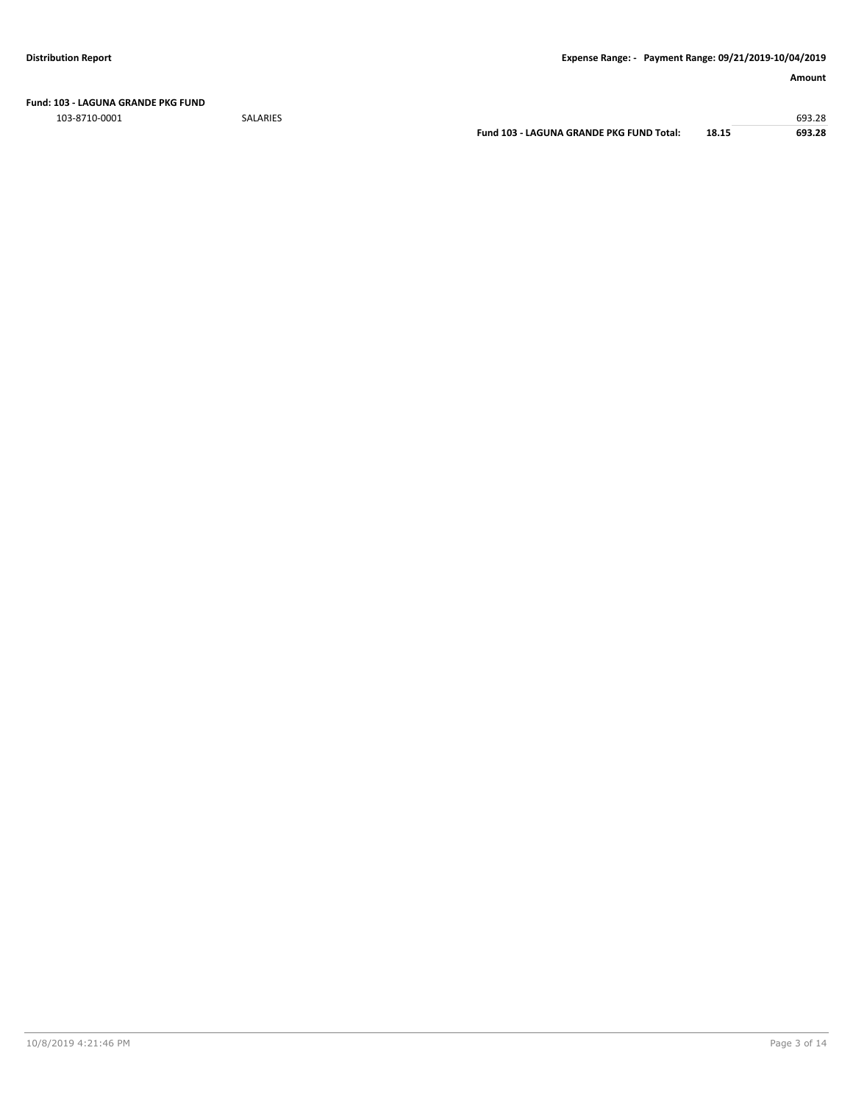**Fund: 103 - LAGUNA GRANDE PKG FUND**

103-8710-0001 SALARIES 693.28

**Fund 103 - LAGUNA GRANDE PKG FUND Total: 18.15 693.28**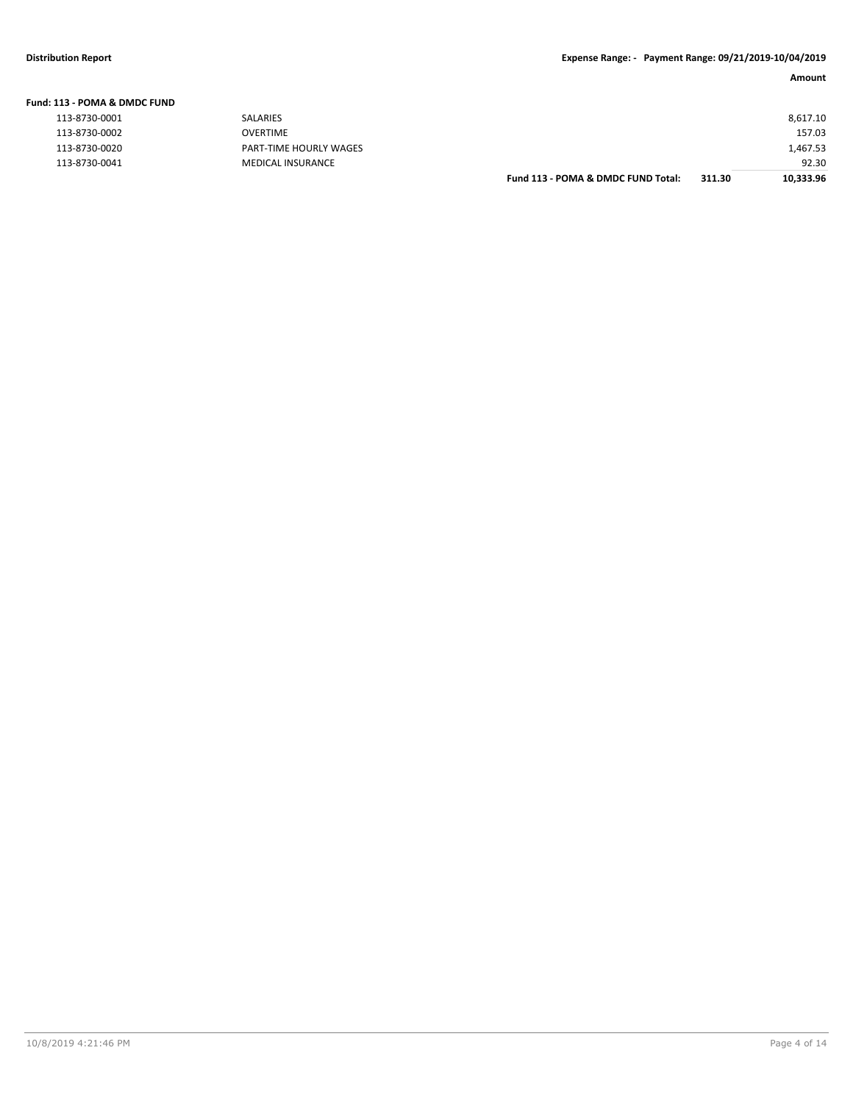| Fund: 113 - POMA & DMDC FUND |                        |                                    |        |           |
|------------------------------|------------------------|------------------------------------|--------|-----------|
| 113-8730-0001                | SALARIES               |                                    |        | 8,617.10  |
| 113-8730-0002                | <b>OVERTIME</b>        |                                    |        | 157.03    |
| 113-8730-0020                | PART-TIME HOURLY WAGES |                                    |        | 1,467.53  |
| 113-8730-0041                | MEDICAL INSURANCE      |                                    |        | 92.30     |
|                              |                        | Fund 113 - POMA & DMDC FUND Total: | 311.30 | 10,333.96 |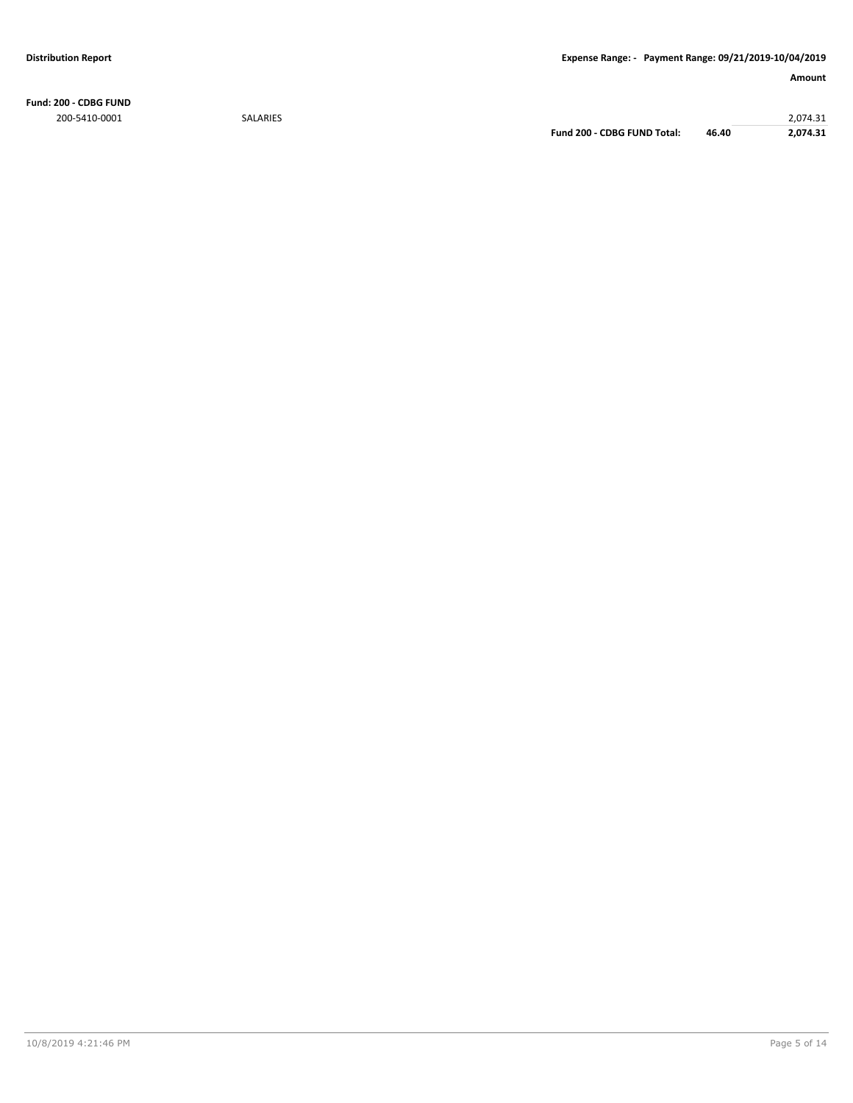**Fund: 200 - CDBG FUND** 200-5410-0001 SALARIES 2,074.31

**Fund 200 - CDBG FUND Total: 46.40 2,074.31**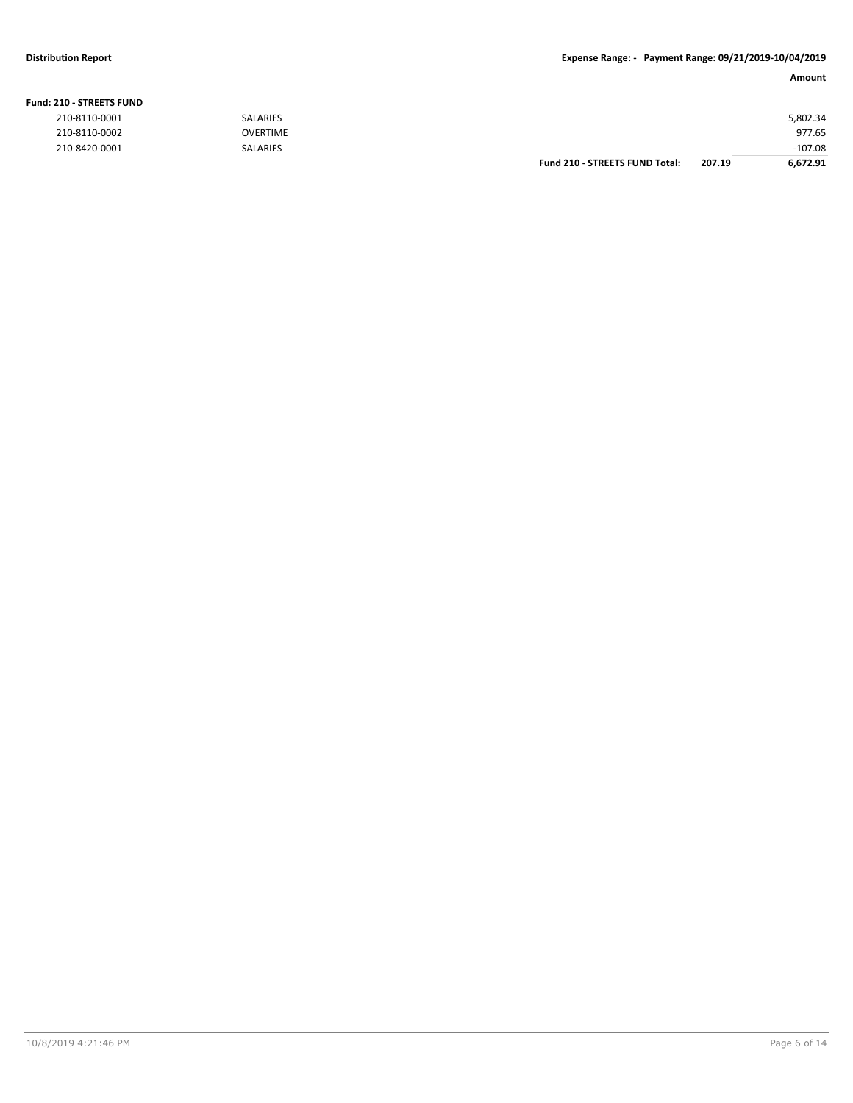### **Fund: 210 - STREETS FUND**

| .             |                 |                                       |        |           |
|---------------|-----------------|---------------------------------------|--------|-----------|
| 210-8110-0001 | <b>SALARIES</b> |                                       |        | 5,802.34  |
| 210-8110-0002 | <b>OVERTIME</b> |                                       |        | 977.65    |
| 210-8420-0001 | <b>SALARIES</b> |                                       |        | $-107.08$ |
|               |                 | <b>Fund 210 - STREETS FUND Total:</b> | 207.19 | 6,672.91  |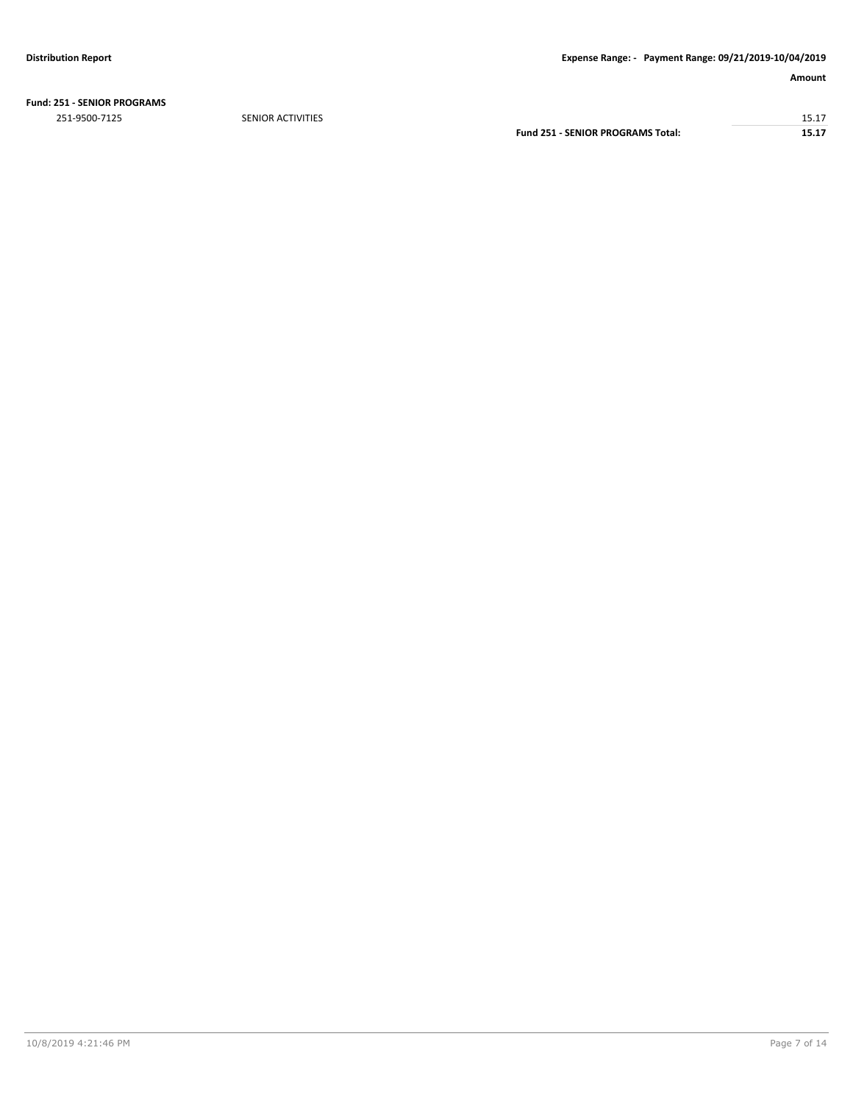**Fund: 251 - SENIOR PROGRAMS**

251-9500-7125 SENIOR ACTIVITIES 15.17 **Fund 251 - SENIOR PROGRAMS Total: 15.17**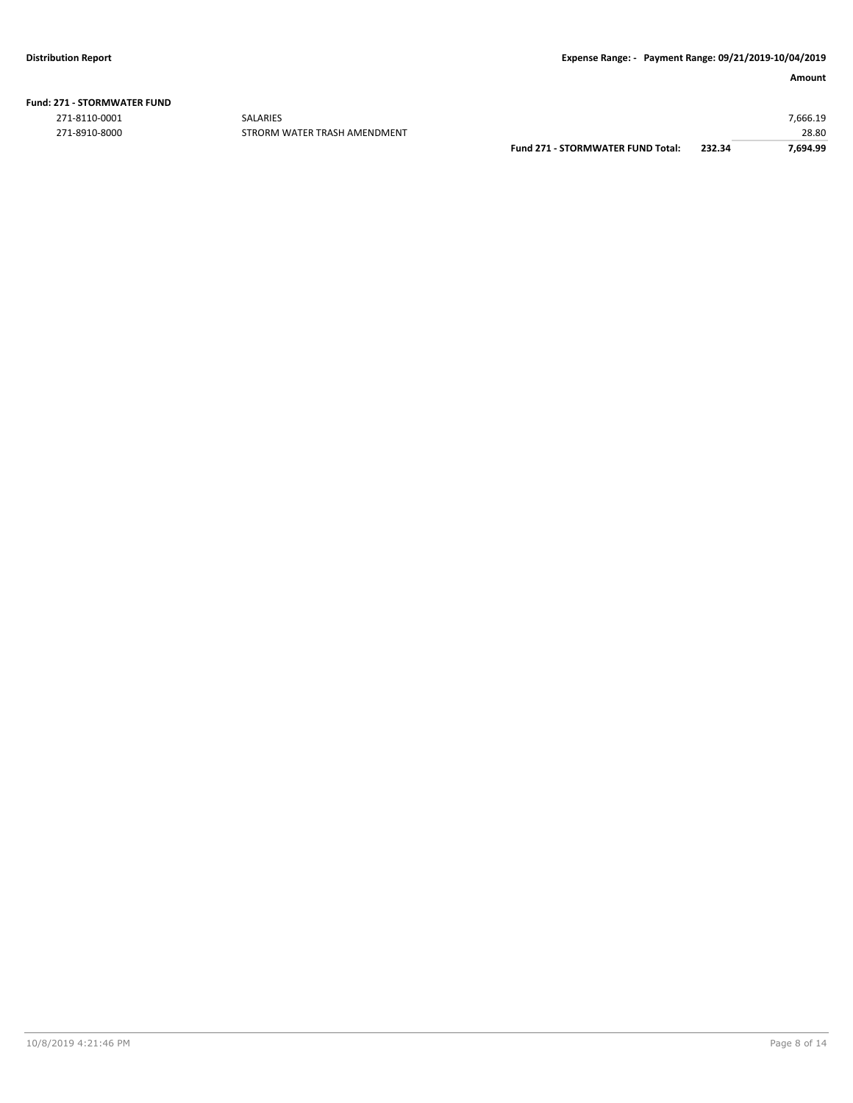| <b>Fund: 271 - STORMWATER FUND</b> |  |  |  |
|------------------------------------|--|--|--|
|------------------------------------|--|--|--|

271-8110-0001 SALARIES 7,666.19

271-8910-8000 STRORM WATER TRASH AMENDMENT **EXAMPLE 19910-8000** 271-8910-8000 STRORM WATER TRASH AMENDMENT **Fund 271 - STORMWATER FUND Total: 232.34 7,694.99**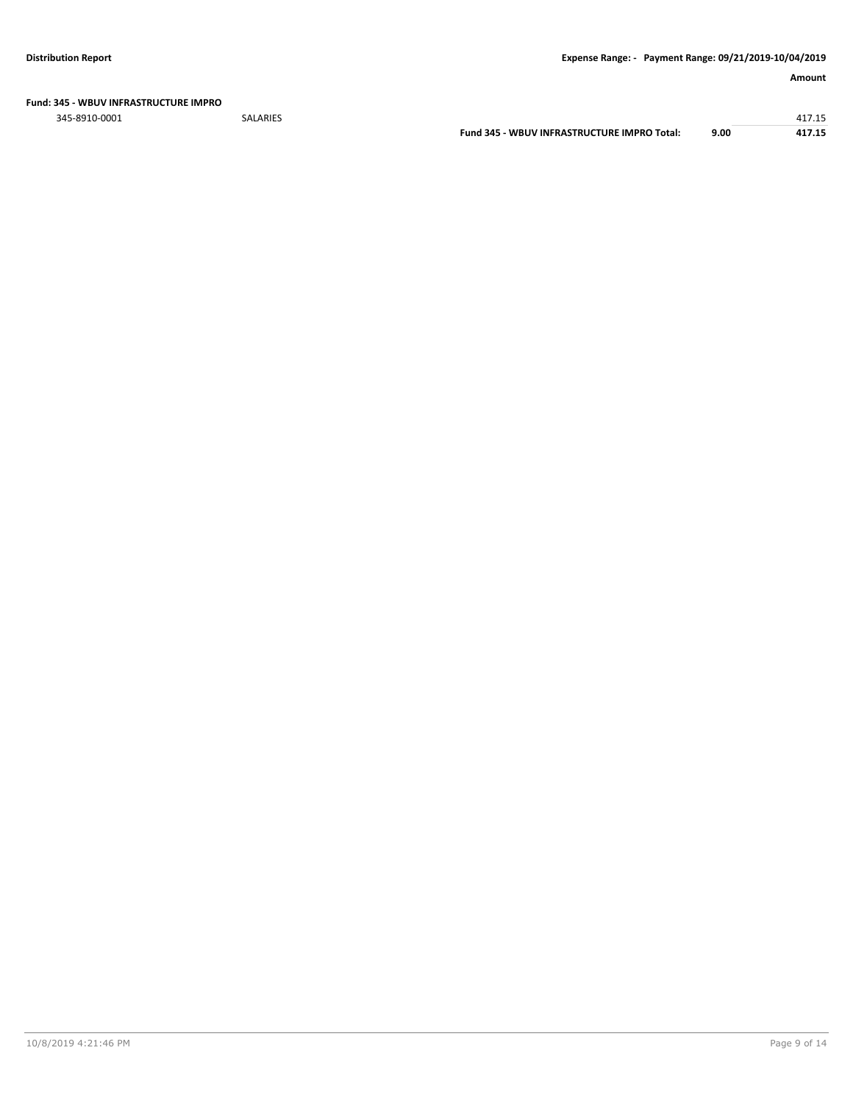### **Fund: 345 - WBUV INFRASTRUCTURE IMPRO**

345-8910-0001 SALARIES 417.15

| Fund 345 - WBUV INFRASTRUCTURE IMPRO Total: | 9.00 | 417.15 |
|---------------------------------------------|------|--------|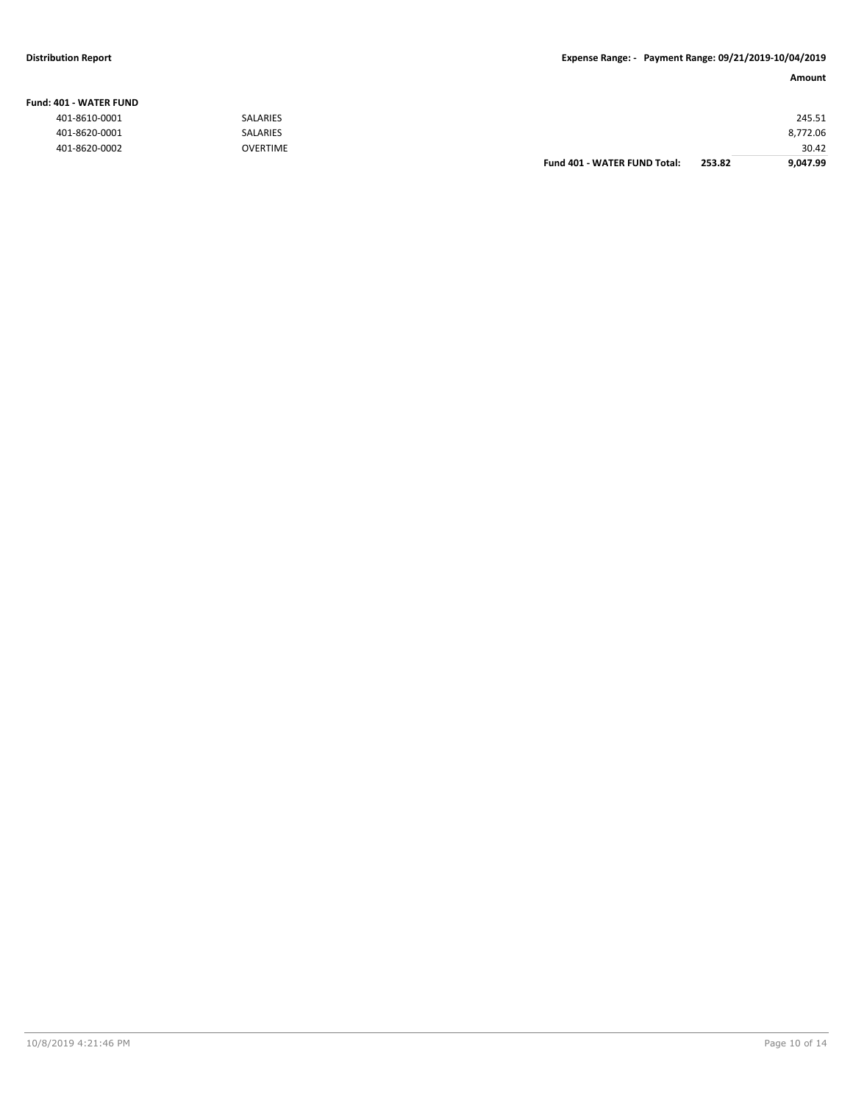### **Fund: 401 - WATER FUND**

| 401-8610-0001 | <b>SALARIES</b> |                              |        | 245.51   |
|---------------|-----------------|------------------------------|--------|----------|
| 401-8620-0001 | <b>SALARIES</b> |                              |        | 8,772.06 |
| 401-8620-0002 | <b>OVERTIME</b> |                              |        | 30.42    |
|               |                 | Fund 401 - WATER FUND Total: | 253.82 | 9,047.99 |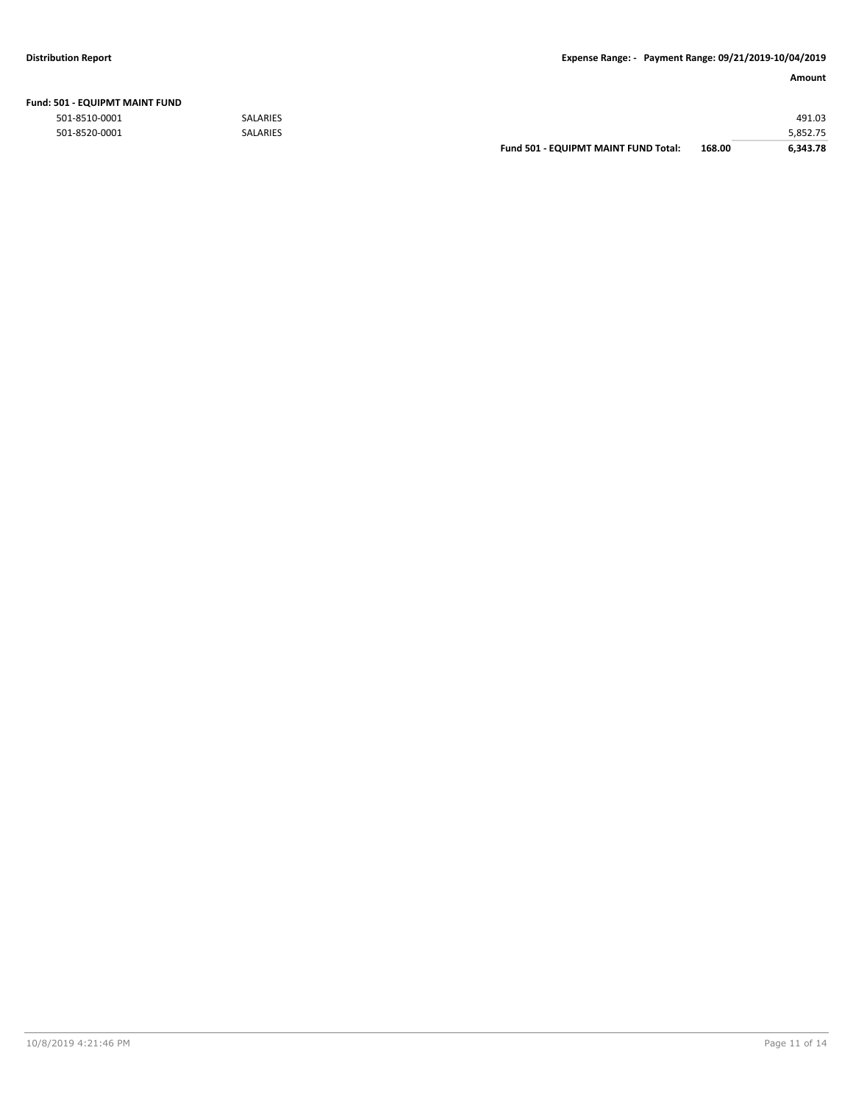| Fund: 501 - EQUIPMT MAINT FUND |  |
|--------------------------------|--|
|--------------------------------|--|

|               |                 | <b>Fund 501 - EQUIPMT MAINT FUND Total:</b> | 168.00 | 6.343.78 |
|---------------|-----------------|---------------------------------------------|--------|----------|
| 501-8520-0001 | <b>SALARIES</b> |                                             |        | 5,852.75 |
| 501-8510-0001 | <b>SALARIES</b> |                                             |        | 491.03   |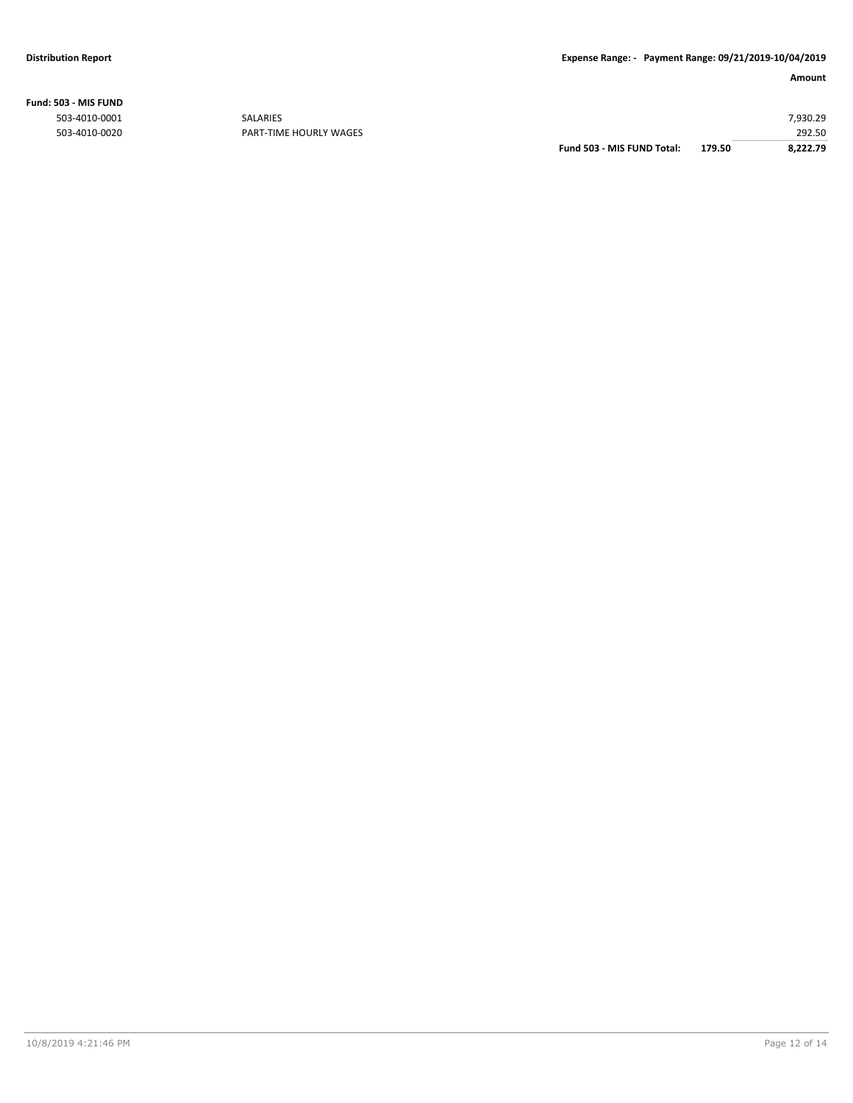**Fund: 503 - MIS FUND**

| 292.50   |
|----------|
| 7,930.29 |
|          |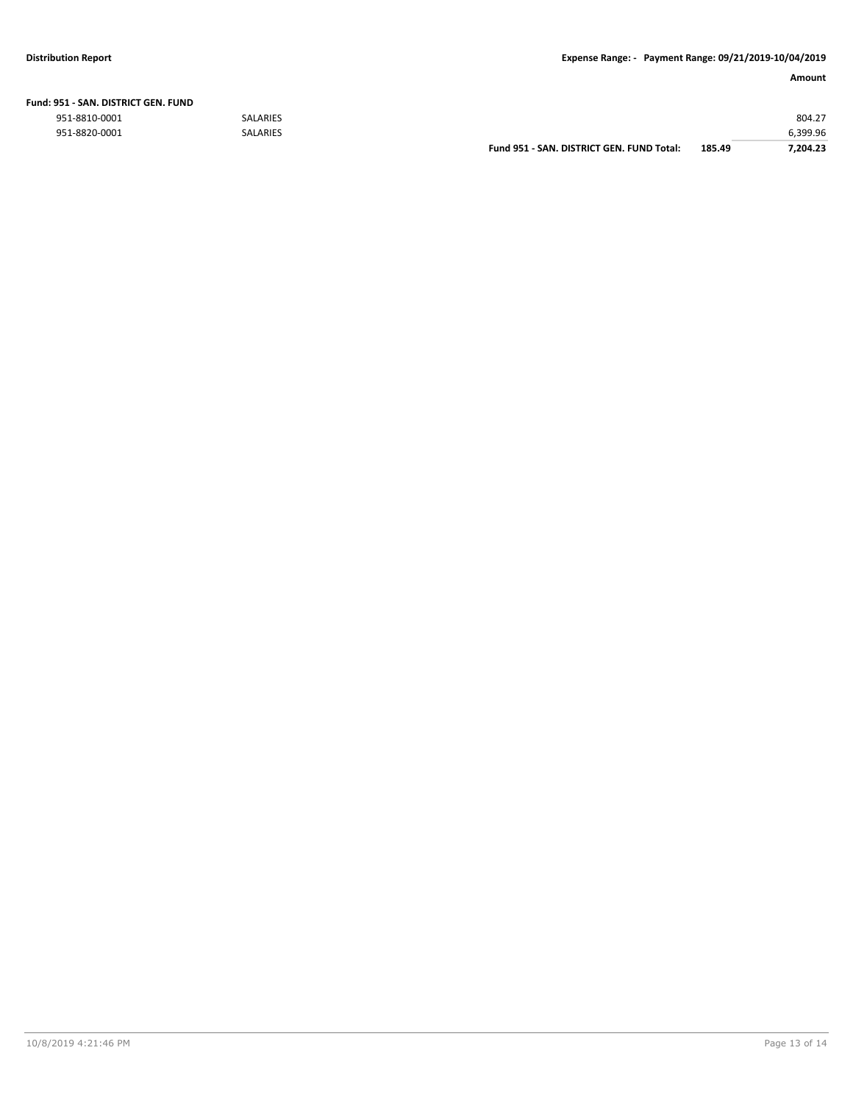| Fund: 951 - SAN, DISTRICT GEN, FUND |  |  |
|-------------------------------------|--|--|
|                                     |  |  |

|               |                 | Fund 951 - SAN, DISTRICT GEN, FUND Total: | 185.49 | 7.204.23 |
|---------------|-----------------|-------------------------------------------|--------|----------|
| 951-8820-0001 | <b>SALARIES</b> |                                           |        | 6.399.96 |
| 951-8810-0001 | <b>SALARIES</b> |                                           |        | 804.27   |